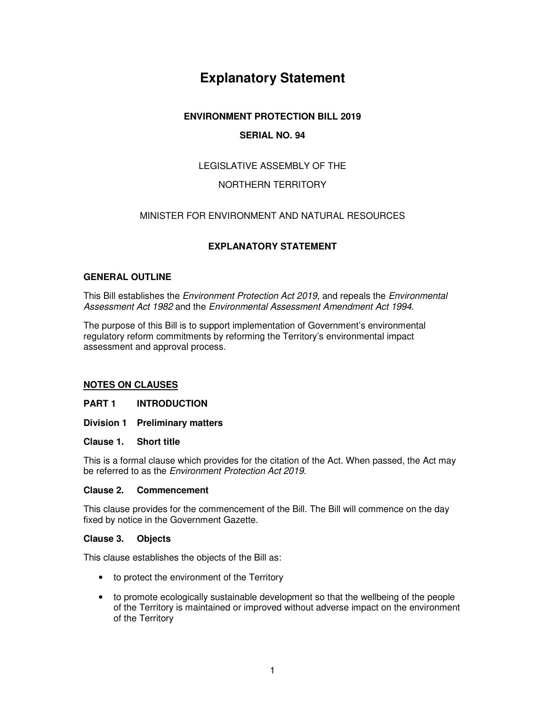# **Explanatory Statement**

# **ENVIRONMENT PROTECTION BILL 2019**

# **SERIAL NO. 94**

# LEGISLATIVE ASSEMBLY OF THE

# NORTHERN TERRITORY

# MINISTER FOR ENVIRONMENT AND NATURAL RESOURCES

# **EXPLANATORY STATEMENT**

# **GENERAL OUTLINE**

This Bill establishes the Environment Protection Act 2019, and repeals the Environmental Assessment Act 1982 and the Environmental Assessment Amendment Act 1994.

The purpose of this Bill is to support implementation of Government's environmental regulatory reform commitments by reforming the Territory's environmental impact assessment and approval process.

# **NOTES ON CLAUSES**

**PART 1 INTRODUCTION** 

- **Division 1 Preliminary matters**
- **Clause 1. Short title**

This is a formal clause which provides for the citation of the Act. When passed, the Act may be referred to as the Environment Protection Act 2019.

### **Clause 2. Commencement**

This clause provides for the commencement of the Bill. The Bill will commence on the day fixed by notice in the Government Gazette.

#### **Clause 3. Objects**

This clause establishes the objects of the Bill as:

- to protect the environment of the Territory
- to promote ecologically sustainable development so that the wellbeing of the people of the Territory is maintained or improved without adverse impact on the environment of the Territory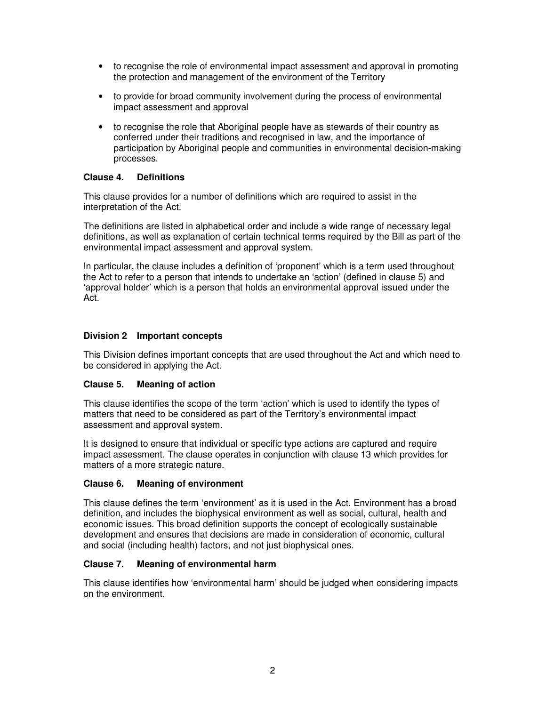- to recognise the role of environmental impact assessment and approval in promoting the protection and management of the environment of the Territory
- to provide for broad community involvement during the process of environmental impact assessment and approval
- to recognise the role that Aboriginal people have as stewards of their country as conferred under their traditions and recognised in law, and the importance of participation by Aboriginal people and communities in environmental decision-making processes.

### **Clause 4. Definitions**

This clause provides for a number of definitions which are required to assist in the interpretation of the Act.

The definitions are listed in alphabetical order and include a wide range of necessary legal definitions, as well as explanation of certain technical terms required by the Bill as part of the environmental impact assessment and approval system.

In particular, the clause includes a definition of 'proponent' which is a term used throughout the Act to refer to a person that intends to undertake an 'action' (defined in clause 5) and 'approval holder' which is a person that holds an environmental approval issued under the Act.

# **Division 2 Important concepts**

This Division defines important concepts that are used throughout the Act and which need to be considered in applying the Act.

# **Clause 5. Meaning of action**

This clause identifies the scope of the term 'action' which is used to identify the types of matters that need to be considered as part of the Territory's environmental impact assessment and approval system.

It is designed to ensure that individual or specific type actions are captured and require impact assessment. The clause operates in conjunction with clause 13 which provides for matters of a more strategic nature.

# **Clause 6. Meaning of environment**

This clause defines the term 'environment' as it is used in the Act. Environment has a broad definition, and includes the biophysical environment as well as social, cultural, health and economic issues. This broad definition supports the concept of ecologically sustainable development and ensures that decisions are made in consideration of economic, cultural and social (including health) factors, and not just biophysical ones.

# **Clause 7. Meaning of environmental harm**

This clause identifies how 'environmental harm' should be judged when considering impacts on the environment.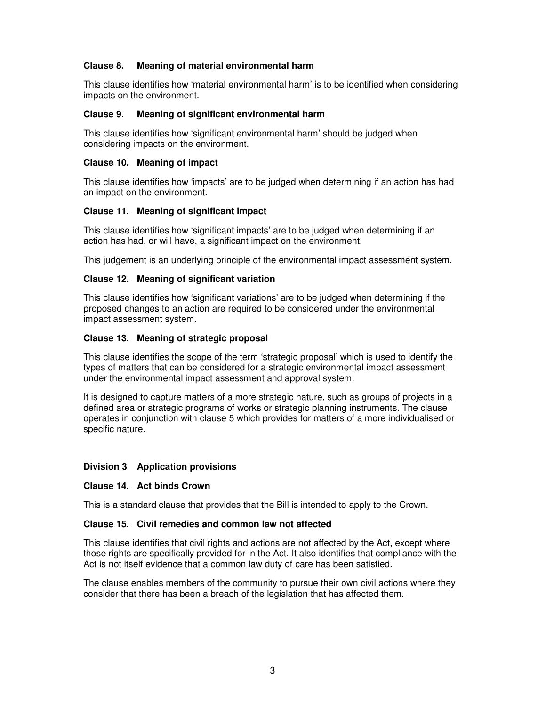# **Clause 8. Meaning of material environmental harm**

This clause identifies how 'material environmental harm' is to be identified when considering impacts on the environment.

# **Clause 9. Meaning of significant environmental harm**

This clause identifies how 'significant environmental harm' should be judged when considering impacts on the environment.

### **Clause 10. Meaning of impact**

This clause identifies how 'impacts' are to be judged when determining if an action has had an impact on the environment.

# **Clause 11. Meaning of significant impact**

This clause identifies how 'significant impacts' are to be judged when determining if an action has had, or will have, a significant impact on the environment.

This judgement is an underlying principle of the environmental impact assessment system.

### **Clause 12. Meaning of significant variation**

This clause identifies how 'significant variations' are to be judged when determining if the proposed changes to an action are required to be considered under the environmental impact assessment system.

### **Clause 13. Meaning of strategic proposal**

This clause identifies the scope of the term 'strategic proposal' which is used to identify the types of matters that can be considered for a strategic environmental impact assessment under the environmental impact assessment and approval system.

It is designed to capture matters of a more strategic nature, such as groups of projects in a defined area or strategic programs of works or strategic planning instruments. The clause operates in conjunction with clause 5 which provides for matters of a more individualised or specific nature.

#### **Division 3 Application provisions**

#### **Clause 14. Act binds Crown**

This is a standard clause that provides that the Bill is intended to apply to the Crown.

#### **Clause 15. Civil remedies and common law not affected**

This clause identifies that civil rights and actions are not affected by the Act, except where those rights are specifically provided for in the Act. It also identifies that compliance with the Act is not itself evidence that a common law duty of care has been satisfied.

The clause enables members of the community to pursue their own civil actions where they consider that there has been a breach of the legislation that has affected them.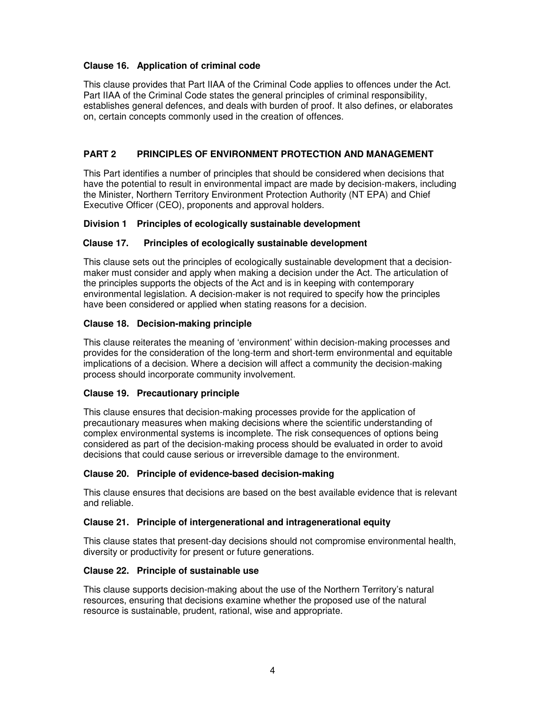# **Clause 16. Application of criminal code**

This clause provides that Part IIAA of the Criminal Code applies to offences under the Act. Part IIAA of the Criminal Code states the general principles of criminal responsibility, establishes general defences, and deals with burden of proof. It also defines, or elaborates on, certain concepts commonly used in the creation of offences.

# **PART 2 PRINCIPLES OF ENVIRONMENT PROTECTION AND MANAGEMENT**

This Part identifies a number of principles that should be considered when decisions that have the potential to result in environmental impact are made by decision-makers, including the Minister, Northern Territory Environment Protection Authority (NT EPA) and Chief Executive Officer (CEO), proponents and approval holders.

# **Division 1 Principles of ecologically sustainable development**

# **Clause 17. Principles of ecologically sustainable development**

This clause sets out the principles of ecologically sustainable development that a decisionmaker must consider and apply when making a decision under the Act. The articulation of the principles supports the objects of the Act and is in keeping with contemporary environmental legislation. A decision-maker is not required to specify how the principles have been considered or applied when stating reasons for a decision.

# **Clause 18. Decision-making principle**

This clause reiterates the meaning of 'environment' within decision-making processes and provides for the consideration of the long-term and short-term environmental and equitable implications of a decision. Where a decision will affect a community the decision-making process should incorporate community involvement.

# **Clause 19. Precautionary principle**

This clause ensures that decision-making processes provide for the application of precautionary measures when making decisions where the scientific understanding of complex environmental systems is incomplete. The risk consequences of options being considered as part of the decision-making process should be evaluated in order to avoid decisions that could cause serious or irreversible damage to the environment.

# **Clause 20. Principle of evidence-based decision-making**

This clause ensures that decisions are based on the best available evidence that is relevant and reliable.

# **Clause 21. Principle of intergenerational and intragenerational equity**

This clause states that present-day decisions should not compromise environmental health, diversity or productivity for present or future generations.

# **Clause 22. Principle of sustainable use**

This clause supports decision-making about the use of the Northern Territory's natural resources, ensuring that decisions examine whether the proposed use of the natural resource is sustainable, prudent, rational, wise and appropriate.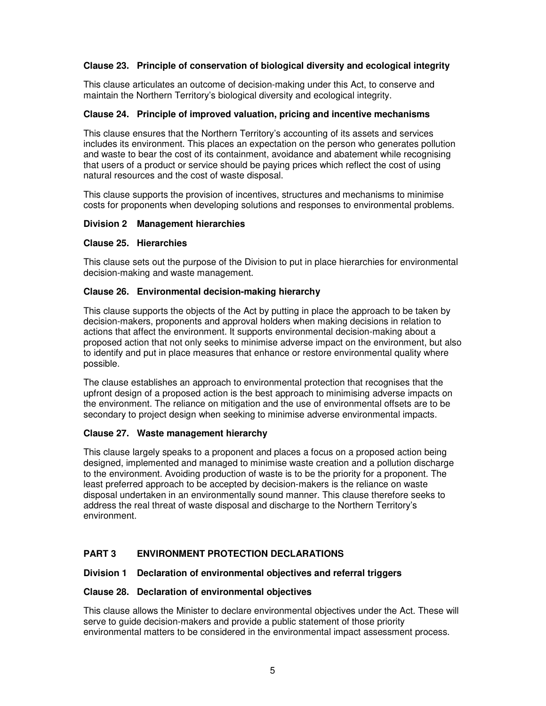# **Clause 23. Principle of conservation of biological diversity and ecological integrity**

This clause articulates an outcome of decision-making under this Act, to conserve and maintain the Northern Territory's biological diversity and ecological integrity.

### **Clause 24. Principle of improved valuation, pricing and incentive mechanisms**

This clause ensures that the Northern Territory's accounting of its assets and services includes its environment. This places an expectation on the person who generates pollution and waste to bear the cost of its containment, avoidance and abatement while recognising that users of a product or service should be paying prices which reflect the cost of using natural resources and the cost of waste disposal.

This clause supports the provision of incentives, structures and mechanisms to minimise costs for proponents when developing solutions and responses to environmental problems.

### **Division 2 Management hierarchies**

### **Clause 25. Hierarchies**

This clause sets out the purpose of the Division to put in place hierarchies for environmental decision-making and waste management.

### **Clause 26. Environmental decision-making hierarchy**

This clause supports the objects of the Act by putting in place the approach to be taken by decision-makers, proponents and approval holders when making decisions in relation to actions that affect the environment. It supports environmental decision-making about a proposed action that not only seeks to minimise adverse impact on the environment, but also to identify and put in place measures that enhance or restore environmental quality where possible.

The clause establishes an approach to environmental protection that recognises that the upfront design of a proposed action is the best approach to minimising adverse impacts on the environment. The reliance on mitigation and the use of environmental offsets are to be secondary to project design when seeking to minimise adverse environmental impacts.

# **Clause 27. Waste management hierarchy**

This clause largely speaks to a proponent and places a focus on a proposed action being designed, implemented and managed to minimise waste creation and a pollution discharge to the environment. Avoiding production of waste is to be the priority for a proponent. The least preferred approach to be accepted by decision-makers is the reliance on waste disposal undertaken in an environmentally sound manner. This clause therefore seeks to address the real threat of waste disposal and discharge to the Northern Territory's environment.

# **PART 3 ENVIRONMENT PROTECTION DECLARATIONS**

# **Division 1 Declaration of environmental objectives and referral triggers**

#### **Clause 28. Declaration of environmental objectives**

This clause allows the Minister to declare environmental objectives under the Act. These will serve to guide decision-makers and provide a public statement of those priority environmental matters to be considered in the environmental impact assessment process.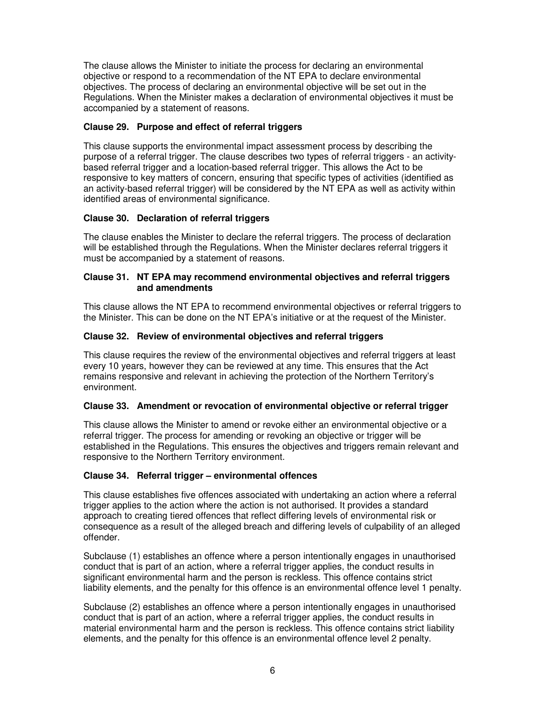The clause allows the Minister to initiate the process for declaring an environmental objective or respond to a recommendation of the NT EPA to declare environmental objectives. The process of declaring an environmental objective will be set out in the Regulations. When the Minister makes a declaration of environmental objectives it must be accompanied by a statement of reasons.

# **Clause 29. Purpose and effect of referral triggers**

This clause supports the environmental impact assessment process by describing the purpose of a referral trigger. The clause describes two types of referral triggers - an activitybased referral trigger and a location-based referral trigger. This allows the Act to be responsive to key matters of concern, ensuring that specific types of activities (identified as an activity-based referral trigger) will be considered by the NT EPA as well as activity within identified areas of environmental significance.

# **Clause 30. Declaration of referral triggers**

The clause enables the Minister to declare the referral triggers. The process of declaration will be established through the Regulations. When the Minister declares referral triggers it must be accompanied by a statement of reasons.

### **Clause 31. NT EPA may recommend environmental objectives and referral triggers and amendments**

This clause allows the NT EPA to recommend environmental objectives or referral triggers to the Minister. This can be done on the NT EPA's initiative or at the request of the Minister.

# **Clause 32. Review of environmental objectives and referral triggers**

This clause requires the review of the environmental objectives and referral triggers at least every 10 years, however they can be reviewed at any time. This ensures that the Act remains responsive and relevant in achieving the protection of the Northern Territory's environment.

# **Clause 33. Amendment or revocation of environmental objective or referral trigger**

This clause allows the Minister to amend or revoke either an environmental objective or a referral trigger. The process for amending or revoking an objective or trigger will be established in the Regulations. This ensures the objectives and triggers remain relevant and responsive to the Northern Territory environment.

# **Clause 34. Referral trigger – environmental offences**

This clause establishes five offences associated with undertaking an action where a referral trigger applies to the action where the action is not authorised. It provides a standard approach to creating tiered offences that reflect differing levels of environmental risk or consequence as a result of the alleged breach and differing levels of culpability of an alleged offender.

Subclause (1) establishes an offence where a person intentionally engages in unauthorised conduct that is part of an action, where a referral trigger applies, the conduct results in significant environmental harm and the person is reckless. This offence contains strict liability elements, and the penalty for this offence is an environmental offence level 1 penalty.

Subclause (2) establishes an offence where a person intentionally engages in unauthorised conduct that is part of an action, where a referral trigger applies, the conduct results in material environmental harm and the person is reckless. This offence contains strict liability elements, and the penalty for this offence is an environmental offence level 2 penalty.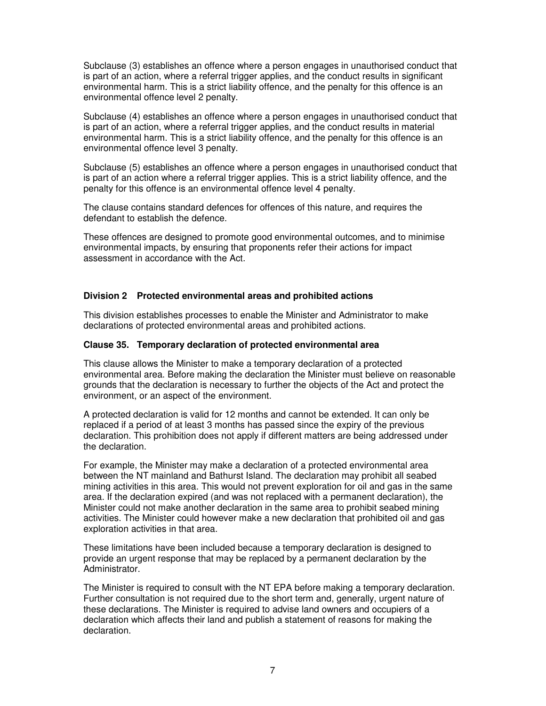Subclause (3) establishes an offence where a person engages in unauthorised conduct that is part of an action, where a referral trigger applies, and the conduct results in significant environmental harm. This is a strict liability offence, and the penalty for this offence is an environmental offence level 2 penalty.

Subclause (4) establishes an offence where a person engages in unauthorised conduct that is part of an action, where a referral trigger applies, and the conduct results in material environmental harm. This is a strict liability offence, and the penalty for this offence is an environmental offence level 3 penalty.

Subclause (5) establishes an offence where a person engages in unauthorised conduct that is part of an action where a referral trigger applies. This is a strict liability offence, and the penalty for this offence is an environmental offence level 4 penalty.

The clause contains standard defences for offences of this nature, and requires the defendant to establish the defence.

These offences are designed to promote good environmental outcomes, and to minimise environmental impacts, by ensuring that proponents refer their actions for impact assessment in accordance with the Act.

### **Division 2 Protected environmental areas and prohibited actions**

This division establishes processes to enable the Minister and Administrator to make declarations of protected environmental areas and prohibited actions.

#### **Clause 35. Temporary declaration of protected environmental area**

This clause allows the Minister to make a temporary declaration of a protected environmental area. Before making the declaration the Minister must believe on reasonable grounds that the declaration is necessary to further the objects of the Act and protect the environment, or an aspect of the environment.

A protected declaration is valid for 12 months and cannot be extended. It can only be replaced if a period of at least 3 months has passed since the expiry of the previous declaration. This prohibition does not apply if different matters are being addressed under the declaration.

For example, the Minister may make a declaration of a protected environmental area between the NT mainland and Bathurst Island. The declaration may prohibit all seabed mining activities in this area. This would not prevent exploration for oil and gas in the same area. If the declaration expired (and was not replaced with a permanent declaration), the Minister could not make another declaration in the same area to prohibit seabed mining activities. The Minister could however make a new declaration that prohibited oil and gas exploration activities in that area.

These limitations have been included because a temporary declaration is designed to provide an urgent response that may be replaced by a permanent declaration by the Administrator.

The Minister is required to consult with the NT EPA before making a temporary declaration. Further consultation is not required due to the short term and, generally, urgent nature of these declarations. The Minister is required to advise land owners and occupiers of a declaration which affects their land and publish a statement of reasons for making the declaration.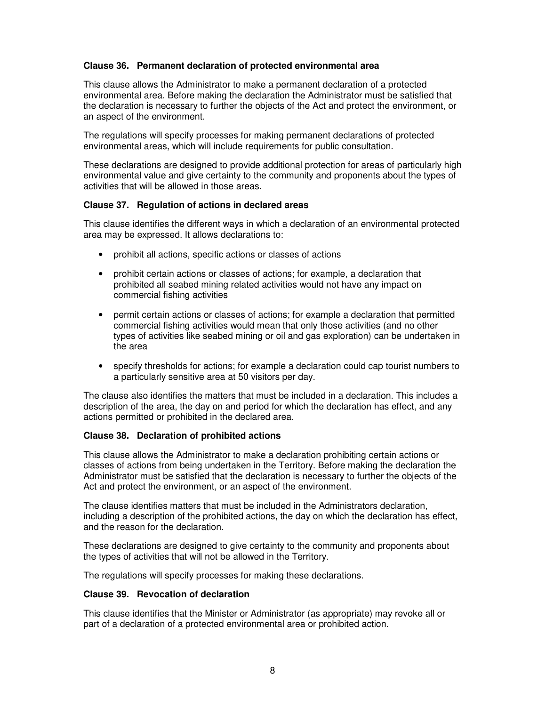# **Clause 36. Permanent declaration of protected environmental area**

This clause allows the Administrator to make a permanent declaration of a protected environmental area. Before making the declaration the Administrator must be satisfied that the declaration is necessary to further the objects of the Act and protect the environment, or an aspect of the environment.

The regulations will specify processes for making permanent declarations of protected environmental areas, which will include requirements for public consultation.

These declarations are designed to provide additional protection for areas of particularly high environmental value and give certainty to the community and proponents about the types of activities that will be allowed in those areas.

### **Clause 37. Regulation of actions in declared areas**

This clause identifies the different ways in which a declaration of an environmental protected area may be expressed. It allows declarations to:

- prohibit all actions, specific actions or classes of actions
- prohibit certain actions or classes of actions; for example, a declaration that prohibited all seabed mining related activities would not have any impact on commercial fishing activities
- permit certain actions or classes of actions; for example a declaration that permitted commercial fishing activities would mean that only those activities (and no other types of activities like seabed mining or oil and gas exploration) can be undertaken in the area
- specify thresholds for actions; for example a declaration could cap tourist numbers to a particularly sensitive area at 50 visitors per day.

The clause also identifies the matters that must be included in a declaration. This includes a description of the area, the day on and period for which the declaration has effect, and any actions permitted or prohibited in the declared area.

# **Clause 38. Declaration of prohibited actions**

This clause allows the Administrator to make a declaration prohibiting certain actions or classes of actions from being undertaken in the Territory. Before making the declaration the Administrator must be satisfied that the declaration is necessary to further the objects of the Act and protect the environment, or an aspect of the environment.

The clause identifies matters that must be included in the Administrators declaration, including a description of the prohibited actions, the day on which the declaration has effect, and the reason for the declaration.

These declarations are designed to give certainty to the community and proponents about the types of activities that will not be allowed in the Territory.

The regulations will specify processes for making these declarations.

# **Clause 39. Revocation of declaration**

This clause identifies that the Minister or Administrator (as appropriate) may revoke all or part of a declaration of a protected environmental area or prohibited action.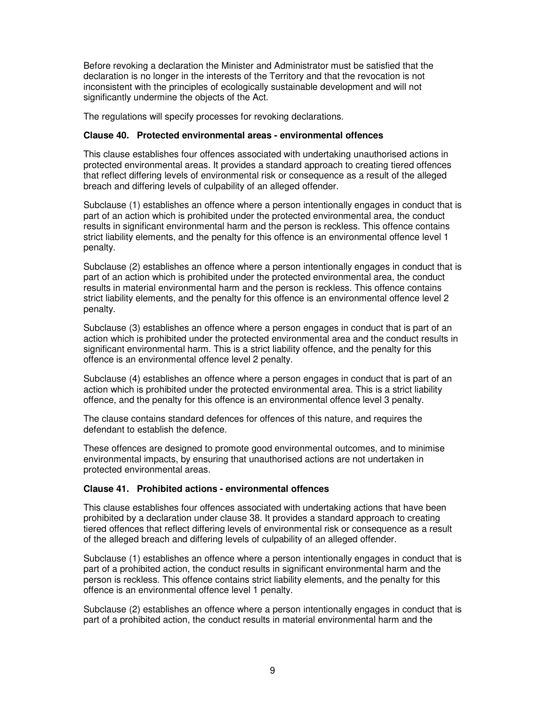Before revoking a declaration the Minister and Administrator must be satisfied that the declaration is no longer in the interests of the Territory and that the revocation is not inconsistent with the principles of ecologically sustainable development and will not significantly undermine the objects of the Act.

The regulations will specify processes for revoking declarations.

# **Clause 40. Protected environmental areas - environmental offences**

This clause establishes four offences associated with undertaking unauthorised actions in protected environmental areas. It provides a standard approach to creating tiered offences that reflect differing levels of environmental risk or consequence as a result of the alleged breach and differing levels of culpability of an alleged offender.

Subclause (1) establishes an offence where a person intentionally engages in conduct that is part of an action which is prohibited under the protected environmental area, the conduct results in significant environmental harm and the person is reckless. This offence contains strict liability elements, and the penalty for this offence is an environmental offence level 1 penalty.

Subclause (2) establishes an offence where a person intentionally engages in conduct that is part of an action which is prohibited under the protected environmental area, the conduct results in material environmental harm and the person is reckless. This offence contains strict liability elements, and the penalty for this offence is an environmental offence level 2 penalty.

Subclause (3) establishes an offence where a person engages in conduct that is part of an action which is prohibited under the protected environmental area and the conduct results in significant environmental harm. This is a strict liability offence, and the penalty for this offence is an environmental offence level 2 penalty.

Subclause (4) establishes an offence where a person engages in conduct that is part of an action which is prohibited under the protected environmental area. This is a strict liability offence, and the penalty for this offence is an environmental offence level 3 penalty.

The clause contains standard defences for offences of this nature, and requires the defendant to establish the defence.

These offences are designed to promote good environmental outcomes, and to minimise environmental impacts, by ensuring that unauthorised actions are not undertaken in protected environmental areas.

#### **Clause 41. Prohibited actions - environmental offences**

This clause establishes four offences associated with undertaking actions that have been prohibited by a declaration under clause 38. It provides a standard approach to creating tiered offences that reflect differing levels of environmental risk or consequence as a result of the alleged breach and differing levels of culpability of an alleged offender.

Subclause (1) establishes an offence where a person intentionally engages in conduct that is part of a prohibited action, the conduct results in significant environmental harm and the person is reckless. This offence contains strict liability elements, and the penalty for this offence is an environmental offence level 1 penalty.

Subclause (2) establishes an offence where a person intentionally engages in conduct that is part of a prohibited action, the conduct results in material environmental harm and the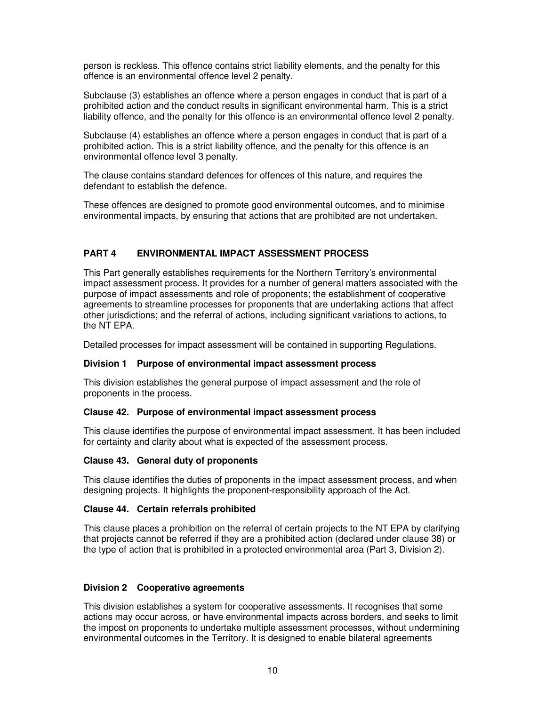person is reckless. This offence contains strict liability elements, and the penalty for this offence is an environmental offence level 2 penalty.

Subclause (3) establishes an offence where a person engages in conduct that is part of a prohibited action and the conduct results in significant environmental harm. This is a strict liability offence, and the penalty for this offence is an environmental offence level 2 penalty.

Subclause (4) establishes an offence where a person engages in conduct that is part of a prohibited action. This is a strict liability offence, and the penalty for this offence is an environmental offence level 3 penalty.

The clause contains standard defences for offences of this nature, and requires the defendant to establish the defence.

These offences are designed to promote good environmental outcomes, and to minimise environmental impacts, by ensuring that actions that are prohibited are not undertaken.

# **PART 4 ENVIRONMENTAL IMPACT ASSESSMENT PROCESS**

This Part generally establishes requirements for the Northern Territory's environmental impact assessment process. It provides for a number of general matters associated with the purpose of impact assessments and role of proponents; the establishment of cooperative agreements to streamline processes for proponents that are undertaking actions that affect other jurisdictions; and the referral of actions, including significant variations to actions, to the NT EPA.

Detailed processes for impact assessment will be contained in supporting Regulations.

# **Division 1 Purpose of environmental impact assessment process**

This division establishes the general purpose of impact assessment and the role of proponents in the process.

#### **Clause 42. Purpose of environmental impact assessment process**

This clause identifies the purpose of environmental impact assessment. It has been included for certainty and clarity about what is expected of the assessment process.

# **Clause 43. General duty of proponents**

This clause identifies the duties of proponents in the impact assessment process, and when designing projects. It highlights the proponent-responsibility approach of the Act.

# **Clause 44. Certain referrals prohibited**

This clause places a prohibition on the referral of certain projects to the NT EPA by clarifying that projects cannot be referred if they are a prohibited action (declared under clause 38) or the type of action that is prohibited in a protected environmental area (Part 3, Division 2).

# **Division 2 Cooperative agreements**

This division establishes a system for cooperative assessments. It recognises that some actions may occur across, or have environmental impacts across borders, and seeks to limit the impost on proponents to undertake multiple assessment processes, without undermining environmental outcomes in the Territory. It is designed to enable bilateral agreements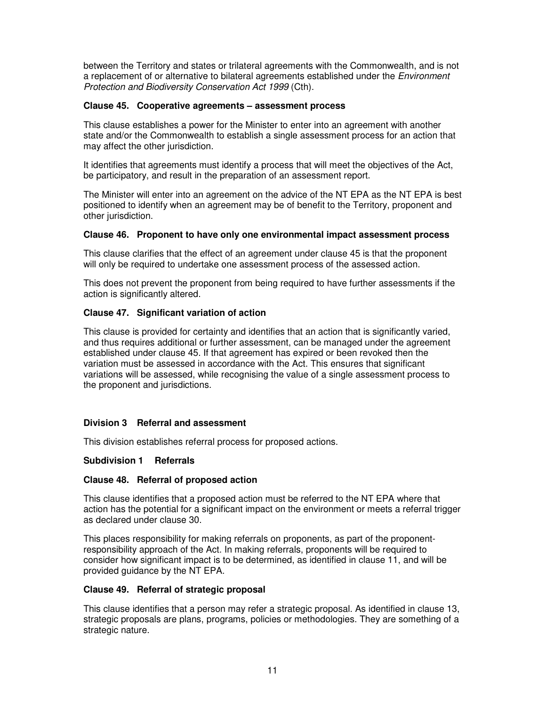between the Territory and states or trilateral agreements with the Commonwealth, and is not a replacement of or alternative to bilateral agreements established under the *Environment* Protection and Biodiversity Conservation Act 1999 (Cth).

### **Clause 45. Cooperative agreements – assessment process**

This clause establishes a power for the Minister to enter into an agreement with another state and/or the Commonwealth to establish a single assessment process for an action that may affect the other jurisdiction.

It identifies that agreements must identify a process that will meet the objectives of the Act, be participatory, and result in the preparation of an assessment report.

The Minister will enter into an agreement on the advice of the NT EPA as the NT EPA is best positioned to identify when an agreement may be of benefit to the Territory, proponent and other jurisdiction.

### **Clause 46. Proponent to have only one environmental impact assessment process**

This clause clarifies that the effect of an agreement under clause 45 is that the proponent will only be required to undertake one assessment process of the assessed action.

This does not prevent the proponent from being required to have further assessments if the action is significantly altered.

# **Clause 47. Significant variation of action**

This clause is provided for certainty and identifies that an action that is significantly varied, and thus requires additional or further assessment, can be managed under the agreement established under clause 45. If that agreement has expired or been revoked then the variation must be assessed in accordance with the Act. This ensures that significant variations will be assessed, while recognising the value of a single assessment process to the proponent and jurisdictions.

# **Division 3 Referral and assessment**

This division establishes referral process for proposed actions.

# **Subdivision 1 Referrals**

#### **Clause 48. Referral of proposed action**

This clause identifies that a proposed action must be referred to the NT EPA where that action has the potential for a significant impact on the environment or meets a referral trigger as declared under clause 30.

This places responsibility for making referrals on proponents, as part of the proponentresponsibility approach of the Act. In making referrals, proponents will be required to consider how significant impact is to be determined, as identified in clause 11, and will be provided guidance by the NT EPA.

#### **Clause 49. Referral of strategic proposal**

This clause identifies that a person may refer a strategic proposal. As identified in clause 13, strategic proposals are plans, programs, policies or methodologies. They are something of a strategic nature.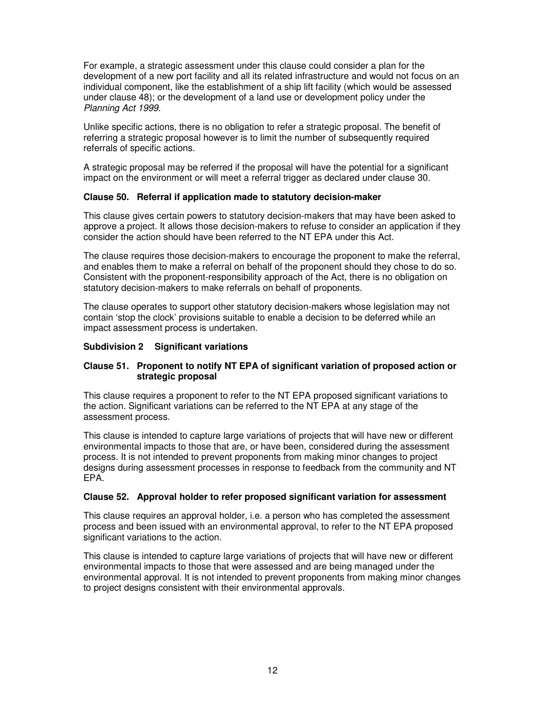For example, a strategic assessment under this clause could consider a plan for the development of a new port facility and all its related infrastructure and would not focus on an individual component, like the establishment of a ship lift facility (which would be assessed under clause 48); or the development of a land use or development policy under the Planning Act 1999.

Unlike specific actions, there is no obligation to refer a strategic proposal. The benefit of referring a strategic proposal however is to limit the number of subsequently required referrals of specific actions.

A strategic proposal may be referred if the proposal will have the potential for a significant impact on the environment or will meet a referral trigger as declared under clause 30.

### **Clause 50. Referral if application made to statutory decision-maker**

This clause gives certain powers to statutory decision-makers that may have been asked to approve a project. It allows those decision-makers to refuse to consider an application if they consider the action should have been referred to the NT EPA under this Act.

The clause requires those decision-makers to encourage the proponent to make the referral, and enables them to make a referral on behalf of the proponent should they chose to do so. Consistent with the proponent-responsibility approach of the Act, there is no obligation on statutory decision-makers to make referrals on behalf of proponents.

The clause operates to support other statutory decision-makers whose legislation may not contain 'stop the clock' provisions suitable to enable a decision to be deferred while an impact assessment process is undertaken.

### **Subdivision 2 Significant variations**

### **Clause 51. Proponent to notify NT EPA of significant variation of proposed action or strategic proposal**

This clause requires a proponent to refer to the NT EPA proposed significant variations to the action. Significant variations can be referred to the NT EPA at any stage of the assessment process.

This clause is intended to capture large variations of projects that will have new or different environmental impacts to those that are, or have been, considered during the assessment process. It is not intended to prevent proponents from making minor changes to project designs during assessment processes in response to feedback from the community and NT EPA.

#### **Clause 52. Approval holder to refer proposed significant variation for assessment**

This clause requires an approval holder, i.e. a person who has completed the assessment process and been issued with an environmental approval, to refer to the NT EPA proposed significant variations to the action.

This clause is intended to capture large variations of projects that will have new or different environmental impacts to those that were assessed and are being managed under the environmental approval. It is not intended to prevent proponents from making minor changes to project designs consistent with their environmental approvals.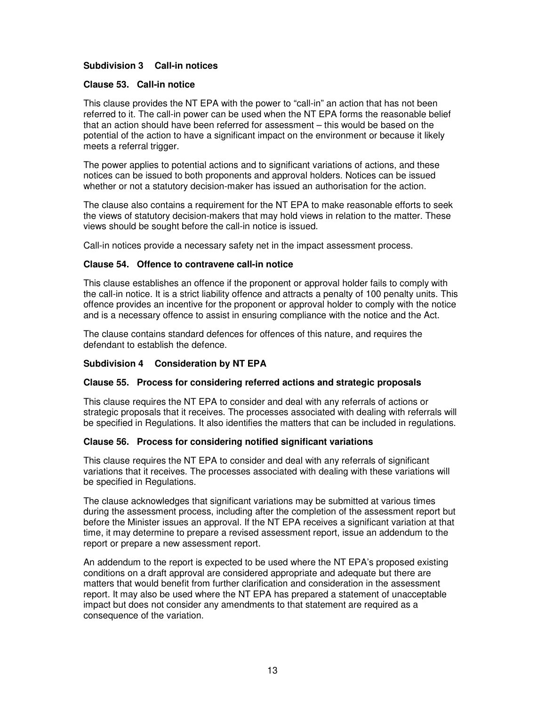# **Subdivision 3 Call-in notices**

### **Clause 53. Call-in notice**

This clause provides the NT EPA with the power to "call-in" an action that has not been referred to it. The call-in power can be used when the NT EPA forms the reasonable belief that an action should have been referred for assessment – this would be based on the potential of the action to have a significant impact on the environment or because it likely meets a referral trigger.

The power applies to potential actions and to significant variations of actions, and these notices can be issued to both proponents and approval holders. Notices can be issued whether or not a statutory decision-maker has issued an authorisation for the action.

The clause also contains a requirement for the NT EPA to make reasonable efforts to seek the views of statutory decision-makers that may hold views in relation to the matter. These views should be sought before the call-in notice is issued.

Call-in notices provide a necessary safety net in the impact assessment process.

### **Clause 54. Offence to contravene call-in notice**

This clause establishes an offence if the proponent or approval holder fails to comply with the call-in notice. It is a strict liability offence and attracts a penalty of 100 penalty units. This offence provides an incentive for the proponent or approval holder to comply with the notice and is a necessary offence to assist in ensuring compliance with the notice and the Act.

The clause contains standard defences for offences of this nature, and requires the defendant to establish the defence.

# **Subdivision 4 Consideration by NT EPA**

#### **Clause 55. Process for considering referred actions and strategic proposals**

This clause requires the NT EPA to consider and deal with any referrals of actions or strategic proposals that it receives. The processes associated with dealing with referrals will be specified in Regulations. It also identifies the matters that can be included in regulations.

#### **Clause 56. Process for considering notified significant variations**

This clause requires the NT EPA to consider and deal with any referrals of significant variations that it receives. The processes associated with dealing with these variations will be specified in Regulations.

The clause acknowledges that significant variations may be submitted at various times during the assessment process, including after the completion of the assessment report but before the Minister issues an approval. If the NT EPA receives a significant variation at that time, it may determine to prepare a revised assessment report, issue an addendum to the report or prepare a new assessment report.

An addendum to the report is expected to be used where the NT EPA's proposed existing conditions on a draft approval are considered appropriate and adequate but there are matters that would benefit from further clarification and consideration in the assessment report. It may also be used where the NT EPA has prepared a statement of unacceptable impact but does not consider any amendments to that statement are required as a consequence of the variation.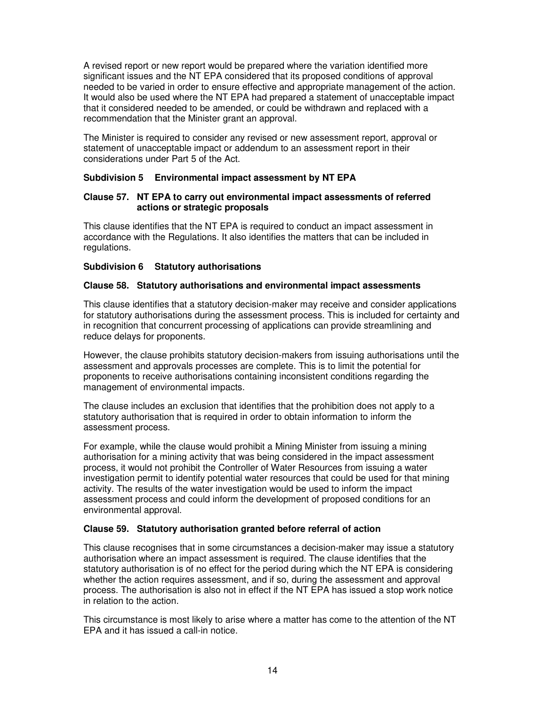A revised report or new report would be prepared where the variation identified more significant issues and the NT EPA considered that its proposed conditions of approval needed to be varied in order to ensure effective and appropriate management of the action. It would also be used where the NT EPA had prepared a statement of unacceptable impact that it considered needed to be amended, or could be withdrawn and replaced with a recommendation that the Minister grant an approval.

The Minister is required to consider any revised or new assessment report, approval or statement of unacceptable impact or addendum to an assessment report in their considerations under Part 5 of the Act.

# **Subdivision 5 Environmental impact assessment by NT EPA**

# **Clause 57. NT EPA to carry out environmental impact assessments of referred actions or strategic proposals**

This clause identifies that the NT EPA is required to conduct an impact assessment in accordance with the Regulations. It also identifies the matters that can be included in regulations.

# **Subdivision 6 Statutory authorisations**

# **Clause 58. Statutory authorisations and environmental impact assessments**

This clause identifies that a statutory decision-maker may receive and consider applications for statutory authorisations during the assessment process. This is included for certainty and in recognition that concurrent processing of applications can provide streamlining and reduce delays for proponents.

However, the clause prohibits statutory decision-makers from issuing authorisations until the assessment and approvals processes are complete. This is to limit the potential for proponents to receive authorisations containing inconsistent conditions regarding the management of environmental impacts.

The clause includes an exclusion that identifies that the prohibition does not apply to a statutory authorisation that is required in order to obtain information to inform the assessment process.

For example, while the clause would prohibit a Mining Minister from issuing a mining authorisation for a mining activity that was being considered in the impact assessment process, it would not prohibit the Controller of Water Resources from issuing a water investigation permit to identify potential water resources that could be used for that mining activity. The results of the water investigation would be used to inform the impact assessment process and could inform the development of proposed conditions for an environmental approval.

# **Clause 59. Statutory authorisation granted before referral of action**

This clause recognises that in some circumstances a decision-maker may issue a statutory authorisation where an impact assessment is required. The clause identifies that the statutory authorisation is of no effect for the period during which the NT EPA is considering whether the action requires assessment, and if so, during the assessment and approval process. The authorisation is also not in effect if the NT EPA has issued a stop work notice in relation to the action.

This circumstance is most likely to arise where a matter has come to the attention of the NT EPA and it has issued a call-in notice.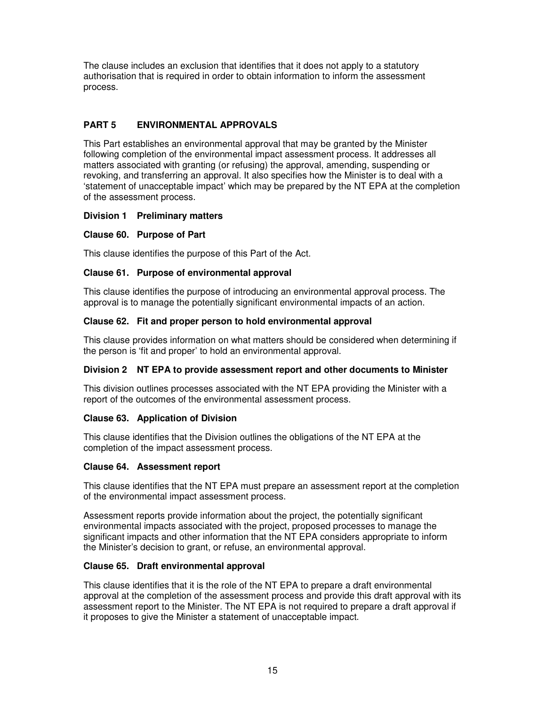The clause includes an exclusion that identifies that it does not apply to a statutory authorisation that is required in order to obtain information to inform the assessment process.

# **PART 5 ENVIRONMENTAL APPROVALS**

This Part establishes an environmental approval that may be granted by the Minister following completion of the environmental impact assessment process. It addresses all matters associated with granting (or refusing) the approval, amending, suspending or revoking, and transferring an approval. It also specifies how the Minister is to deal with a 'statement of unacceptable impact' which may be prepared by the NT EPA at the completion of the assessment process.

# **Division 1 Preliminary matters**

# **Clause 60. Purpose of Part**

This clause identifies the purpose of this Part of the Act.

# **Clause 61. Purpose of environmental approval**

This clause identifies the purpose of introducing an environmental approval process. The approval is to manage the potentially significant environmental impacts of an action.

# **Clause 62. Fit and proper person to hold environmental approval**

This clause provides information on what matters should be considered when determining if the person is 'fit and proper' to hold an environmental approval.

# **Division 2 NT EPA to provide assessment report and other documents to Minister**

This division outlines processes associated with the NT EPA providing the Minister with a report of the outcomes of the environmental assessment process.

# **Clause 63. Application of Division**

This clause identifies that the Division outlines the obligations of the NT EPA at the completion of the impact assessment process.

# **Clause 64. Assessment report**

This clause identifies that the NT EPA must prepare an assessment report at the completion of the environmental impact assessment process.

Assessment reports provide information about the project, the potentially significant environmental impacts associated with the project, proposed processes to manage the significant impacts and other information that the NT EPA considers appropriate to inform the Minister's decision to grant, or refuse, an environmental approval.

# **Clause 65. Draft environmental approval**

This clause identifies that it is the role of the NT EPA to prepare a draft environmental approval at the completion of the assessment process and provide this draft approval with its assessment report to the Minister. The NT EPA is not required to prepare a draft approval if it proposes to give the Minister a statement of unacceptable impact.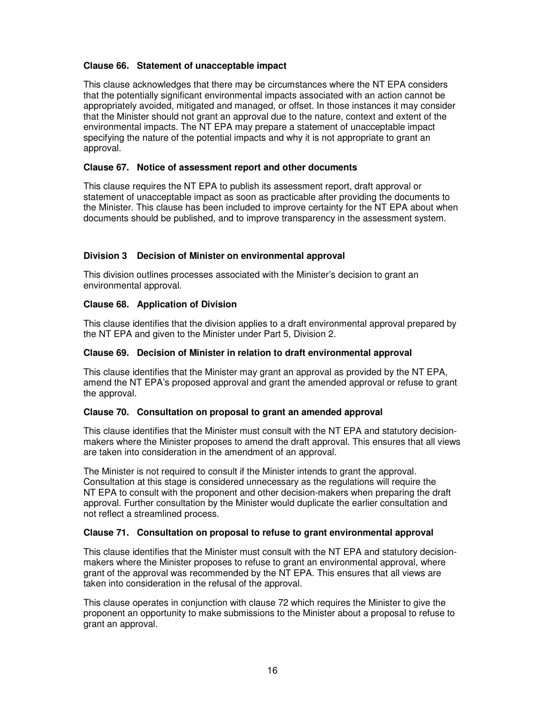# **Clause 66. Statement of unacceptable impact**

This clause acknowledges that there may be circumstances where the NT EPA considers that the potentially significant environmental impacts associated with an action cannot be appropriately avoided, mitigated and managed, or offset. In those instances it may consider that the Minister should not grant an approval due to the nature, context and extent of the environmental impacts. The NT EPA may prepare a statement of unacceptable impact specifying the nature of the potential impacts and why it is not appropriate to grant an approval.

# **Clause 67. Notice of assessment report and other documents**

This clause requires the NT EPA to publish its assessment report, draft approval or statement of unacceptable impact as soon as practicable after providing the documents to the Minister. This clause has been included to improve certainty for the NT EPA about when documents should be published, and to improve transparency in the assessment system.

# **Division 3 Decision of Minister on environmental approval**

This division outlines processes associated with the Minister's decision to grant an environmental approval.

# **Clause 68. Application of Division**

This clause identifies that the division applies to a draft environmental approval prepared by the NT EPA and given to the Minister under Part 5, Division 2.

# **Clause 69. Decision of Minister in relation to draft environmental approval**

This clause identifies that the Minister may grant an approval as provided by the NT EPA, amend the NT EPA's proposed approval and grant the amended approval or refuse to grant the approval.

# **Clause 70. Consultation on proposal to grant an amended approval**

This clause identifies that the Minister must consult with the NT EPA and statutory decisionmakers where the Minister proposes to amend the draft approval. This ensures that all views are taken into consideration in the amendment of an approval.

The Minister is not required to consult if the Minister intends to grant the approval. Consultation at this stage is considered unnecessary as the regulations will require the NT EPA to consult with the proponent and other decision-makers when preparing the draft approval. Further consultation by the Minister would duplicate the earlier consultation and not reflect a streamlined process.

# **Clause 71. Consultation on proposal to refuse to grant environmental approval**

This clause identifies that the Minister must consult with the NT EPA and statutory decisionmakers where the Minister proposes to refuse to grant an environmental approval, where grant of the approval was recommended by the NT EPA. This ensures that all views are taken into consideration in the refusal of the approval.

This clause operates in conjunction with clause 72 which requires the Minister to give the proponent an opportunity to make submissions to the Minister about a proposal to refuse to grant an approval.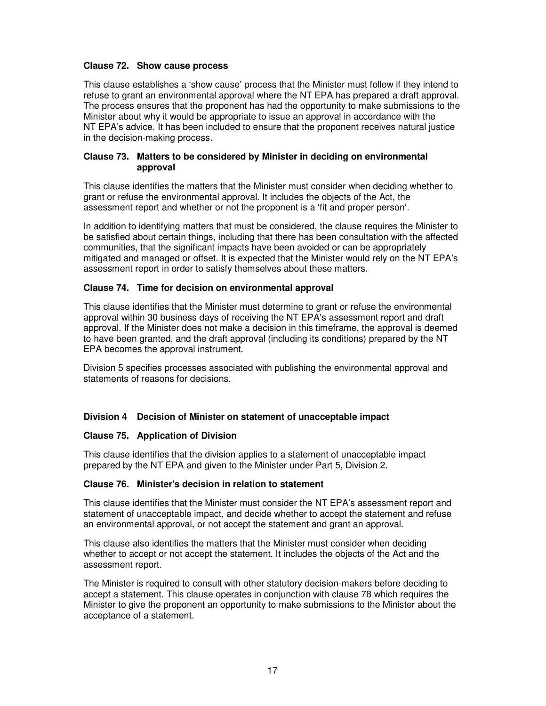# **Clause 72. Show cause process**

This clause establishes a 'show cause' process that the Minister must follow if they intend to refuse to grant an environmental approval where the NT EPA has prepared a draft approval. The process ensures that the proponent has had the opportunity to make submissions to the Minister about why it would be appropriate to issue an approval in accordance with the NT EPA's advice. It has been included to ensure that the proponent receives natural justice in the decision-making process.

# **Clause 73. Matters to be considered by Minister in deciding on environmental approval**

This clause identifies the matters that the Minister must consider when deciding whether to grant or refuse the environmental approval. It includes the objects of the Act, the assessment report and whether or not the proponent is a 'fit and proper person'.

In addition to identifying matters that must be considered, the clause requires the Minister to be satisfied about certain things, including that there has been consultation with the affected communities, that the significant impacts have been avoided or can be appropriately mitigated and managed or offset. It is expected that the Minister would rely on the NT EPA's assessment report in order to satisfy themselves about these matters.

# **Clause 74. Time for decision on environmental approval**

This clause identifies that the Minister must determine to grant or refuse the environmental approval within 30 business days of receiving the NT EPA's assessment report and draft approval. If the Minister does not make a decision in this timeframe, the approval is deemed to have been granted, and the draft approval (including its conditions) prepared by the NT EPA becomes the approval instrument.

Division 5 specifies processes associated with publishing the environmental approval and statements of reasons for decisions.

# **Division 4 Decision of Minister on statement of unacceptable impact**

# **Clause 75. Application of Division**

This clause identifies that the division applies to a statement of unacceptable impact prepared by the NT EPA and given to the Minister under Part 5, Division 2.

# **Clause 76. Minister's decision in relation to statement**

This clause identifies that the Minister must consider the NT EPA's assessment report and statement of unacceptable impact, and decide whether to accept the statement and refuse an environmental approval, or not accept the statement and grant an approval.

This clause also identifies the matters that the Minister must consider when deciding whether to accept or not accept the statement. It includes the objects of the Act and the assessment report.

The Minister is required to consult with other statutory decision-makers before deciding to accept a statement. This clause operates in conjunction with clause 78 which requires the Minister to give the proponent an opportunity to make submissions to the Minister about the acceptance of a statement.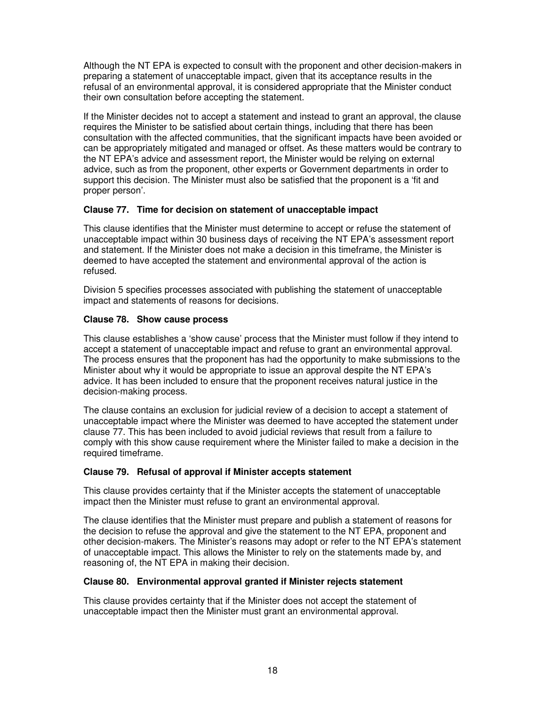Although the NT EPA is expected to consult with the proponent and other decision-makers in preparing a statement of unacceptable impact, given that its acceptance results in the refusal of an environmental approval, it is considered appropriate that the Minister conduct their own consultation before accepting the statement.

If the Minister decides not to accept a statement and instead to grant an approval, the clause requires the Minister to be satisfied about certain things, including that there has been consultation with the affected communities, that the significant impacts have been avoided or can be appropriately mitigated and managed or offset. As these matters would be contrary to the NT EPA's advice and assessment report, the Minister would be relying on external advice, such as from the proponent, other experts or Government departments in order to support this decision. The Minister must also be satisfied that the proponent is a 'fit and proper person'.

# **Clause 77. Time for decision on statement of unacceptable impact**

This clause identifies that the Minister must determine to accept or refuse the statement of unacceptable impact within 30 business days of receiving the NT EPA's assessment report and statement. If the Minister does not make a decision in this timeframe, the Minister is deemed to have accepted the statement and environmental approval of the action is refused.

Division 5 specifies processes associated with publishing the statement of unacceptable impact and statements of reasons for decisions.

### **Clause 78. Show cause process**

This clause establishes a 'show cause' process that the Minister must follow if they intend to accept a statement of unacceptable impact and refuse to grant an environmental approval. The process ensures that the proponent has had the opportunity to make submissions to the Minister about why it would be appropriate to issue an approval despite the NT EPA's advice. It has been included to ensure that the proponent receives natural justice in the decision-making process.

The clause contains an exclusion for judicial review of a decision to accept a statement of unacceptable impact where the Minister was deemed to have accepted the statement under clause 77. This has been included to avoid judicial reviews that result from a failure to comply with this show cause requirement where the Minister failed to make a decision in the required timeframe.

#### **Clause 79. Refusal of approval if Minister accepts statement**

This clause provides certainty that if the Minister accepts the statement of unacceptable impact then the Minister must refuse to grant an environmental approval.

The clause identifies that the Minister must prepare and publish a statement of reasons for the decision to refuse the approval and give the statement to the NT EPA, proponent and other decision-makers. The Minister's reasons may adopt or refer to the NT EPA's statement of unacceptable impact. This allows the Minister to rely on the statements made by, and reasoning of, the NT EPA in making their decision.

# **Clause 80. Environmental approval granted if Minister rejects statement**

This clause provides certainty that if the Minister does not accept the statement of unacceptable impact then the Minister must grant an environmental approval.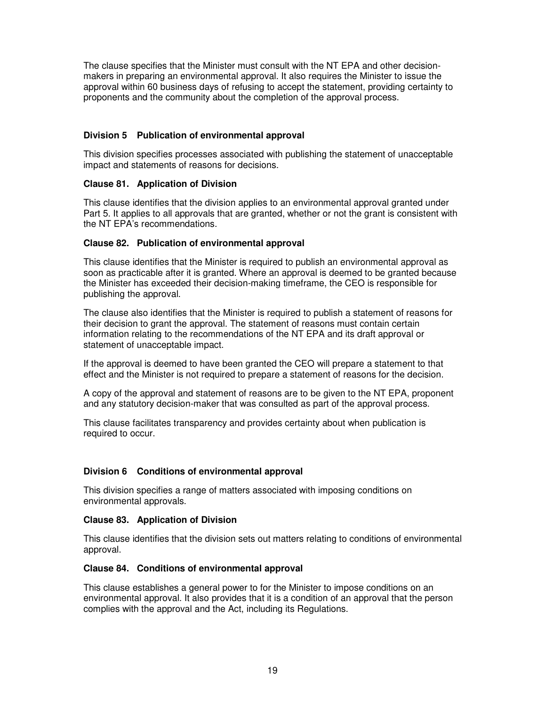The clause specifies that the Minister must consult with the NT EPA and other decisionmakers in preparing an environmental approval. It also requires the Minister to issue the approval within 60 business days of refusing to accept the statement, providing certainty to proponents and the community about the completion of the approval process.

# **Division 5 Publication of environmental approval**

This division specifies processes associated with publishing the statement of unacceptable impact and statements of reasons for decisions.

# **Clause 81. Application of Division**

This clause identifies that the division applies to an environmental approval granted under Part 5. It applies to all approvals that are granted, whether or not the grant is consistent with the NT EPA's recommendations.

# **Clause 82. Publication of environmental approval**

This clause identifies that the Minister is required to publish an environmental approval as soon as practicable after it is granted. Where an approval is deemed to be granted because the Minister has exceeded their decision-making timeframe, the CEO is responsible for publishing the approval.

The clause also identifies that the Minister is required to publish a statement of reasons for their decision to grant the approval. The statement of reasons must contain certain information relating to the recommendations of the NT EPA and its draft approval or statement of unacceptable impact.

If the approval is deemed to have been granted the CEO will prepare a statement to that effect and the Minister is not required to prepare a statement of reasons for the decision.

A copy of the approval and statement of reasons are to be given to the NT EPA, proponent and any statutory decision-maker that was consulted as part of the approval process.

This clause facilitates transparency and provides certainty about when publication is required to occur.

# **Division 6 Conditions of environmental approval**

This division specifies a range of matters associated with imposing conditions on environmental approvals.

# **Clause 83. Application of Division**

This clause identifies that the division sets out matters relating to conditions of environmental approval.

# **Clause 84. Conditions of environmental approval**

This clause establishes a general power to for the Minister to impose conditions on an environmental approval. It also provides that it is a condition of an approval that the person complies with the approval and the Act, including its Regulations.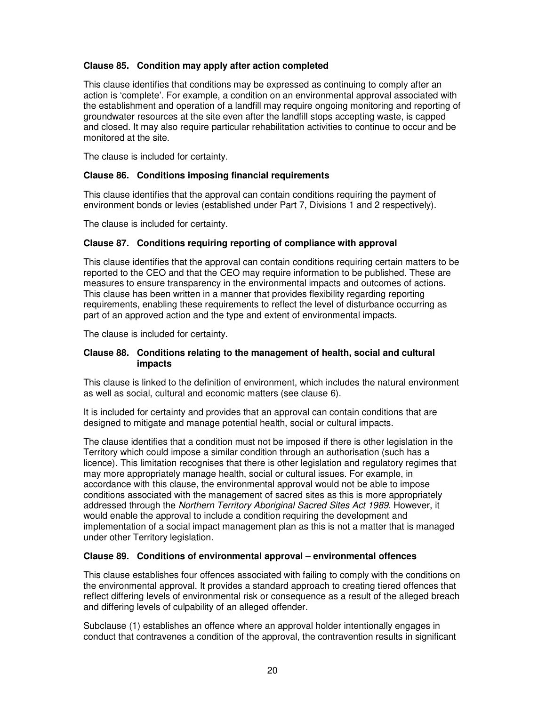# **Clause 85. Condition may apply after action completed**

This clause identifies that conditions may be expressed as continuing to comply after an action is 'complete'. For example, a condition on an environmental approval associated with the establishment and operation of a landfill may require ongoing monitoring and reporting of groundwater resources at the site even after the landfill stops accepting waste, is capped and closed. It may also require particular rehabilitation activities to continue to occur and be monitored at the site.

The clause is included for certainty.

### **Clause 86. Conditions imposing financial requirements**

This clause identifies that the approval can contain conditions requiring the payment of environment bonds or levies (established under Part 7, Divisions 1 and 2 respectively).

The clause is included for certainty.

# **Clause 87. Conditions requiring reporting of compliance with approval**

This clause identifies that the approval can contain conditions requiring certain matters to be reported to the CEO and that the CEO may require information to be published. These are measures to ensure transparency in the environmental impacts and outcomes of actions. This clause has been written in a manner that provides flexibility regarding reporting requirements, enabling these requirements to reflect the level of disturbance occurring as part of an approved action and the type and extent of environmental impacts.

The clause is included for certainty.

### **Clause 88. Conditions relating to the management of health, social and cultural impacts**

This clause is linked to the definition of environment, which includes the natural environment as well as social, cultural and economic matters (see clause 6).

It is included for certainty and provides that an approval can contain conditions that are designed to mitigate and manage potential health, social or cultural impacts.

The clause identifies that a condition must not be imposed if there is other legislation in the Territory which could impose a similar condition through an authorisation (such has a licence). This limitation recognises that there is other legislation and regulatory regimes that may more appropriately manage health, social or cultural issues. For example, in accordance with this clause, the environmental approval would not be able to impose conditions associated with the management of sacred sites as this is more appropriately addressed through the Northern Territory Aboriginal Sacred Sites Act 1989. However, it would enable the approval to include a condition requiring the development and implementation of a social impact management plan as this is not a matter that is managed under other Territory legislation.

# **Clause 89. Conditions of environmental approval – environmental offences**

This clause establishes four offences associated with failing to comply with the conditions on the environmental approval. It provides a standard approach to creating tiered offences that reflect differing levels of environmental risk or consequence as a result of the alleged breach and differing levels of culpability of an alleged offender.

Subclause (1) establishes an offence where an approval holder intentionally engages in conduct that contravenes a condition of the approval, the contravention results in significant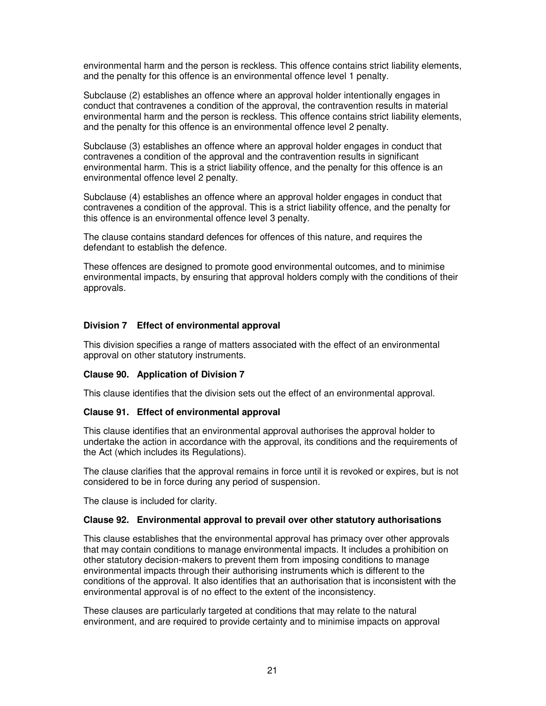environmental harm and the person is reckless. This offence contains strict liability elements, and the penalty for this offence is an environmental offence level 1 penalty.

Subclause (2) establishes an offence where an approval holder intentionally engages in conduct that contravenes a condition of the approval, the contravention results in material environmental harm and the person is reckless. This offence contains strict liability elements, and the penalty for this offence is an environmental offence level 2 penalty.

Subclause (3) establishes an offence where an approval holder engages in conduct that contravenes a condition of the approval and the contravention results in significant environmental harm. This is a strict liability offence, and the penalty for this offence is an environmental offence level 2 penalty.

Subclause (4) establishes an offence where an approval holder engages in conduct that contravenes a condition of the approval. This is a strict liability offence, and the penalty for this offence is an environmental offence level 3 penalty.

The clause contains standard defences for offences of this nature, and requires the defendant to establish the defence.

These offences are designed to promote good environmental outcomes, and to minimise environmental impacts, by ensuring that approval holders comply with the conditions of their approvals.

# **Division 7 Effect of environmental approval**

This division specifies a range of matters associated with the effect of an environmental approval on other statutory instruments.

# **Clause 90. Application of Division 7**

This clause identifies that the division sets out the effect of an environmental approval.

#### **Clause 91. Effect of environmental approval**

This clause identifies that an environmental approval authorises the approval holder to undertake the action in accordance with the approval, its conditions and the requirements of the Act (which includes its Regulations).

The clause clarifies that the approval remains in force until it is revoked or expires, but is not considered to be in force during any period of suspension.

The clause is included for clarity.

# **Clause 92. Environmental approval to prevail over other statutory authorisations**

This clause establishes that the environmental approval has primacy over other approvals that may contain conditions to manage environmental impacts. It includes a prohibition on other statutory decision-makers to prevent them from imposing conditions to manage environmental impacts through their authorising instruments which is different to the conditions of the approval. It also identifies that an authorisation that is inconsistent with the environmental approval is of no effect to the extent of the inconsistency.

These clauses are particularly targeted at conditions that may relate to the natural environment, and are required to provide certainty and to minimise impacts on approval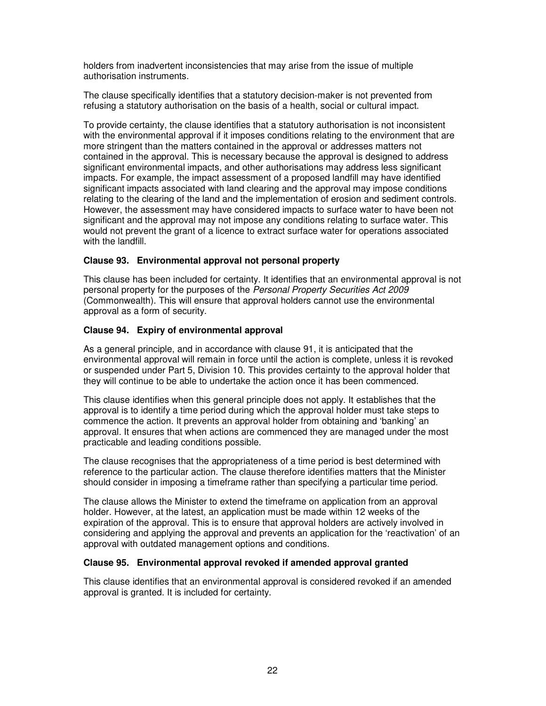holders from inadvertent inconsistencies that may arise from the issue of multiple authorisation instruments.

The clause specifically identifies that a statutory decision-maker is not prevented from refusing a statutory authorisation on the basis of a health, social or cultural impact.

To provide certainty, the clause identifies that a statutory authorisation is not inconsistent with the environmental approval if it imposes conditions relating to the environment that are more stringent than the matters contained in the approval or addresses matters not contained in the approval. This is necessary because the approval is designed to address significant environmental impacts, and other authorisations may address less significant impacts. For example, the impact assessment of a proposed landfill may have identified significant impacts associated with land clearing and the approval may impose conditions relating to the clearing of the land and the implementation of erosion and sediment controls. However, the assessment may have considered impacts to surface water to have been not significant and the approval may not impose any conditions relating to surface water. This would not prevent the grant of a licence to extract surface water for operations associated with the landfill.

# **Clause 93. Environmental approval not personal property**

This clause has been included for certainty. It identifies that an environmental approval is not personal property for the purposes of the Personal Property Securities Act 2009 (Commonwealth). This will ensure that approval holders cannot use the environmental approval as a form of security.

# **Clause 94. Expiry of environmental approval**

As a general principle, and in accordance with clause 91, it is anticipated that the environmental approval will remain in force until the action is complete, unless it is revoked or suspended under Part 5, Division 10. This provides certainty to the approval holder that they will continue to be able to undertake the action once it has been commenced.

This clause identifies when this general principle does not apply. It establishes that the approval is to identify a time period during which the approval holder must take steps to commence the action. It prevents an approval holder from obtaining and 'banking' an approval. It ensures that when actions are commenced they are managed under the most practicable and leading conditions possible.

The clause recognises that the appropriateness of a time period is best determined with reference to the particular action. The clause therefore identifies matters that the Minister should consider in imposing a timeframe rather than specifying a particular time period.

The clause allows the Minister to extend the timeframe on application from an approval holder. However, at the latest, an application must be made within 12 weeks of the expiration of the approval. This is to ensure that approval holders are actively involved in considering and applying the approval and prevents an application for the 'reactivation' of an approval with outdated management options and conditions.

#### **Clause 95. Environmental approval revoked if amended approval granted**

This clause identifies that an environmental approval is considered revoked if an amended approval is granted. It is included for certainty.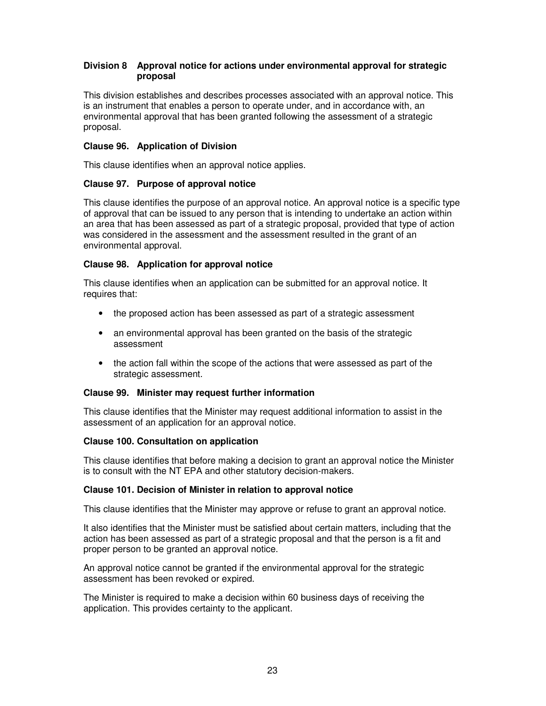# **Division 8 Approval notice for actions under environmental approval for strategic proposal**

This division establishes and describes processes associated with an approval notice. This is an instrument that enables a person to operate under, and in accordance with, an environmental approval that has been granted following the assessment of a strategic proposal.

# **Clause 96. Application of Division**

This clause identifies when an approval notice applies.

# **Clause 97. Purpose of approval notice**

This clause identifies the purpose of an approval notice. An approval notice is a specific type of approval that can be issued to any person that is intending to undertake an action within an area that has been assessed as part of a strategic proposal, provided that type of action was considered in the assessment and the assessment resulted in the grant of an environmental approval.

# **Clause 98. Application for approval notice**

This clause identifies when an application can be submitted for an approval notice. It requires that:

- the proposed action has been assessed as part of a strategic assessment
- an environmental approval has been granted on the basis of the strategic assessment
- the action fall within the scope of the actions that were assessed as part of the strategic assessment.

# **Clause 99. Minister may request further information**

This clause identifies that the Minister may request additional information to assist in the assessment of an application for an approval notice.

# **Clause 100. Consultation on application**

This clause identifies that before making a decision to grant an approval notice the Minister is to consult with the NT EPA and other statutory decision-makers.

# **Clause 101. Decision of Minister in relation to approval notice**

This clause identifies that the Minister may approve or refuse to grant an approval notice.

It also identifies that the Minister must be satisfied about certain matters, including that the action has been assessed as part of a strategic proposal and that the person is a fit and proper person to be granted an approval notice.

An approval notice cannot be granted if the environmental approval for the strategic assessment has been revoked or expired.

The Minister is required to make a decision within 60 business days of receiving the application. This provides certainty to the applicant.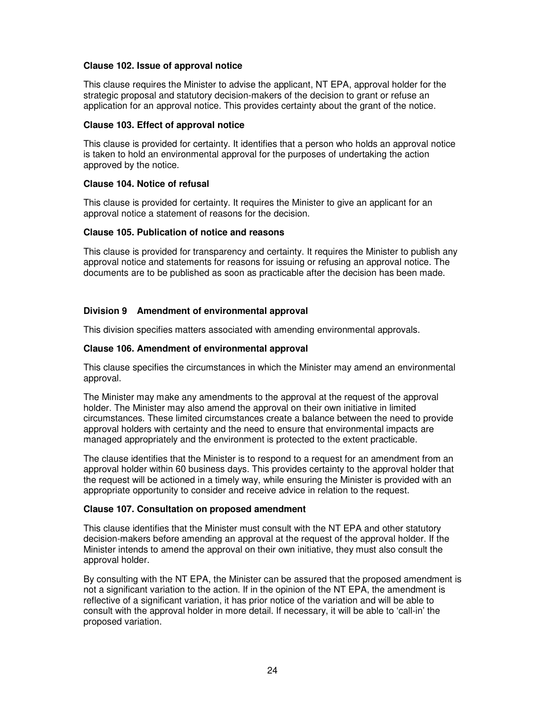# **Clause 102. Issue of approval notice**

This clause requires the Minister to advise the applicant, NT EPA, approval holder for the strategic proposal and statutory decision-makers of the decision to grant or refuse an application for an approval notice. This provides certainty about the grant of the notice.

### **Clause 103. Effect of approval notice**

This clause is provided for certainty. It identifies that a person who holds an approval notice is taken to hold an environmental approval for the purposes of undertaking the action approved by the notice.

### **Clause 104. Notice of refusal**

This clause is provided for certainty. It requires the Minister to give an applicant for an approval notice a statement of reasons for the decision.

### **Clause 105. Publication of notice and reasons**

This clause is provided for transparency and certainty. It requires the Minister to publish any approval notice and statements for reasons for issuing or refusing an approval notice. The documents are to be published as soon as practicable after the decision has been made.

# **Division 9 Amendment of environmental approval**

This division specifies matters associated with amending environmental approvals.

# **Clause 106. Amendment of environmental approval**

This clause specifies the circumstances in which the Minister may amend an environmental approval.

The Minister may make any amendments to the approval at the request of the approval holder. The Minister may also amend the approval on their own initiative in limited circumstances. These limited circumstances create a balance between the need to provide approval holders with certainty and the need to ensure that environmental impacts are managed appropriately and the environment is protected to the extent practicable.

The clause identifies that the Minister is to respond to a request for an amendment from an approval holder within 60 business days. This provides certainty to the approval holder that the request will be actioned in a timely way, while ensuring the Minister is provided with an appropriate opportunity to consider and receive advice in relation to the request.

#### **Clause 107. Consultation on proposed amendment**

This clause identifies that the Minister must consult with the NT EPA and other statutory decision-makers before amending an approval at the request of the approval holder. If the Minister intends to amend the approval on their own initiative, they must also consult the approval holder.

By consulting with the NT EPA, the Minister can be assured that the proposed amendment is not a significant variation to the action. If in the opinion of the NT EPA, the amendment is reflective of a significant variation, it has prior notice of the variation and will be able to consult with the approval holder in more detail. If necessary, it will be able to 'call-in' the proposed variation.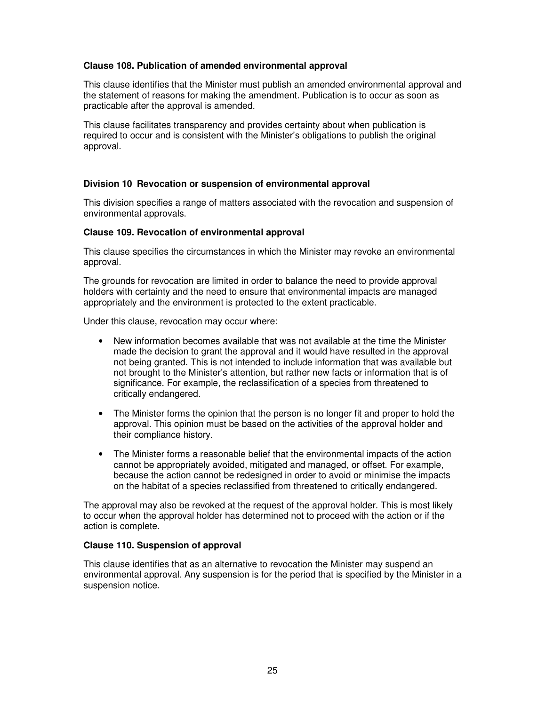### **Clause 108. Publication of amended environmental approval**

This clause identifies that the Minister must publish an amended environmental approval and the statement of reasons for making the amendment. Publication is to occur as soon as practicable after the approval is amended.

This clause facilitates transparency and provides certainty about when publication is required to occur and is consistent with the Minister's obligations to publish the original approval.

# **Division 10 Revocation or suspension of environmental approval**

This division specifies a range of matters associated with the revocation and suspension of environmental approvals.

#### **Clause 109. Revocation of environmental approval**

This clause specifies the circumstances in which the Minister may revoke an environmental approval.

The grounds for revocation are limited in order to balance the need to provide approval holders with certainty and the need to ensure that environmental impacts are managed appropriately and the environment is protected to the extent practicable.

Under this clause, revocation may occur where:

- New information becomes available that was not available at the time the Minister made the decision to grant the approval and it would have resulted in the approval not being granted. This is not intended to include information that was available but not brought to the Minister's attention, but rather new facts or information that is of significance. For example, the reclassification of a species from threatened to critically endangered.
- The Minister forms the opinion that the person is no longer fit and proper to hold the approval. This opinion must be based on the activities of the approval holder and their compliance history.
- The Minister forms a reasonable belief that the environmental impacts of the action cannot be appropriately avoided, mitigated and managed, or offset. For example, because the action cannot be redesigned in order to avoid or minimise the impacts on the habitat of a species reclassified from threatened to critically endangered.

The approval may also be revoked at the request of the approval holder. This is most likely to occur when the approval holder has determined not to proceed with the action or if the action is complete.

#### **Clause 110. Suspension of approval**

This clause identifies that as an alternative to revocation the Minister may suspend an environmental approval. Any suspension is for the period that is specified by the Minister in a suspension notice.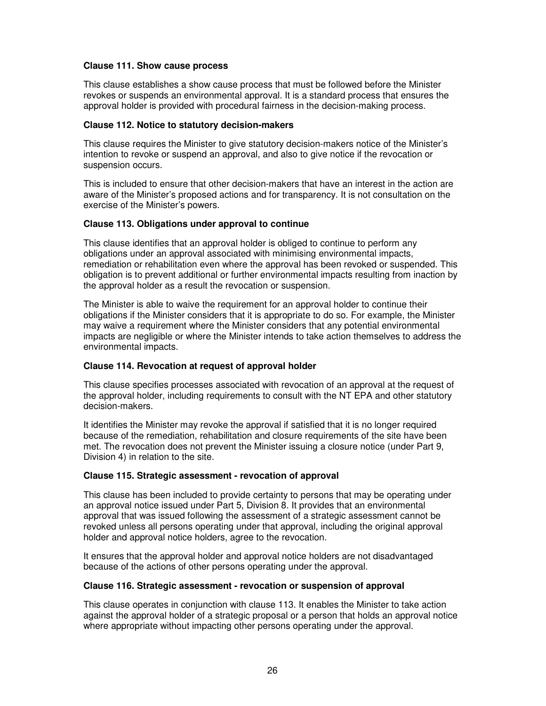### **Clause 111. Show cause process**

This clause establishes a show cause process that must be followed before the Minister revokes or suspends an environmental approval. It is a standard process that ensures the approval holder is provided with procedural fairness in the decision-making process.

### **Clause 112. Notice to statutory decision-makers**

This clause requires the Minister to give statutory decision-makers notice of the Minister's intention to revoke or suspend an approval, and also to give notice if the revocation or suspension occurs.

This is included to ensure that other decision-makers that have an interest in the action are aware of the Minister's proposed actions and for transparency. It is not consultation on the exercise of the Minister's powers.

### **Clause 113. Obligations under approval to continue**

This clause identifies that an approval holder is obliged to continue to perform any obligations under an approval associated with minimising environmental impacts, remediation or rehabilitation even where the approval has been revoked or suspended. This obligation is to prevent additional or further environmental impacts resulting from inaction by the approval holder as a result the revocation or suspension.

The Minister is able to waive the requirement for an approval holder to continue their obligations if the Minister considers that it is appropriate to do so. For example, the Minister may waive a requirement where the Minister considers that any potential environmental impacts are negligible or where the Minister intends to take action themselves to address the environmental impacts.

# **Clause 114. Revocation at request of approval holder**

This clause specifies processes associated with revocation of an approval at the request of the approval holder, including requirements to consult with the NT EPA and other statutory decision-makers.

It identifies the Minister may revoke the approval if satisfied that it is no longer required because of the remediation, rehabilitation and closure requirements of the site have been met. The revocation does not prevent the Minister issuing a closure notice (under Part 9, Division 4) in relation to the site.

# **Clause 115. Strategic assessment - revocation of approval**

This clause has been included to provide certainty to persons that may be operating under an approval notice issued under Part 5, Division 8. It provides that an environmental approval that was issued following the assessment of a strategic assessment cannot be revoked unless all persons operating under that approval, including the original approval holder and approval notice holders, agree to the revocation.

It ensures that the approval holder and approval notice holders are not disadvantaged because of the actions of other persons operating under the approval.

# **Clause 116. Strategic assessment - revocation or suspension of approval**

This clause operates in conjunction with clause 113. It enables the Minister to take action against the approval holder of a strategic proposal or a person that holds an approval notice where appropriate without impacting other persons operating under the approval.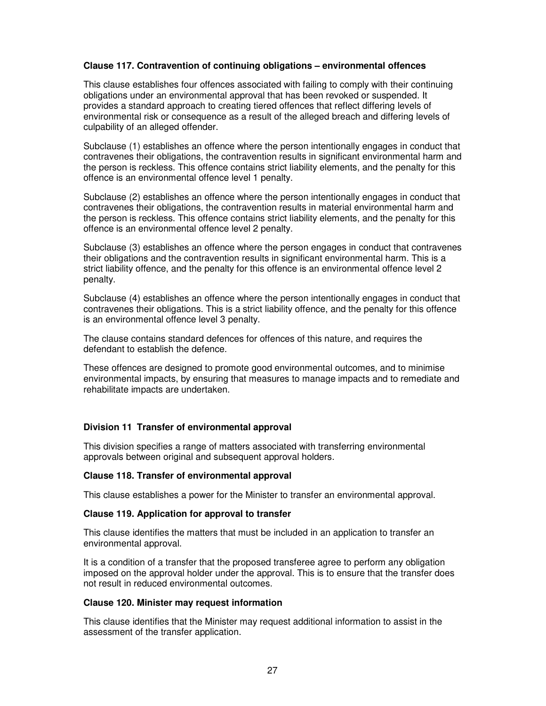# **Clause 117. Contravention of continuing obligations – environmental offences**

This clause establishes four offences associated with failing to comply with their continuing obligations under an environmental approval that has been revoked or suspended. It provides a standard approach to creating tiered offences that reflect differing levels of environmental risk or consequence as a result of the alleged breach and differing levels of culpability of an alleged offender.

Subclause (1) establishes an offence where the person intentionally engages in conduct that contravenes their obligations, the contravention results in significant environmental harm and the person is reckless. This offence contains strict liability elements, and the penalty for this offence is an environmental offence level 1 penalty.

Subclause (2) establishes an offence where the person intentionally engages in conduct that contravenes their obligations, the contravention results in material environmental harm and the person is reckless. This offence contains strict liability elements, and the penalty for this offence is an environmental offence level 2 penalty.

Subclause (3) establishes an offence where the person engages in conduct that contravenes their obligations and the contravention results in significant environmental harm. This is a strict liability offence, and the penalty for this offence is an environmental offence level 2 penalty.

Subclause (4) establishes an offence where the person intentionally engages in conduct that contravenes their obligations. This is a strict liability offence, and the penalty for this offence is an environmental offence level 3 penalty.

The clause contains standard defences for offences of this nature, and requires the defendant to establish the defence.

These offences are designed to promote good environmental outcomes, and to minimise environmental impacts, by ensuring that measures to manage impacts and to remediate and rehabilitate impacts are undertaken.

#### **Division 11 Transfer of environmental approval**

This division specifies a range of matters associated with transferring environmental approvals between original and subsequent approval holders.

#### **Clause 118. Transfer of environmental approval**

This clause establishes a power for the Minister to transfer an environmental approval.

#### **Clause 119. Application for approval to transfer**

This clause identifies the matters that must be included in an application to transfer an environmental approval.

It is a condition of a transfer that the proposed transferee agree to perform any obligation imposed on the approval holder under the approval. This is to ensure that the transfer does not result in reduced environmental outcomes.

#### **Clause 120. Minister may request information**

This clause identifies that the Minister may request additional information to assist in the assessment of the transfer application.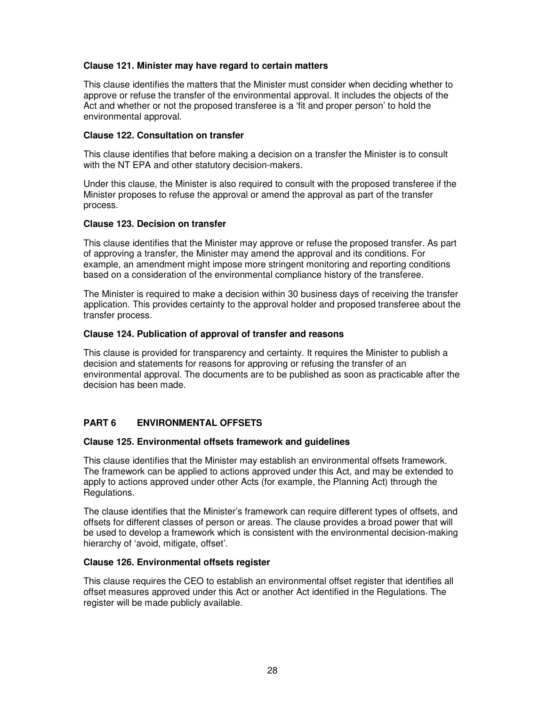# **Clause 121. Minister may have regard to certain matters**

This clause identifies the matters that the Minister must consider when deciding whether to approve or refuse the transfer of the environmental approval. It includes the objects of the Act and whether or not the proposed transferee is a 'fit and proper person' to hold the environmental approval.

### **Clause 122. Consultation on transfer**

This clause identifies that before making a decision on a transfer the Minister is to consult with the NT EPA and other statutory decision-makers.

Under this clause, the Minister is also required to consult with the proposed transferee if the Minister proposes to refuse the approval or amend the approval as part of the transfer process.

### **Clause 123. Decision on transfer**

This clause identifies that the Minister may approve or refuse the proposed transfer. As part of approving a transfer, the Minister may amend the approval and its conditions. For example, an amendment might impose more stringent monitoring and reporting conditions based on a consideration of the environmental compliance history of the transferee.

The Minister is required to make a decision within 30 business days of receiving the transfer application. This provides certainty to the approval holder and proposed transferee about the transfer process.

### **Clause 124. Publication of approval of transfer and reasons**

This clause is provided for transparency and certainty. It requires the Minister to publish a decision and statements for reasons for approving or refusing the transfer of an environmental approval. The documents are to be published as soon as practicable after the decision has been made.

# **PART 6 ENVIRONMENTAL OFFSETS**

#### **Clause 125. Environmental offsets framework and guidelines**

This clause identifies that the Minister may establish an environmental offsets framework. The framework can be applied to actions approved under this Act, and may be extended to apply to actions approved under other Acts (for example, the Planning Act) through the Regulations.

The clause identifies that the Minister's framework can require different types of offsets, and offsets for different classes of person or areas. The clause provides a broad power that will be used to develop a framework which is consistent with the environmental decision-making hierarchy of 'avoid, mitigate, offset'.

#### **Clause 126. Environmental offsets register**

This clause requires the CEO to establish an environmental offset register that identifies all offset measures approved under this Act or another Act identified in the Regulations. The register will be made publicly available.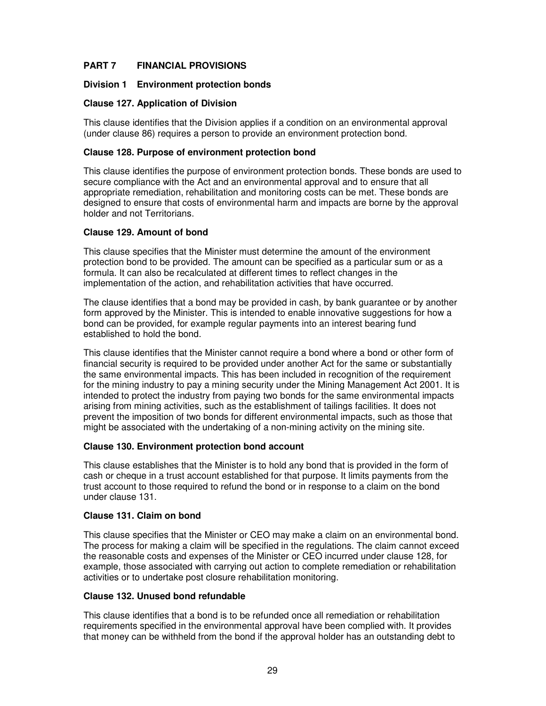# **PART 7 FINANCIAL PROVISIONS**

# **Division 1 Environment protection bonds**

### **Clause 127. Application of Division**

This clause identifies that the Division applies if a condition on an environmental approval (under clause 86) requires a person to provide an environment protection bond.

### **Clause 128. Purpose of environment protection bond**

This clause identifies the purpose of environment protection bonds. These bonds are used to secure compliance with the Act and an environmental approval and to ensure that all appropriate remediation, rehabilitation and monitoring costs can be met. These bonds are designed to ensure that costs of environmental harm and impacts are borne by the approval holder and not Territorians.

### **Clause 129. Amount of bond**

This clause specifies that the Minister must determine the amount of the environment protection bond to be provided. The amount can be specified as a particular sum or as a formula. It can also be recalculated at different times to reflect changes in the implementation of the action, and rehabilitation activities that have occurred.

The clause identifies that a bond may be provided in cash, by bank guarantee or by another form approved by the Minister. This is intended to enable innovative suggestions for how a bond can be provided, for example regular payments into an interest bearing fund established to hold the bond.

This clause identifies that the Minister cannot require a bond where a bond or other form of financial security is required to be provided under another Act for the same or substantially the same environmental impacts. This has been included in recognition of the requirement for the mining industry to pay a mining security under the Mining Management Act 2001. It is intended to protect the industry from paying two bonds for the same environmental impacts arising from mining activities, such as the establishment of tailings facilities. It does not prevent the imposition of two bonds for different environmental impacts, such as those that might be associated with the undertaking of a non-mining activity on the mining site.

### **Clause 130. Environment protection bond account**

This clause establishes that the Minister is to hold any bond that is provided in the form of cash or cheque in a trust account established for that purpose. It limits payments from the trust account to those required to refund the bond or in response to a claim on the bond under clause 131.

#### **Clause 131. Claim on bond**

This clause specifies that the Minister or CEO may make a claim on an environmental bond. The process for making a claim will be specified in the regulations. The claim cannot exceed the reasonable costs and expenses of the Minister or CEO incurred under clause 128, for example, those associated with carrying out action to complete remediation or rehabilitation activities or to undertake post closure rehabilitation monitoring.

#### **Clause 132. Unused bond refundable**

This clause identifies that a bond is to be refunded once all remediation or rehabilitation requirements specified in the environmental approval have been complied with. It provides that money can be withheld from the bond if the approval holder has an outstanding debt to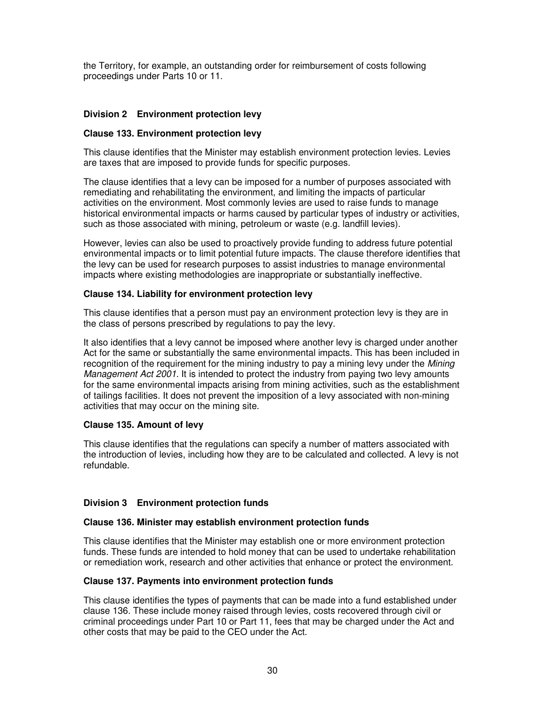the Territory, for example, an outstanding order for reimbursement of costs following proceedings under Parts 10 or 11.

# **Division 2 Environment protection levy**

### **Clause 133. Environment protection levy**

This clause identifies that the Minister may establish environment protection levies. Levies are taxes that are imposed to provide funds for specific purposes.

The clause identifies that a levy can be imposed for a number of purposes associated with remediating and rehabilitating the environment, and limiting the impacts of particular activities on the environment. Most commonly levies are used to raise funds to manage historical environmental impacts or harms caused by particular types of industry or activities, such as those associated with mining, petroleum or waste (e.g. landfill levies).

However, levies can also be used to proactively provide funding to address future potential environmental impacts or to limit potential future impacts. The clause therefore identifies that the levy can be used for research purposes to assist industries to manage environmental impacts where existing methodologies are inappropriate or substantially ineffective.

### **Clause 134. Liability for environment protection levy**

This clause identifies that a person must pay an environment protection levy is they are in the class of persons prescribed by regulations to pay the levy.

It also identifies that a levy cannot be imposed where another levy is charged under another Act for the same or substantially the same environmental impacts. This has been included in recognition of the requirement for the mining industry to pay a mining levy under the Mining Management Act 2001. It is intended to protect the industry from paying two levy amounts for the same environmental impacts arising from mining activities, such as the establishment of tailings facilities. It does not prevent the imposition of a levy associated with non-mining activities that may occur on the mining site.

# **Clause 135. Amount of levy**

This clause identifies that the regulations can specify a number of matters associated with the introduction of levies, including how they are to be calculated and collected. A levy is not refundable.

# **Division 3 Environment protection funds**

#### **Clause 136. Minister may establish environment protection funds**

This clause identifies that the Minister may establish one or more environment protection funds. These funds are intended to hold money that can be used to undertake rehabilitation or remediation work, research and other activities that enhance or protect the environment.

# **Clause 137. Payments into environment protection funds**

This clause identifies the types of payments that can be made into a fund established under clause 136. These include money raised through levies, costs recovered through civil or criminal proceedings under Part 10 or Part 11, fees that may be charged under the Act and other costs that may be paid to the CEO under the Act.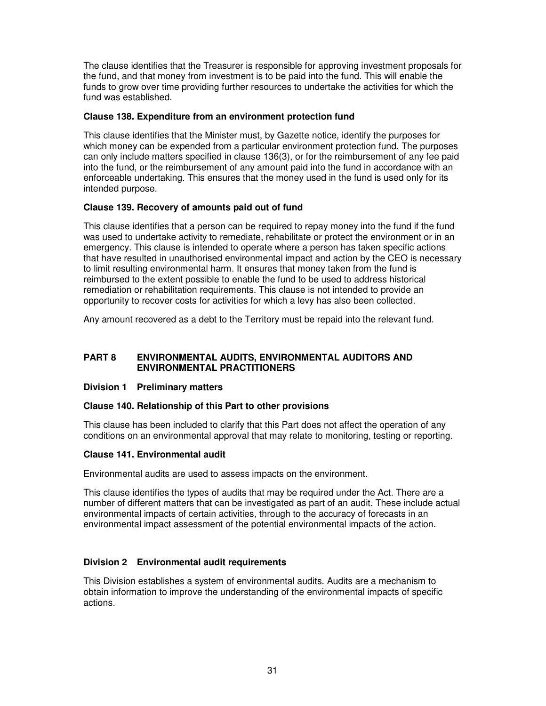The clause identifies that the Treasurer is responsible for approving investment proposals for the fund, and that money from investment is to be paid into the fund. This will enable the funds to grow over time providing further resources to undertake the activities for which the fund was established.

# **Clause 138. Expenditure from an environment protection fund**

This clause identifies that the Minister must, by Gazette notice, identify the purposes for which money can be expended from a particular environment protection fund. The purposes can only include matters specified in clause 136(3), or for the reimbursement of any fee paid into the fund, or the reimbursement of any amount paid into the fund in accordance with an enforceable undertaking. This ensures that the money used in the fund is used only for its intended purpose.

# **Clause 139. Recovery of amounts paid out of fund**

This clause identifies that a person can be required to repay money into the fund if the fund was used to undertake activity to remediate, rehabilitate or protect the environment or in an emergency. This clause is intended to operate where a person has taken specific actions that have resulted in unauthorised environmental impact and action by the CEO is necessary to limit resulting environmental harm. It ensures that money taken from the fund is reimbursed to the extent possible to enable the fund to be used to address historical remediation or rehabilitation requirements. This clause is not intended to provide an opportunity to recover costs for activities for which a levy has also been collected.

Any amount recovered as a debt to the Territory must be repaid into the relevant fund.

### **PART 8 ENVIRONMENTAL AUDITS, ENVIRONMENTAL AUDITORS AND ENVIRONMENTAL PRACTITIONERS**

# **Division 1 Preliminary matters**

# **Clause 140. Relationship of this Part to other provisions**

This clause has been included to clarify that this Part does not affect the operation of any conditions on an environmental approval that may relate to monitoring, testing or reporting.

#### **Clause 141. Environmental audit**

Environmental audits are used to assess impacts on the environment.

This clause identifies the types of audits that may be required under the Act. There are a number of different matters that can be investigated as part of an audit. These include actual environmental impacts of certain activities, through to the accuracy of forecasts in an environmental impact assessment of the potential environmental impacts of the action.

# **Division 2 Environmental audit requirements**

This Division establishes a system of environmental audits. Audits are a mechanism to obtain information to improve the understanding of the environmental impacts of specific actions.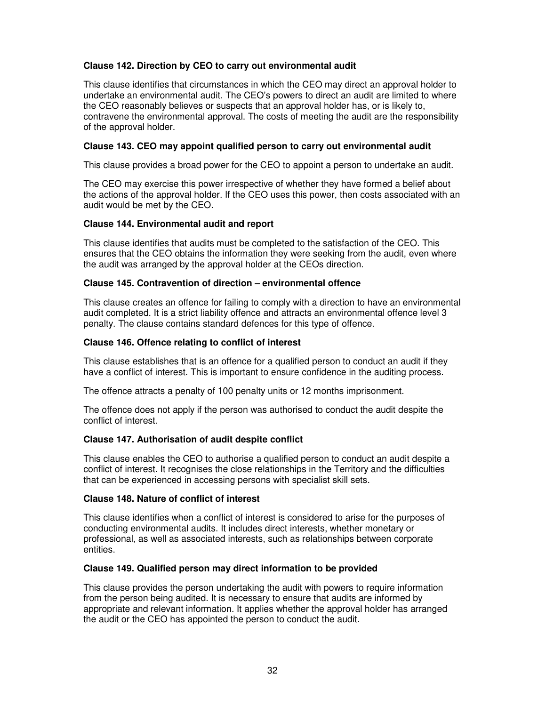# **Clause 142. Direction by CEO to carry out environmental audit**

This clause identifies that circumstances in which the CEO may direct an approval holder to undertake an environmental audit. The CEO's powers to direct an audit are limited to where the CEO reasonably believes or suspects that an approval holder has, or is likely to, contravene the environmental approval. The costs of meeting the audit are the responsibility of the approval holder.

### **Clause 143. CEO may appoint qualified person to carry out environmental audit**

This clause provides a broad power for the CEO to appoint a person to undertake an audit.

The CEO may exercise this power irrespective of whether they have formed a belief about the actions of the approval holder. If the CEO uses this power, then costs associated with an audit would be met by the CEO.

### **Clause 144. Environmental audit and report**

This clause identifies that audits must be completed to the satisfaction of the CEO. This ensures that the CEO obtains the information they were seeking from the audit, even where the audit was arranged by the approval holder at the CEOs direction.

### **Clause 145. Contravention of direction – environmental offence**

This clause creates an offence for failing to comply with a direction to have an environmental audit completed. It is a strict liability offence and attracts an environmental offence level 3 penalty. The clause contains standard defences for this type of offence.

### **Clause 146. Offence relating to conflict of interest**

This clause establishes that is an offence for a qualified person to conduct an audit if they have a conflict of interest. This is important to ensure confidence in the auditing process.

The offence attracts a penalty of 100 penalty units or 12 months imprisonment.

The offence does not apply if the person was authorised to conduct the audit despite the conflict of interest.

# **Clause 147. Authorisation of audit despite conflict**

This clause enables the CEO to authorise a qualified person to conduct an audit despite a conflict of interest. It recognises the close relationships in the Territory and the difficulties that can be experienced in accessing persons with specialist skill sets.

#### **Clause 148. Nature of conflict of interest**

This clause identifies when a conflict of interest is considered to arise for the purposes of conducting environmental audits. It includes direct interests, whether monetary or professional, as well as associated interests, such as relationships between corporate entities.

#### **Clause 149. Qualified person may direct information to be provided**

This clause provides the person undertaking the audit with powers to require information from the person being audited. It is necessary to ensure that audits are informed by appropriate and relevant information. It applies whether the approval holder has arranged the audit or the CEO has appointed the person to conduct the audit.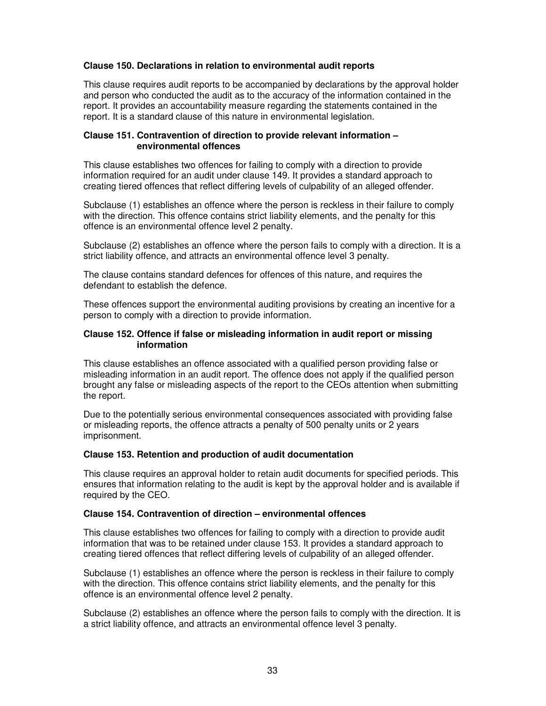# **Clause 150. Declarations in relation to environmental audit reports**

This clause requires audit reports to be accompanied by declarations by the approval holder and person who conducted the audit as to the accuracy of the information contained in the report. It provides an accountability measure regarding the statements contained in the report. It is a standard clause of this nature in environmental legislation.

### **Clause 151. Contravention of direction to provide relevant information – environmental offences**

This clause establishes two offences for failing to comply with a direction to provide information required for an audit under clause 149. It provides a standard approach to creating tiered offences that reflect differing levels of culpability of an alleged offender.

Subclause (1) establishes an offence where the person is reckless in their failure to comply with the direction. This offence contains strict liability elements, and the penalty for this offence is an environmental offence level 2 penalty.

Subclause (2) establishes an offence where the person fails to comply with a direction. It is a strict liability offence, and attracts an environmental offence level 3 penalty.

The clause contains standard defences for offences of this nature, and requires the defendant to establish the defence.

These offences support the environmental auditing provisions by creating an incentive for a person to comply with a direction to provide information.

#### **Clause 152. Offence if false or misleading information in audit report or missing information**

This clause establishes an offence associated with a qualified person providing false or misleading information in an audit report. The offence does not apply if the qualified person brought any false or misleading aspects of the report to the CEOs attention when submitting the report.

Due to the potentially serious environmental consequences associated with providing false or misleading reports, the offence attracts a penalty of 500 penalty units or 2 years imprisonment.

#### **Clause 153. Retention and production of audit documentation**

This clause requires an approval holder to retain audit documents for specified periods. This ensures that information relating to the audit is kept by the approval holder and is available if required by the CEO.

#### **Clause 154. Contravention of direction – environmental offences**

This clause establishes two offences for failing to comply with a direction to provide audit information that was to be retained under clause 153. It provides a standard approach to creating tiered offences that reflect differing levels of culpability of an alleged offender.

Subclause (1) establishes an offence where the person is reckless in their failure to comply with the direction. This offence contains strict liability elements, and the penalty for this offence is an environmental offence level 2 penalty.

Subclause (2) establishes an offence where the person fails to comply with the direction. It is a strict liability offence, and attracts an environmental offence level 3 penalty.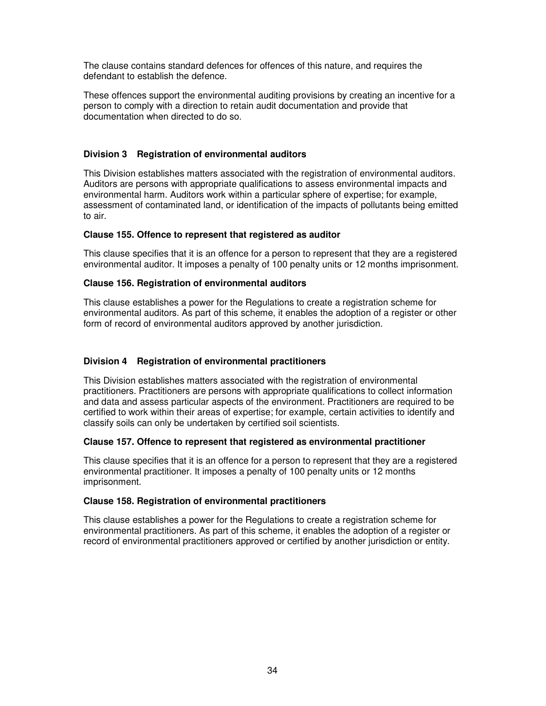The clause contains standard defences for offences of this nature, and requires the defendant to establish the defence.

These offences support the environmental auditing provisions by creating an incentive for a person to comply with a direction to retain audit documentation and provide that documentation when directed to do so.

# **Division 3 Registration of environmental auditors**

This Division establishes matters associated with the registration of environmental auditors. Auditors are persons with appropriate qualifications to assess environmental impacts and environmental harm. Auditors work within a particular sphere of expertise; for example, assessment of contaminated land, or identification of the impacts of pollutants being emitted to air.

### **Clause 155. Offence to represent that registered as auditor**

This clause specifies that it is an offence for a person to represent that they are a registered environmental auditor. It imposes a penalty of 100 penalty units or 12 months imprisonment.

# **Clause 156. Registration of environmental auditors**

This clause establishes a power for the Regulations to create a registration scheme for environmental auditors. As part of this scheme, it enables the adoption of a register or other form of record of environmental auditors approved by another jurisdiction.

# **Division 4 Registration of environmental practitioners**

This Division establishes matters associated with the registration of environmental practitioners. Practitioners are persons with appropriate qualifications to collect information and data and assess particular aspects of the environment. Practitioners are required to be certified to work within their areas of expertise; for example, certain activities to identify and classify soils can only be undertaken by certified soil scientists.

#### **Clause 157. Offence to represent that registered as environmental practitioner**

This clause specifies that it is an offence for a person to represent that they are a registered environmental practitioner. It imposes a penalty of 100 penalty units or 12 months imprisonment.

#### **Clause 158. Registration of environmental practitioners**

This clause establishes a power for the Regulations to create a registration scheme for environmental practitioners. As part of this scheme, it enables the adoption of a register or record of environmental practitioners approved or certified by another jurisdiction or entity.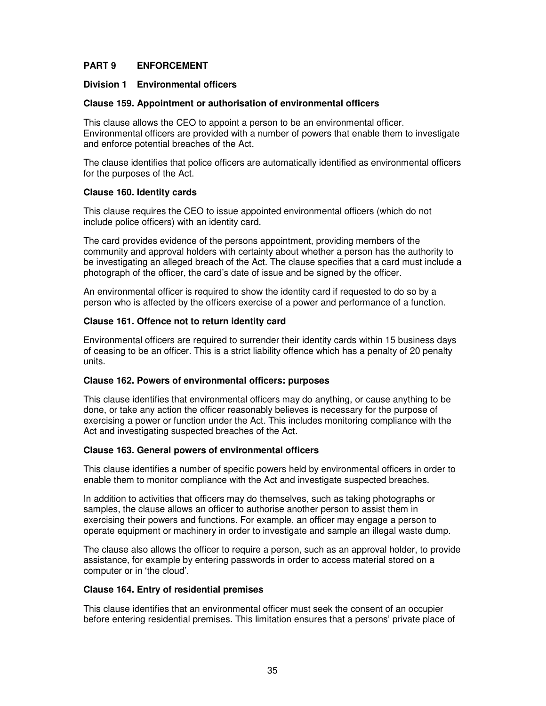# **PART 9 ENFORCEMENT**

### **Division 1 Environmental officers**

### **Clause 159. Appointment or authorisation of environmental officers**

This clause allows the CEO to appoint a person to be an environmental officer. Environmental officers are provided with a number of powers that enable them to investigate and enforce potential breaches of the Act.

The clause identifies that police officers are automatically identified as environmental officers for the purposes of the Act.

### **Clause 160. Identity cards**

This clause requires the CEO to issue appointed environmental officers (which do not include police officers) with an identity card.

The card provides evidence of the persons appointment, providing members of the community and approval holders with certainty about whether a person has the authority to be investigating an alleged breach of the Act. The clause specifies that a card must include a photograph of the officer, the card's date of issue and be signed by the officer.

An environmental officer is required to show the identity card if requested to do so by a person who is affected by the officers exercise of a power and performance of a function.

### **Clause 161. Offence not to return identity card**

Environmental officers are required to surrender their identity cards within 15 business days of ceasing to be an officer. This is a strict liability offence which has a penalty of 20 penalty units.

#### **Clause 162. Powers of environmental officers: purposes**

This clause identifies that environmental officers may do anything, or cause anything to be done, or take any action the officer reasonably believes is necessary for the purpose of exercising a power or function under the Act. This includes monitoring compliance with the Act and investigating suspected breaches of the Act.

#### **Clause 163. General powers of environmental officers**

This clause identifies a number of specific powers held by environmental officers in order to enable them to monitor compliance with the Act and investigate suspected breaches.

In addition to activities that officers may do themselves, such as taking photographs or samples, the clause allows an officer to authorise another person to assist them in exercising their powers and functions. For example, an officer may engage a person to operate equipment or machinery in order to investigate and sample an illegal waste dump.

The clause also allows the officer to require a person, such as an approval holder, to provide assistance, for example by entering passwords in order to access material stored on a computer or in 'the cloud'.

#### **Clause 164. Entry of residential premises**

This clause identifies that an environmental officer must seek the consent of an occupier before entering residential premises. This limitation ensures that a persons' private place of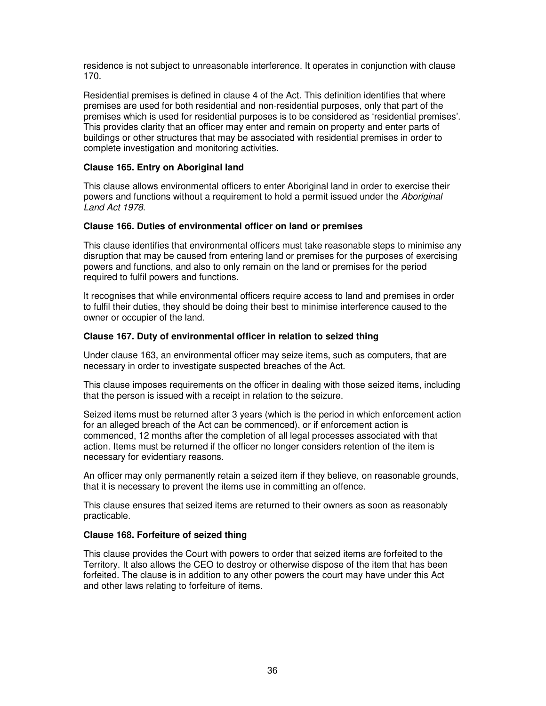residence is not subject to unreasonable interference. It operates in conjunction with clause 170.

Residential premises is defined in clause 4 of the Act. This definition identifies that where premises are used for both residential and non-residential purposes, only that part of the premises which is used for residential purposes is to be considered as 'residential premises'. This provides clarity that an officer may enter and remain on property and enter parts of buildings or other structures that may be associated with residential premises in order to complete investigation and monitoring activities.

# **Clause 165. Entry on Aboriginal land**

This clause allows environmental officers to enter Aboriginal land in order to exercise their powers and functions without a requirement to hold a permit issued under the Aboriginal Land Act 1978.

# **Clause 166. Duties of environmental officer on land or premises**

This clause identifies that environmental officers must take reasonable steps to minimise any disruption that may be caused from entering land or premises for the purposes of exercising powers and functions, and also to only remain on the land or premises for the period required to fulfil powers and functions.

It recognises that while environmental officers require access to land and premises in order to fulfil their duties, they should be doing their best to minimise interference caused to the owner or occupier of the land.

### **Clause 167. Duty of environmental officer in relation to seized thing**

Under clause 163, an environmental officer may seize items, such as computers, that are necessary in order to investigate suspected breaches of the Act.

This clause imposes requirements on the officer in dealing with those seized items, including that the person is issued with a receipt in relation to the seizure.

Seized items must be returned after 3 years (which is the period in which enforcement action for an alleged breach of the Act can be commenced), or if enforcement action is commenced, 12 months after the completion of all legal processes associated with that action. Items must be returned if the officer no longer considers retention of the item is necessary for evidentiary reasons.

An officer may only permanently retain a seized item if they believe, on reasonable grounds, that it is necessary to prevent the items use in committing an offence.

This clause ensures that seized items are returned to their owners as soon as reasonably practicable.

# **Clause 168. Forfeiture of seized thing**

This clause provides the Court with powers to order that seized items are forfeited to the Territory. It also allows the CEO to destroy or otherwise dispose of the item that has been forfeited. The clause is in addition to any other powers the court may have under this Act and other laws relating to forfeiture of items.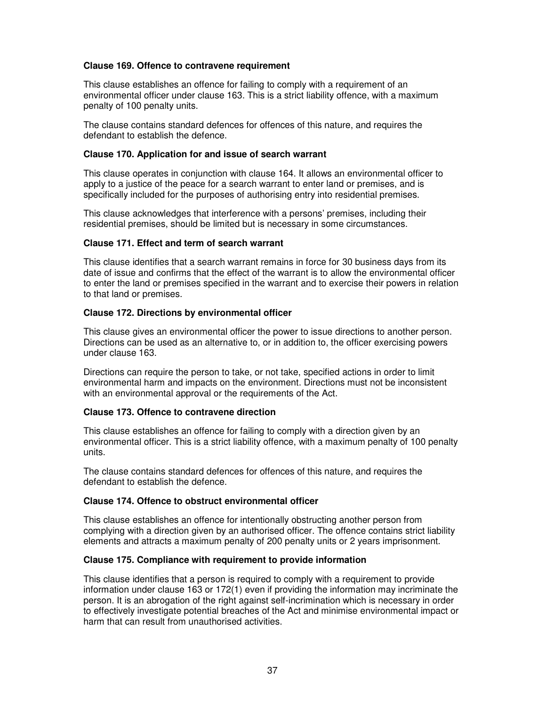### **Clause 169. Offence to contravene requirement**

This clause establishes an offence for failing to comply with a requirement of an environmental officer under clause 163. This is a strict liability offence, with a maximum penalty of 100 penalty units.

The clause contains standard defences for offences of this nature, and requires the defendant to establish the defence.

### **Clause 170. Application for and issue of search warrant**

This clause operates in conjunction with clause 164. It allows an environmental officer to apply to a justice of the peace for a search warrant to enter land or premises, and is specifically included for the purposes of authorising entry into residential premises.

This clause acknowledges that interference with a persons' premises, including their residential premises, should be limited but is necessary in some circumstances.

### **Clause 171. Effect and term of search warrant**

This clause identifies that a search warrant remains in force for 30 business days from its date of issue and confirms that the effect of the warrant is to allow the environmental officer to enter the land or premises specified in the warrant and to exercise their powers in relation to that land or premises.

### **Clause 172. Directions by environmental officer**

This clause gives an environmental officer the power to issue directions to another person. Directions can be used as an alternative to, or in addition to, the officer exercising powers under clause 163.

Directions can require the person to take, or not take, specified actions in order to limit environmental harm and impacts on the environment. Directions must not be inconsistent with an environmental approval or the requirements of the Act.

#### **Clause 173. Offence to contravene direction**

This clause establishes an offence for failing to comply with a direction given by an environmental officer. This is a strict liability offence, with a maximum penalty of 100 penalty units.

The clause contains standard defences for offences of this nature, and requires the defendant to establish the defence.

#### **Clause 174. Offence to obstruct environmental officer**

This clause establishes an offence for intentionally obstructing another person from complying with a direction given by an authorised officer. The offence contains strict liability elements and attracts a maximum penalty of 200 penalty units or 2 years imprisonment.

#### **Clause 175. Compliance with requirement to provide information**

This clause identifies that a person is required to comply with a requirement to provide information under clause 163 or 172(1) even if providing the information may incriminate the person. It is an abrogation of the right against self-incrimination which is necessary in order to effectively investigate potential breaches of the Act and minimise environmental impact or harm that can result from unauthorised activities.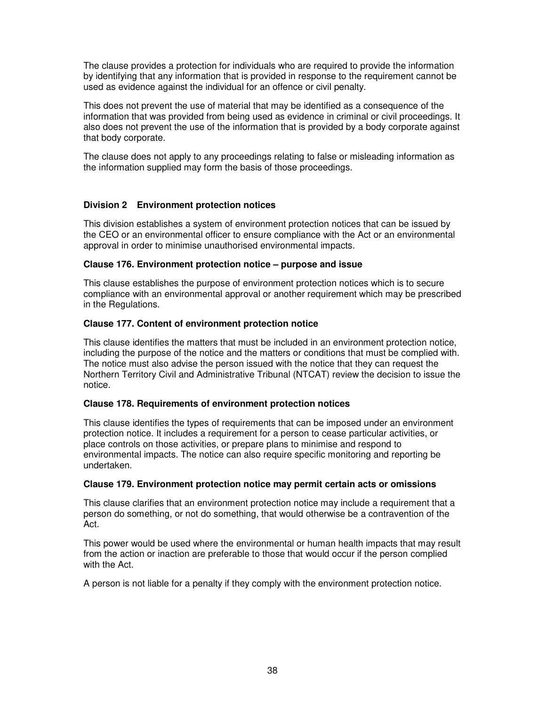The clause provides a protection for individuals who are required to provide the information by identifying that any information that is provided in response to the requirement cannot be used as evidence against the individual for an offence or civil penalty.

This does not prevent the use of material that may be identified as a consequence of the information that was provided from being used as evidence in criminal or civil proceedings. It also does not prevent the use of the information that is provided by a body corporate against that body corporate.

The clause does not apply to any proceedings relating to false or misleading information as the information supplied may form the basis of those proceedings.

# **Division 2 Environment protection notices**

This division establishes a system of environment protection notices that can be issued by the CEO or an environmental officer to ensure compliance with the Act or an environmental approval in order to minimise unauthorised environmental impacts.

### **Clause 176. Environment protection notice – purpose and issue**

This clause establishes the purpose of environment protection notices which is to secure compliance with an environmental approval or another requirement which may be prescribed in the Regulations.

# **Clause 177. Content of environment protection notice**

This clause identifies the matters that must be included in an environment protection notice, including the purpose of the notice and the matters or conditions that must be complied with. The notice must also advise the person issued with the notice that they can request the Northern Territory Civil and Administrative Tribunal (NTCAT) review the decision to issue the notice.

# **Clause 178. Requirements of environment protection notices**

This clause identifies the types of requirements that can be imposed under an environment protection notice. It includes a requirement for a person to cease particular activities, or place controls on those activities, or prepare plans to minimise and respond to environmental impacts. The notice can also require specific monitoring and reporting be undertaken.

#### **Clause 179. Environment protection notice may permit certain acts or omissions**

This clause clarifies that an environment protection notice may include a requirement that a person do something, or not do something, that would otherwise be a contravention of the Act.

This power would be used where the environmental or human health impacts that may result from the action or inaction are preferable to those that would occur if the person complied with the Act.

A person is not liable for a penalty if they comply with the environment protection notice.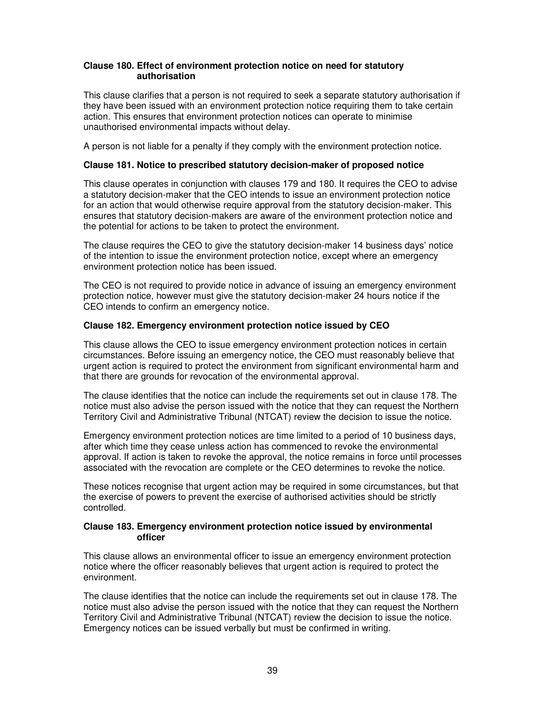### **Clause 180. Effect of environment protection notice on need for statutory authorisation**

This clause clarifies that a person is not required to seek a separate statutory authorisation if they have been issued with an environment protection notice requiring them to take certain action. This ensures that environment protection notices can operate to minimise unauthorised environmental impacts without delay.

A person is not liable for a penalty if they comply with the environment protection notice.

### **Clause 181. Notice to prescribed statutory decision-maker of proposed notice**

This clause operates in conjunction with clauses 179 and 180. It requires the CEO to advise a statutory decision-maker that the CEO intends to issue an environment protection notice for an action that would otherwise require approval from the statutory decision-maker. This ensures that statutory decision-makers are aware of the environment protection notice and the potential for actions to be taken to protect the environment.

The clause requires the CEO to give the statutory decision-maker 14 business days' notice of the intention to issue the environment protection notice, except where an emergency environment protection notice has been issued.

The CEO is not required to provide notice in advance of issuing an emergency environment protection notice, however must give the statutory decision-maker 24 hours notice if the CEO intends to confirm an emergency notice.

### **Clause 182. Emergency environment protection notice issued by CEO**

This clause allows the CEO to issue emergency environment protection notices in certain circumstances. Before issuing an emergency notice, the CEO must reasonably believe that urgent action is required to protect the environment from significant environmental harm and that there are grounds for revocation of the environmental approval.

The clause identifies that the notice can include the requirements set out in clause 178. The notice must also advise the person issued with the notice that they can request the Northern Territory Civil and Administrative Tribunal (NTCAT) review the decision to issue the notice.

Emergency environment protection notices are time limited to a period of 10 business days, after which time they cease unless action has commenced to revoke the environmental approval. If action is taken to revoke the approval, the notice remains in force until processes associated with the revocation are complete or the CEO determines to revoke the notice.

These notices recognise that urgent action may be required in some circumstances, but that the exercise of powers to prevent the exercise of authorised activities should be strictly controlled.

#### **Clause 183. Emergency environment protection notice issued by environmental officer**

This clause allows an environmental officer to issue an emergency environment protection notice where the officer reasonably believes that urgent action is required to protect the environment.

The clause identifies that the notice can include the requirements set out in clause 178. The notice must also advise the person issued with the notice that they can request the Northern Territory Civil and Administrative Tribunal (NTCAT) review the decision to issue the notice. Emergency notices can be issued verbally but must be confirmed in writing.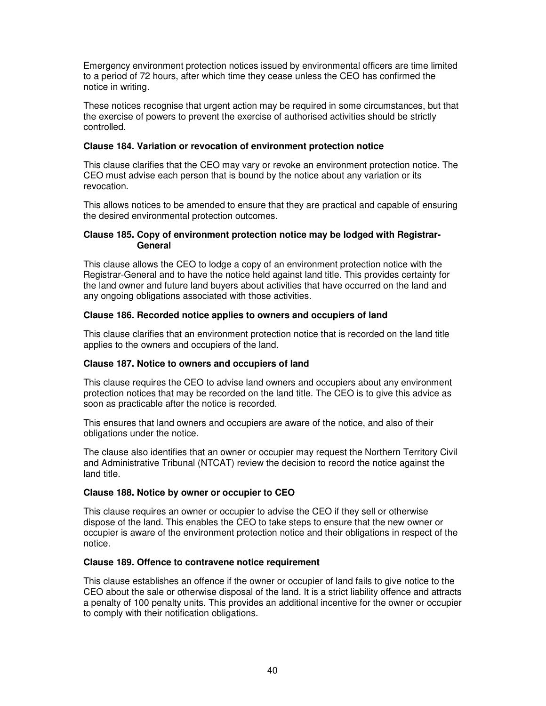Emergency environment protection notices issued by environmental officers are time limited to a period of 72 hours, after which time they cease unless the CEO has confirmed the notice in writing.

These notices recognise that urgent action may be required in some circumstances, but that the exercise of powers to prevent the exercise of authorised activities should be strictly controlled.

### **Clause 184. Variation or revocation of environment protection notice**

This clause clarifies that the CEO may vary or revoke an environment protection notice. The CEO must advise each person that is bound by the notice about any variation or its revocation.

This allows notices to be amended to ensure that they are practical and capable of ensuring the desired environmental protection outcomes.

### **Clause 185. Copy of environment protection notice may be lodged with Registrar-General**

This clause allows the CEO to lodge a copy of an environment protection notice with the Registrar-General and to have the notice held against land title. This provides certainty for the land owner and future land buyers about activities that have occurred on the land and any ongoing obligations associated with those activities.

### **Clause 186. Recorded notice applies to owners and occupiers of land**

This clause clarifies that an environment protection notice that is recorded on the land title applies to the owners and occupiers of the land.

#### **Clause 187. Notice to owners and occupiers of land**

This clause requires the CEO to advise land owners and occupiers about any environment protection notices that may be recorded on the land title. The CEO is to give this advice as soon as practicable after the notice is recorded.

This ensures that land owners and occupiers are aware of the notice, and also of their obligations under the notice.

The clause also identifies that an owner or occupier may request the Northern Territory Civil and Administrative Tribunal (NTCAT) review the decision to record the notice against the land title.

#### **Clause 188. Notice by owner or occupier to CEO**

This clause requires an owner or occupier to advise the CEO if they sell or otherwise dispose of the land. This enables the CEO to take steps to ensure that the new owner or occupier is aware of the environment protection notice and their obligations in respect of the notice.

#### **Clause 189. Offence to contravene notice requirement**

This clause establishes an offence if the owner or occupier of land fails to give notice to the CEO about the sale or otherwise disposal of the land. It is a strict liability offence and attracts a penalty of 100 penalty units. This provides an additional incentive for the owner or occupier to comply with their notification obligations.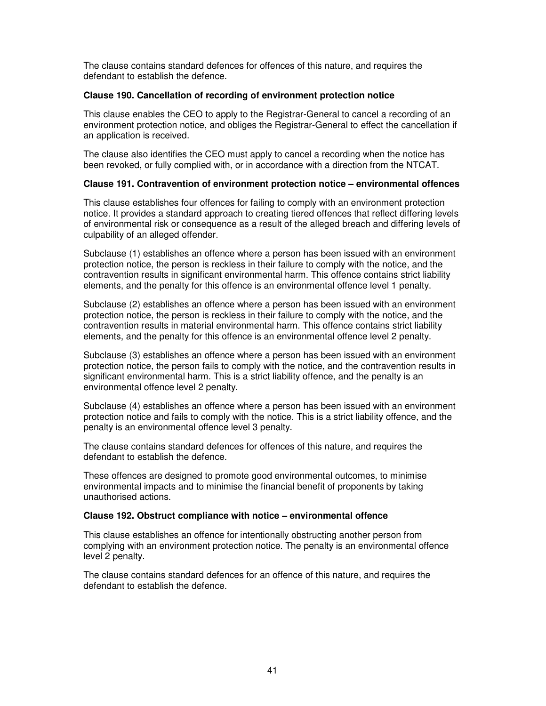The clause contains standard defences for offences of this nature, and requires the defendant to establish the defence.

### **Clause 190. Cancellation of recording of environment protection notice**

This clause enables the CEO to apply to the Registrar-General to cancel a recording of an environment protection notice, and obliges the Registrar-General to effect the cancellation if an application is received.

The clause also identifies the CEO must apply to cancel a recording when the notice has been revoked, or fully complied with, or in accordance with a direction from the NTCAT.

# **Clause 191. Contravention of environment protection notice – environmental offences**

This clause establishes four offences for failing to comply with an environment protection notice. It provides a standard approach to creating tiered offences that reflect differing levels of environmental risk or consequence as a result of the alleged breach and differing levels of culpability of an alleged offender.

Subclause (1) establishes an offence where a person has been issued with an environment protection notice, the person is reckless in their failure to comply with the notice, and the contravention results in significant environmental harm. This offence contains strict liability elements, and the penalty for this offence is an environmental offence level 1 penalty.

Subclause (2) establishes an offence where a person has been issued with an environment protection notice, the person is reckless in their failure to comply with the notice, and the contravention results in material environmental harm. This offence contains strict liability elements, and the penalty for this offence is an environmental offence level 2 penalty.

Subclause (3) establishes an offence where a person has been issued with an environment protection notice, the person fails to comply with the notice, and the contravention results in significant environmental harm. This is a strict liability offence, and the penalty is an environmental offence level 2 penalty.

Subclause (4) establishes an offence where a person has been issued with an environment protection notice and fails to comply with the notice. This is a strict liability offence, and the penalty is an environmental offence level 3 penalty.

The clause contains standard defences for offences of this nature, and requires the defendant to establish the defence.

These offences are designed to promote good environmental outcomes, to minimise environmental impacts and to minimise the financial benefit of proponents by taking unauthorised actions.

#### **Clause 192. Obstruct compliance with notice – environmental offence**

This clause establishes an offence for intentionally obstructing another person from complying with an environment protection notice. The penalty is an environmental offence level 2 penalty.

The clause contains standard defences for an offence of this nature, and requires the defendant to establish the defence.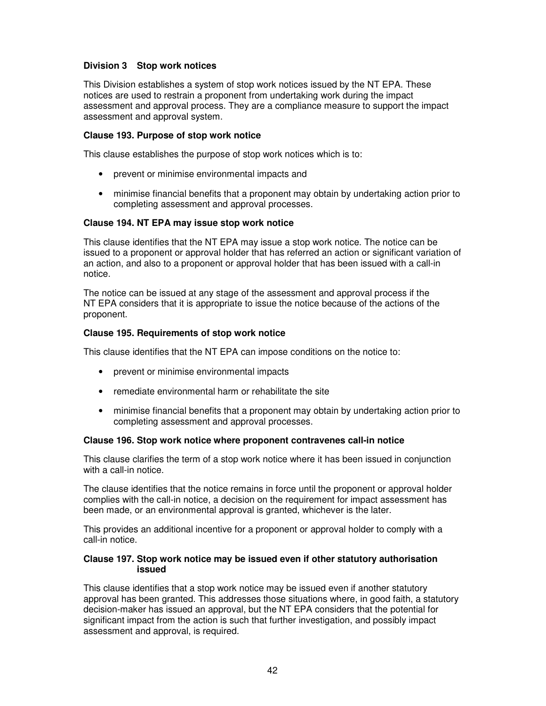# **Division 3 Stop work notices**

This Division establishes a system of stop work notices issued by the NT EPA. These notices are used to restrain a proponent from undertaking work during the impact assessment and approval process. They are a compliance measure to support the impact assessment and approval system.

### **Clause 193. Purpose of stop work notice**

This clause establishes the purpose of stop work notices which is to:

- prevent or minimise environmental impacts and
- minimise financial benefits that a proponent may obtain by undertaking action prior to completing assessment and approval processes.

### **Clause 194. NT EPA may issue stop work notice**

This clause identifies that the NT EPA may issue a stop work notice. The notice can be issued to a proponent or approval holder that has referred an action or significant variation of an action, and also to a proponent or approval holder that has been issued with a call-in notice.

The notice can be issued at any stage of the assessment and approval process if the NT EPA considers that it is appropriate to issue the notice because of the actions of the proponent.

### **Clause 195. Requirements of stop work notice**

This clause identifies that the NT EPA can impose conditions on the notice to:

- prevent or minimise environmental impacts
- remediate environmental harm or rehabilitate the site
- minimise financial benefits that a proponent may obtain by undertaking action prior to completing assessment and approval processes.

### **Clause 196. Stop work notice where proponent contravenes call-in notice**

This clause clarifies the term of a stop work notice where it has been issued in conjunction with a call-in notice.

The clause identifies that the notice remains in force until the proponent or approval holder complies with the call-in notice, a decision on the requirement for impact assessment has been made, or an environmental approval is granted, whichever is the later.

This provides an additional incentive for a proponent or approval holder to comply with a call-in notice.

#### **Clause 197. Stop work notice may be issued even if other statutory authorisation issued**

This clause identifies that a stop work notice may be issued even if another statutory approval has been granted. This addresses those situations where, in good faith, a statutory decision-maker has issued an approval, but the NT EPA considers that the potential for significant impact from the action is such that further investigation, and possibly impact assessment and approval, is required.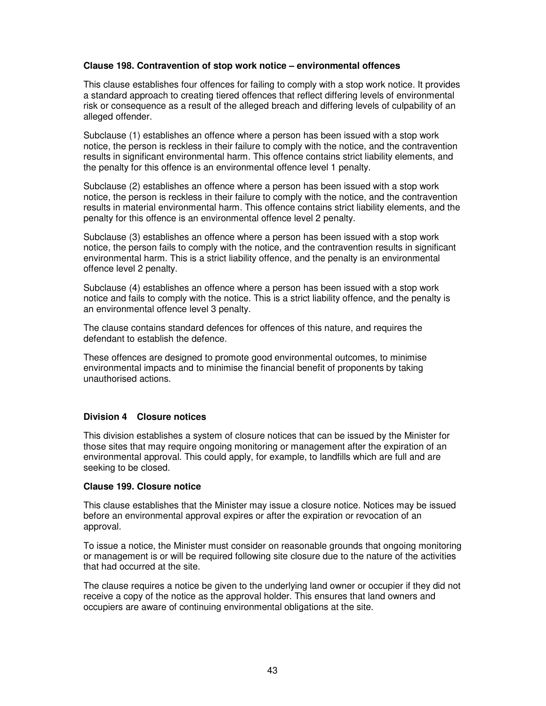# **Clause 198. Contravention of stop work notice – environmental offences**

This clause establishes four offences for failing to comply with a stop work notice. It provides a standard approach to creating tiered offences that reflect differing levels of environmental risk or consequence as a result of the alleged breach and differing levels of culpability of an alleged offender.

Subclause (1) establishes an offence where a person has been issued with a stop work notice, the person is reckless in their failure to comply with the notice, and the contravention results in significant environmental harm. This offence contains strict liability elements, and the penalty for this offence is an environmental offence level 1 penalty.

Subclause (2) establishes an offence where a person has been issued with a stop work notice, the person is reckless in their failure to comply with the notice, and the contravention results in material environmental harm. This offence contains strict liability elements, and the penalty for this offence is an environmental offence level 2 penalty.

Subclause (3) establishes an offence where a person has been issued with a stop work notice, the person fails to comply with the notice, and the contravention results in significant environmental harm. This is a strict liability offence, and the penalty is an environmental offence level 2 penalty.

Subclause (4) establishes an offence where a person has been issued with a stop work notice and fails to comply with the notice. This is a strict liability offence, and the penalty is an environmental offence level 3 penalty.

The clause contains standard defences for offences of this nature, and requires the defendant to establish the defence.

These offences are designed to promote good environmental outcomes, to minimise environmental impacts and to minimise the financial benefit of proponents by taking unauthorised actions.

# **Division 4 Closure notices**

This division establishes a system of closure notices that can be issued by the Minister for those sites that may require ongoing monitoring or management after the expiration of an environmental approval. This could apply, for example, to landfills which are full and are seeking to be closed.

### **Clause 199. Closure notice**

This clause establishes that the Minister may issue a closure notice. Notices may be issued before an environmental approval expires or after the expiration or revocation of an approval.

To issue a notice, the Minister must consider on reasonable grounds that ongoing monitoring or management is or will be required following site closure due to the nature of the activities that had occurred at the site.

The clause requires a notice be given to the underlying land owner or occupier if they did not receive a copy of the notice as the approval holder. This ensures that land owners and occupiers are aware of continuing environmental obligations at the site.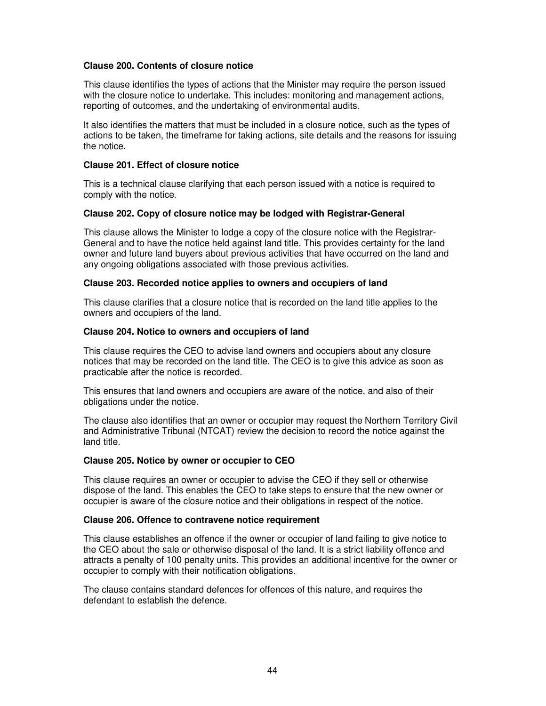### **Clause 200. Contents of closure notice**

This clause identifies the types of actions that the Minister may require the person issued with the closure notice to undertake. This includes: monitoring and management actions, reporting of outcomes, and the undertaking of environmental audits.

It also identifies the matters that must be included in a closure notice, such as the types of actions to be taken, the timeframe for taking actions, site details and the reasons for issuing the notice.

### **Clause 201. Effect of closure notice**

This is a technical clause clarifying that each person issued with a notice is required to comply with the notice.

### **Clause 202. Copy of closure notice may be lodged with Registrar-General**

This clause allows the Minister to lodge a copy of the closure notice with the Registrar-General and to have the notice held against land title. This provides certainty for the land owner and future land buyers about previous activities that have occurred on the land and any ongoing obligations associated with those previous activities.

### **Clause 203. Recorded notice applies to owners and occupiers of land**

This clause clarifies that a closure notice that is recorded on the land title applies to the owners and occupiers of the land.

### **Clause 204. Notice to owners and occupiers of land**

This clause requires the CEO to advise land owners and occupiers about any closure notices that may be recorded on the land title. The CEO is to give this advice as soon as practicable after the notice is recorded.

This ensures that land owners and occupiers are aware of the notice, and also of their obligations under the notice.

The clause also identifies that an owner or occupier may request the Northern Territory Civil and Administrative Tribunal (NTCAT) review the decision to record the notice against the land title.

#### **Clause 205. Notice by owner or occupier to CEO**

This clause requires an owner or occupier to advise the CEO if they sell or otherwise dispose of the land. This enables the CEO to take steps to ensure that the new owner or occupier is aware of the closure notice and their obligations in respect of the notice.

#### **Clause 206. Offence to contravene notice requirement**

This clause establishes an offence if the owner or occupier of land failing to give notice to the CEO about the sale or otherwise disposal of the land. It is a strict liability offence and attracts a penalty of 100 penalty units. This provides an additional incentive for the owner or occupier to comply with their notification obligations.

The clause contains standard defences for offences of this nature, and requires the defendant to establish the defence.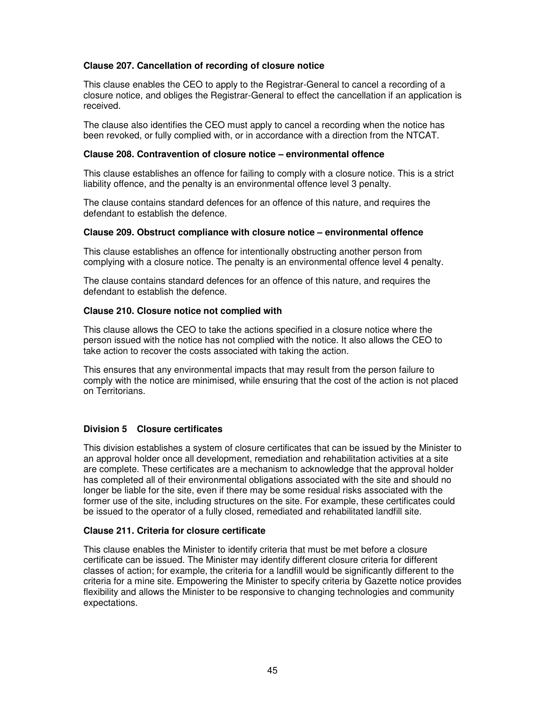# **Clause 207. Cancellation of recording of closure notice**

This clause enables the CEO to apply to the Registrar-General to cancel a recording of a closure notice, and obliges the Registrar-General to effect the cancellation if an application is received.

The clause also identifies the CEO must apply to cancel a recording when the notice has been revoked, or fully complied with, or in accordance with a direction from the NTCAT.

### **Clause 208. Contravention of closure notice – environmental offence**

This clause establishes an offence for failing to comply with a closure notice. This is a strict liability offence, and the penalty is an environmental offence level 3 penalty.

The clause contains standard defences for an offence of this nature, and requires the defendant to establish the defence.

#### **Clause 209. Obstruct compliance with closure notice – environmental offence**

This clause establishes an offence for intentionally obstructing another person from complying with a closure notice. The penalty is an environmental offence level 4 penalty.

The clause contains standard defences for an offence of this nature, and requires the defendant to establish the defence.

### **Clause 210. Closure notice not complied with**

This clause allows the CEO to take the actions specified in a closure notice where the person issued with the notice has not complied with the notice. It also allows the CEO to take action to recover the costs associated with taking the action.

This ensures that any environmental impacts that may result from the person failure to comply with the notice are minimised, while ensuring that the cost of the action is not placed on Territorians.

# **Division 5 Closure certificates**

This division establishes a system of closure certificates that can be issued by the Minister to an approval holder once all development, remediation and rehabilitation activities at a site are complete. These certificates are a mechanism to acknowledge that the approval holder has completed all of their environmental obligations associated with the site and should no longer be liable for the site, even if there may be some residual risks associated with the former use of the site, including structures on the site. For example, these certificates could be issued to the operator of a fully closed, remediated and rehabilitated landfill site.

### **Clause 211. Criteria for closure certificate**

This clause enables the Minister to identify criteria that must be met before a closure certificate can be issued. The Minister may identify different closure criteria for different classes of action; for example, the criteria for a landfill would be significantly different to the criteria for a mine site. Empowering the Minister to specify criteria by Gazette notice provides flexibility and allows the Minister to be responsive to changing technologies and community expectations.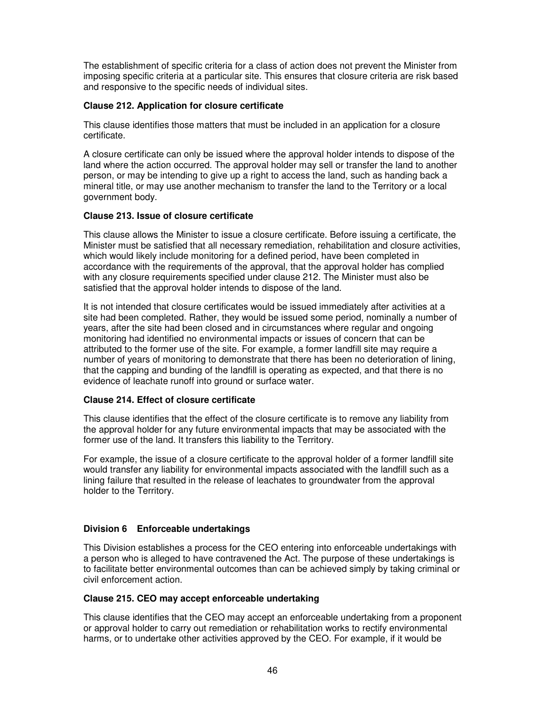The establishment of specific criteria for a class of action does not prevent the Minister from imposing specific criteria at a particular site. This ensures that closure criteria are risk based and responsive to the specific needs of individual sites.

# **Clause 212. Application for closure certificate**

This clause identifies those matters that must be included in an application for a closure certificate.

A closure certificate can only be issued where the approval holder intends to dispose of the land where the action occurred. The approval holder may sell or transfer the land to another person, or may be intending to give up a right to access the land, such as handing back a mineral title, or may use another mechanism to transfer the land to the Territory or a local government body.

# **Clause 213. Issue of closure certificate**

This clause allows the Minister to issue a closure certificate. Before issuing a certificate, the Minister must be satisfied that all necessary remediation, rehabilitation and closure activities, which would likely include monitoring for a defined period, have been completed in accordance with the requirements of the approval, that the approval holder has complied with any closure requirements specified under clause 212. The Minister must also be satisfied that the approval holder intends to dispose of the land.

It is not intended that closure certificates would be issued immediately after activities at a site had been completed. Rather, they would be issued some period, nominally a number of years, after the site had been closed and in circumstances where regular and ongoing monitoring had identified no environmental impacts or issues of concern that can be attributed to the former use of the site. For example, a former landfill site may require a number of years of monitoring to demonstrate that there has been no deterioration of lining, that the capping and bunding of the landfill is operating as expected, and that there is no evidence of leachate runoff into ground or surface water.

# **Clause 214. Effect of closure certificate**

This clause identifies that the effect of the closure certificate is to remove any liability from the approval holder for any future environmental impacts that may be associated with the former use of the land. It transfers this liability to the Territory.

For example, the issue of a closure certificate to the approval holder of a former landfill site would transfer any liability for environmental impacts associated with the landfill such as a lining failure that resulted in the release of leachates to groundwater from the approval holder to the Territory.

# **Division 6 Enforceable undertakings**

This Division establishes a process for the CEO entering into enforceable undertakings with a person who is alleged to have contravened the Act. The purpose of these undertakings is to facilitate better environmental outcomes than can be achieved simply by taking criminal or civil enforcement action.

# **Clause 215. CEO may accept enforceable undertaking**

This clause identifies that the CEO may accept an enforceable undertaking from a proponent or approval holder to carry out remediation or rehabilitation works to rectify environmental harms, or to undertake other activities approved by the CEO. For example, if it would be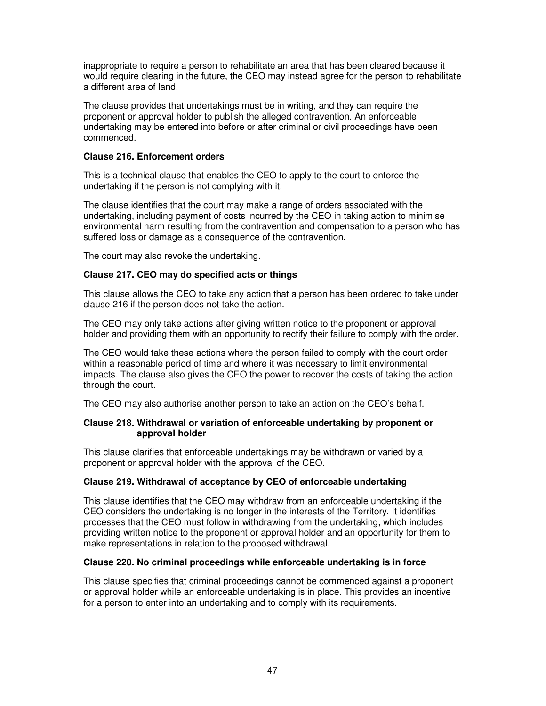inappropriate to require a person to rehabilitate an area that has been cleared because it would require clearing in the future, the CEO may instead agree for the person to rehabilitate a different area of land.

The clause provides that undertakings must be in writing, and they can require the proponent or approval holder to publish the alleged contravention. An enforceable undertaking may be entered into before or after criminal or civil proceedings have been commenced.

# **Clause 216. Enforcement orders**

This is a technical clause that enables the CEO to apply to the court to enforce the undertaking if the person is not complying with it.

The clause identifies that the court may make a range of orders associated with the undertaking, including payment of costs incurred by the CEO in taking action to minimise environmental harm resulting from the contravention and compensation to a person who has suffered loss or damage as a consequence of the contravention.

The court may also revoke the undertaking.

# **Clause 217. CEO may do specified acts or things**

This clause allows the CEO to take any action that a person has been ordered to take under clause 216 if the person does not take the action.

The CEO may only take actions after giving written notice to the proponent or approval holder and providing them with an opportunity to rectify their failure to comply with the order.

The CEO would take these actions where the person failed to comply with the court order within a reasonable period of time and where it was necessary to limit environmental impacts. The clause also gives the CEO the power to recover the costs of taking the action through the court.

The CEO may also authorise another person to take an action on the CEO's behalf.

# **Clause 218. Withdrawal or variation of enforceable undertaking by proponent or approval holder**

This clause clarifies that enforceable undertakings may be withdrawn or varied by a proponent or approval holder with the approval of the CEO.

# **Clause 219. Withdrawal of acceptance by CEO of enforceable undertaking**

This clause identifies that the CEO may withdraw from an enforceable undertaking if the CEO considers the undertaking is no longer in the interests of the Territory. It identifies processes that the CEO must follow in withdrawing from the undertaking, which includes providing written notice to the proponent or approval holder and an opportunity for them to make representations in relation to the proposed withdrawal.

#### **Clause 220. No criminal proceedings while enforceable undertaking is in force**

This clause specifies that criminal proceedings cannot be commenced against a proponent or approval holder while an enforceable undertaking is in place. This provides an incentive for a person to enter into an undertaking and to comply with its requirements.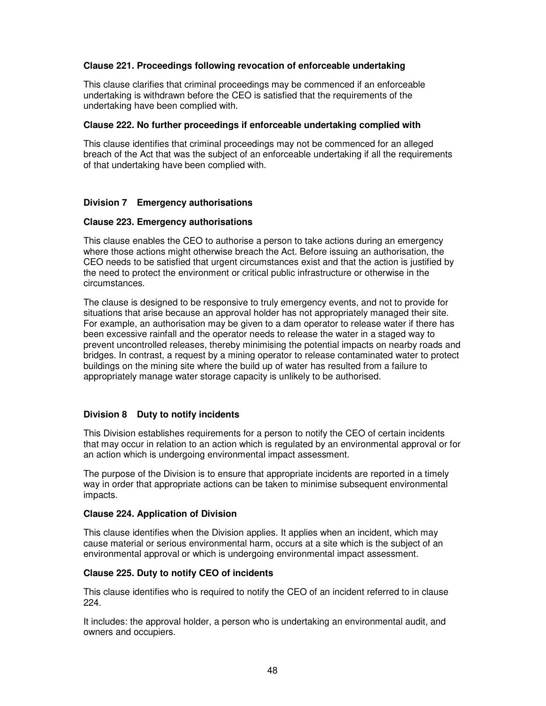# **Clause 221. Proceedings following revocation of enforceable undertaking**

This clause clarifies that criminal proceedings may be commenced if an enforceable undertaking is withdrawn before the CEO is satisfied that the requirements of the undertaking have been complied with.

### **Clause 222. No further proceedings if enforceable undertaking complied with**

This clause identifies that criminal proceedings may not be commenced for an alleged breach of the Act that was the subject of an enforceable undertaking if all the requirements of that undertaking have been complied with.

# **Division 7 Emergency authorisations**

### **Clause 223. Emergency authorisations**

This clause enables the CEO to authorise a person to take actions during an emergency where those actions might otherwise breach the Act. Before issuing an authorisation, the CEO needs to be satisfied that urgent circumstances exist and that the action is justified by the need to protect the environment or critical public infrastructure or otherwise in the circumstances.

The clause is designed to be responsive to truly emergency events, and not to provide for situations that arise because an approval holder has not appropriately managed their site. For example, an authorisation may be given to a dam operator to release water if there has been excessive rainfall and the operator needs to release the water in a staged way to prevent uncontrolled releases, thereby minimising the potential impacts on nearby roads and bridges. In contrast, a request by a mining operator to release contaminated water to protect buildings on the mining site where the build up of water has resulted from a failure to appropriately manage water storage capacity is unlikely to be authorised.

# **Division 8 Duty to notify incidents**

This Division establishes requirements for a person to notify the CEO of certain incidents that may occur in relation to an action which is regulated by an environmental approval or for an action which is undergoing environmental impact assessment.

The purpose of the Division is to ensure that appropriate incidents are reported in a timely way in order that appropriate actions can be taken to minimise subsequent environmental impacts.

# **Clause 224. Application of Division**

This clause identifies when the Division applies. It applies when an incident, which may cause material or serious environmental harm, occurs at a site which is the subject of an environmental approval or which is undergoing environmental impact assessment.

# **Clause 225. Duty to notify CEO of incidents**

This clause identifies who is required to notify the CEO of an incident referred to in clause 224.

It includes: the approval holder, a person who is undertaking an environmental audit, and owners and occupiers.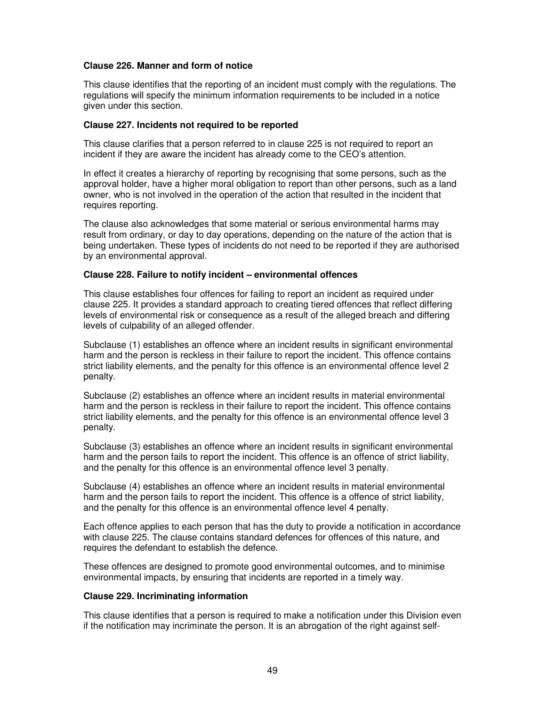### **Clause 226. Manner and form of notice**

This clause identifies that the reporting of an incident must comply with the regulations. The regulations will specify the minimum information requirements to be included in a notice given under this section.

#### **Clause 227. Incidents not required to be reported**

This clause clarifies that a person referred to in clause 225 is not required to report an incident if they are aware the incident has already come to the CEO's attention.

In effect it creates a hierarchy of reporting by recognising that some persons, such as the approval holder, have a higher moral obligation to report than other persons, such as a land owner, who is not involved in the operation of the action that resulted in the incident that requires reporting.

The clause also acknowledges that some material or serious environmental harms may result from ordinary, or day to day operations, depending on the nature of the action that is being undertaken. These types of incidents do not need to be reported if they are authorised by an environmental approval.

### **Clause 228. Failure to notify incident – environmental offences**

This clause establishes four offences for failing to report an incident as required under clause 225. It provides a standard approach to creating tiered offences that reflect differing levels of environmental risk or consequence as a result of the alleged breach and differing levels of culpability of an alleged offender.

Subclause (1) establishes an offence where an incident results in significant environmental harm and the person is reckless in their failure to report the incident. This offence contains strict liability elements, and the penalty for this offence is an environmental offence level 2 penalty.

Subclause (2) establishes an offence where an incident results in material environmental harm and the person is reckless in their failure to report the incident. This offence contains strict liability elements, and the penalty for this offence is an environmental offence level 3 penalty.

Subclause (3) establishes an offence where an incident results in significant environmental harm and the person fails to report the incident. This offence is an offence of strict liability, and the penalty for this offence is an environmental offence level 3 penalty.

Subclause (4) establishes an offence where an incident results in material environmental harm and the person fails to report the incident. This offence is a offence of strict liability, and the penalty for this offence is an environmental offence level 4 penalty.

Each offence applies to each person that has the duty to provide a notification in accordance with clause 225. The clause contains standard defences for offences of this nature, and requires the defendant to establish the defence.

These offences are designed to promote good environmental outcomes, and to minimise environmental impacts, by ensuring that incidents are reported in a timely way.

#### **Clause 229. Incriminating information**

This clause identifies that a person is required to make a notification under this Division even if the notification may incriminate the person. It is an abrogation of the right against self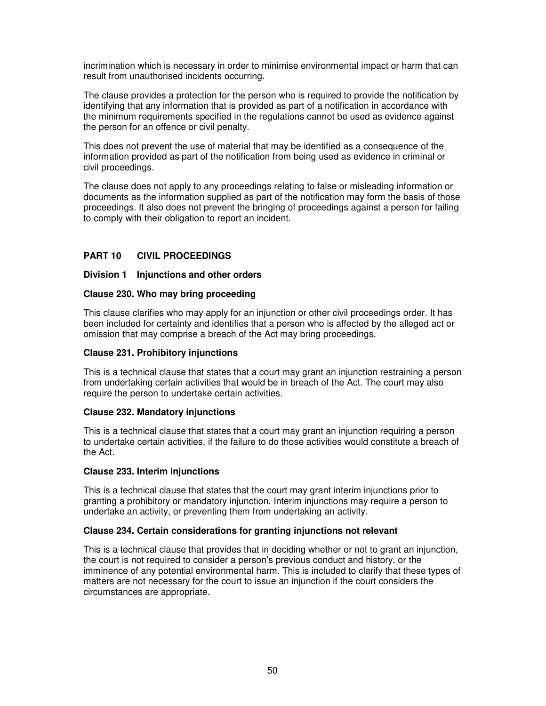incrimination which is necessary in order to minimise environmental impact or harm that can result from unauthorised incidents occurring.

The clause provides a protection for the person who is required to provide the notification by identifying that any information that is provided as part of a notification in accordance with the minimum requirements specified in the regulations cannot be used as evidence against the person for an offence or civil penalty.

This does not prevent the use of material that may be identified as a consequence of the information provided as part of the notification from being used as evidence in criminal or civil proceedings.

The clause does not apply to any proceedings relating to false or misleading information or documents as the information supplied as part of the notification may form the basis of those proceedings. It also does not prevent the bringing of proceedings against a person for failing to comply with their obligation to report an incident.

# **PART 10 CIVIL PROCEEDINGS**

### **Division 1 Injunctions and other orders**

### **Clause 230. Who may bring proceeding**

This clause clarifies who may apply for an injunction or other civil proceedings order. It has been included for certainty and identifies that a person who is affected by the alleged act or omission that may comprise a breach of the Act may bring proceedings.

#### **Clause 231. Prohibitory injunctions**

This is a technical clause that states that a court may grant an injunction restraining a person from undertaking certain activities that would be in breach of the Act. The court may also require the person to undertake certain activities.

#### **Clause 232. Mandatory injunctions**

This is a technical clause that states that a court may grant an injunction requiring a person to undertake certain activities, if the failure to do those activities would constitute a breach of the Act.

#### **Clause 233. Interim injunctions**

This is a technical clause that states that the court may grant interim injunctions prior to granting a prohibitory or mandatory injunction. Interim injunctions may require a person to undertake an activity, or preventing them from undertaking an activity.

# **Clause 234. Certain considerations for granting injunctions not relevant**

This is a technical clause that provides that in deciding whether or not to grant an injunction, the court is not required to consider a person's previous conduct and history, or the imminence of any potential environmental harm. This is included to clarify that these types of matters are not necessary for the court to issue an injunction if the court considers the circumstances are appropriate.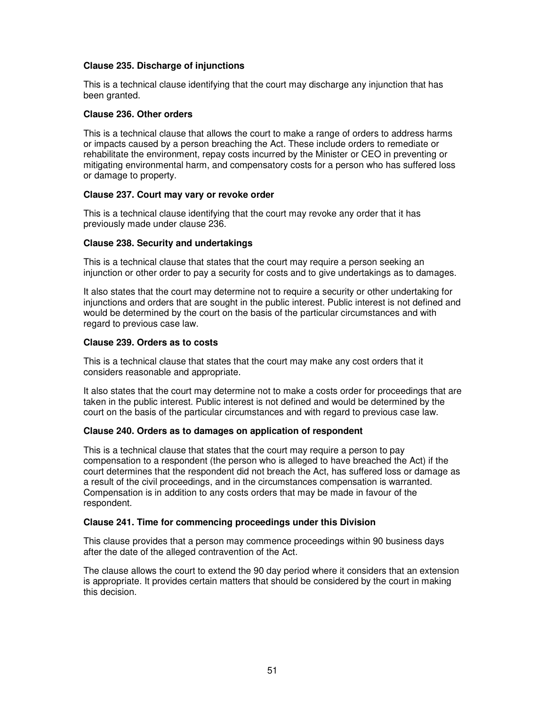# **Clause 235. Discharge of injunctions**

This is a technical clause identifying that the court may discharge any injunction that has been granted.

### **Clause 236. Other orders**

This is a technical clause that allows the court to make a range of orders to address harms or impacts caused by a person breaching the Act. These include orders to remediate or rehabilitate the environment, repay costs incurred by the Minister or CEO in preventing or mitigating environmental harm, and compensatory costs for a person who has suffered loss or damage to property.

### **Clause 237. Court may vary or revoke order**

This is a technical clause identifying that the court may revoke any order that it has previously made under clause 236.

### **Clause 238. Security and undertakings**

This is a technical clause that states that the court may require a person seeking an injunction or other order to pay a security for costs and to give undertakings as to damages.

It also states that the court may determine not to require a security or other undertaking for injunctions and orders that are sought in the public interest. Public interest is not defined and would be determined by the court on the basis of the particular circumstances and with regard to previous case law.

### **Clause 239. Orders as to costs**

This is a technical clause that states that the court may make any cost orders that it considers reasonable and appropriate.

It also states that the court may determine not to make a costs order for proceedings that are taken in the public interest. Public interest is not defined and would be determined by the court on the basis of the particular circumstances and with regard to previous case law.

# **Clause 240. Orders as to damages on application of respondent**

This is a technical clause that states that the court may require a person to pay compensation to a respondent (the person who is alleged to have breached the Act) if the court determines that the respondent did not breach the Act, has suffered loss or damage as a result of the civil proceedings, and in the circumstances compensation is warranted. Compensation is in addition to any costs orders that may be made in favour of the respondent.

# **Clause 241. Time for commencing proceedings under this Division**

This clause provides that a person may commence proceedings within 90 business days after the date of the alleged contravention of the Act.

The clause allows the court to extend the 90 day period where it considers that an extension is appropriate. It provides certain matters that should be considered by the court in making this decision.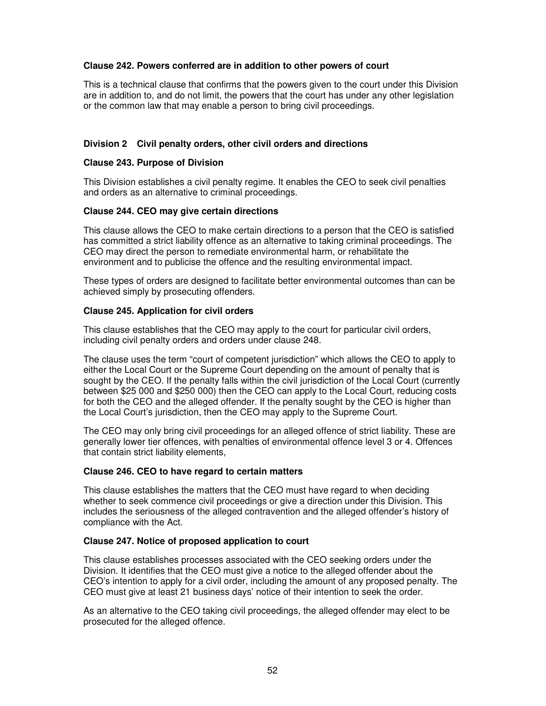# **Clause 242. Powers conferred are in addition to other powers of court**

This is a technical clause that confirms that the powers given to the court under this Division are in addition to, and do not limit, the powers that the court has under any other legislation or the common law that may enable a person to bring civil proceedings.

### **Division 2 Civil penalty orders, other civil orders and directions**

#### **Clause 243. Purpose of Division**

This Division establishes a civil penalty regime. It enables the CEO to seek civil penalties and orders as an alternative to criminal proceedings.

### **Clause 244. CEO may give certain directions**

This clause allows the CEO to make certain directions to a person that the CEO is satisfied has committed a strict liability offence as an alternative to taking criminal proceedings. The CEO may direct the person to remediate environmental harm, or rehabilitate the environment and to publicise the offence and the resulting environmental impact.

These types of orders are designed to facilitate better environmental outcomes than can be achieved simply by prosecuting offenders.

### **Clause 245. Application for civil orders**

This clause establishes that the CEO may apply to the court for particular civil orders, including civil penalty orders and orders under clause 248.

The clause uses the term "court of competent jurisdiction" which allows the CEO to apply to either the Local Court or the Supreme Court depending on the amount of penalty that is sought by the CEO. If the penalty falls within the civil jurisdiction of the Local Court (currently between \$25 000 and \$250 000) then the CEO can apply to the Local Court, reducing costs for both the CEO and the alleged offender. If the penalty sought by the CEO is higher than the Local Court's jurisdiction, then the CEO may apply to the Supreme Court.

The CEO may only bring civil proceedings for an alleged offence of strict liability. These are generally lower tier offences, with penalties of environmental offence level 3 or 4. Offences that contain strict liability elements,

#### **Clause 246. CEO to have regard to certain matters**

This clause establishes the matters that the CEO must have regard to when deciding whether to seek commence civil proceedings or give a direction under this Division. This includes the seriousness of the alleged contravention and the alleged offender's history of compliance with the Act.

#### **Clause 247. Notice of proposed application to court**

This clause establishes processes associated with the CEO seeking orders under the Division. It identifies that the CEO must give a notice to the alleged offender about the CEO's intention to apply for a civil order, including the amount of any proposed penalty. The CEO must give at least 21 business days' notice of their intention to seek the order.

As an alternative to the CEO taking civil proceedings, the alleged offender may elect to be prosecuted for the alleged offence.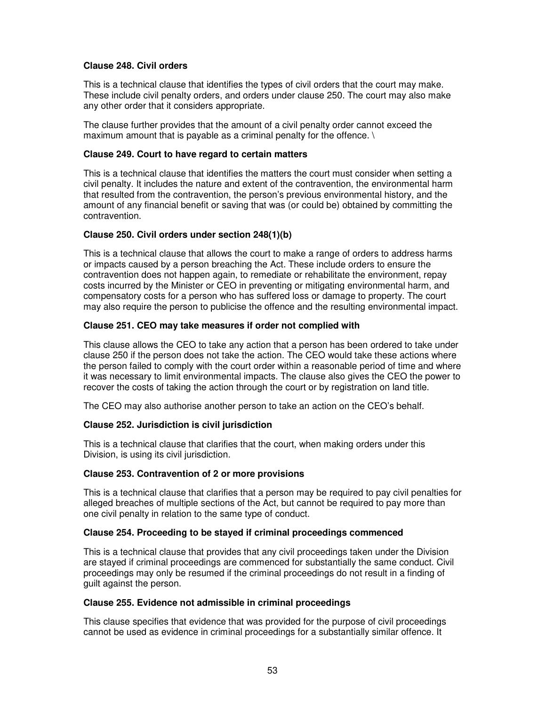# **Clause 248. Civil orders**

This is a technical clause that identifies the types of civil orders that the court may make. These include civil penalty orders, and orders under clause 250. The court may also make any other order that it considers appropriate.

The clause further provides that the amount of a civil penalty order cannot exceed the maximum amount that is payable as a criminal penalty for the offence. \

# **Clause 249. Court to have regard to certain matters**

This is a technical clause that identifies the matters the court must consider when setting a civil penalty. It includes the nature and extent of the contravention, the environmental harm that resulted from the contravention, the person's previous environmental history, and the amount of any financial benefit or saving that was (or could be) obtained by committing the contravention.

# **Clause 250. Civil orders under section 248(1)(b)**

This is a technical clause that allows the court to make a range of orders to address harms or impacts caused by a person breaching the Act. These include orders to ensure the contravention does not happen again, to remediate or rehabilitate the environment, repay costs incurred by the Minister or CEO in preventing or mitigating environmental harm, and compensatory costs for a person who has suffered loss or damage to property. The court may also require the person to publicise the offence and the resulting environmental impact.

### **Clause 251. CEO may take measures if order not complied with**

This clause allows the CEO to take any action that a person has been ordered to take under clause 250 if the person does not take the action. The CEO would take these actions where the person failed to comply with the court order within a reasonable period of time and where it was necessary to limit environmental impacts. The clause also gives the CEO the power to recover the costs of taking the action through the court or by registration on land title.

The CEO may also authorise another person to take an action on the CEO's behalf.

# **Clause 252. Jurisdiction is civil jurisdiction**

This is a technical clause that clarifies that the court, when making orders under this Division, is using its civil jurisdiction.

#### **Clause 253. Contravention of 2 or more provisions**

This is a technical clause that clarifies that a person may be required to pay civil penalties for alleged breaches of multiple sections of the Act, but cannot be required to pay more than one civil penalty in relation to the same type of conduct.

#### **Clause 254. Proceeding to be stayed if criminal proceedings commenced**

This is a technical clause that provides that any civil proceedings taken under the Division are stayed if criminal proceedings are commenced for substantially the same conduct. Civil proceedings may only be resumed if the criminal proceedings do not result in a finding of guilt against the person.

#### **Clause 255. Evidence not admissible in criminal proceedings**

This clause specifies that evidence that was provided for the purpose of civil proceedings cannot be used as evidence in criminal proceedings for a substantially similar offence. It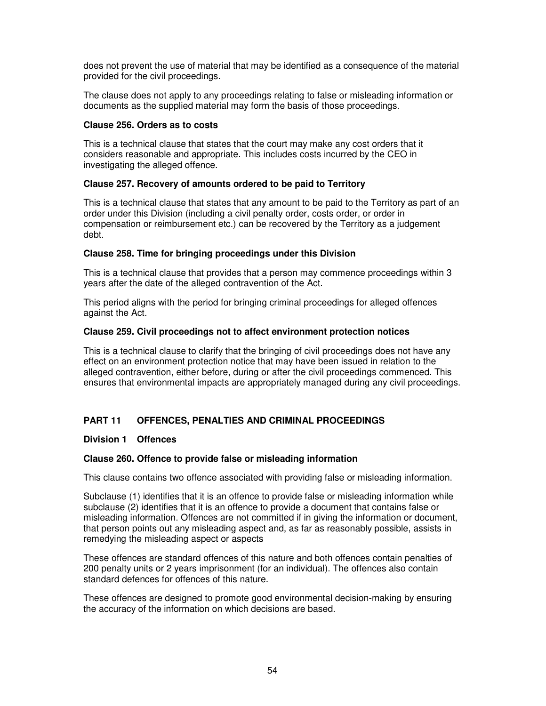does not prevent the use of material that may be identified as a consequence of the material provided for the civil proceedings.

The clause does not apply to any proceedings relating to false or misleading information or documents as the supplied material may form the basis of those proceedings.

### **Clause 256. Orders as to costs**

This is a technical clause that states that the court may make any cost orders that it considers reasonable and appropriate. This includes costs incurred by the CEO in investigating the alleged offence.

# **Clause 257. Recovery of amounts ordered to be paid to Territory**

This is a technical clause that states that any amount to be paid to the Territory as part of an order under this Division (including a civil penalty order, costs order, or order in compensation or reimbursement etc.) can be recovered by the Territory as a judgement debt.

### **Clause 258. Time for bringing proceedings under this Division**

This is a technical clause that provides that a person may commence proceedings within 3 years after the date of the alleged contravention of the Act.

This period aligns with the period for bringing criminal proceedings for alleged offences against the Act.

### **Clause 259. Civil proceedings not to affect environment protection notices**

This is a technical clause to clarify that the bringing of civil proceedings does not have any effect on an environment protection notice that may have been issued in relation to the alleged contravention, either before, during or after the civil proceedings commenced. This ensures that environmental impacts are appropriately managed during any civil proceedings.

# **PART 11 OFFENCES, PENALTIES AND CRIMINAL PROCEEDINGS**

# **Division 1 Offences**

# **Clause 260. Offence to provide false or misleading information**

This clause contains two offence associated with providing false or misleading information.

Subclause (1) identifies that it is an offence to provide false or misleading information while subclause (2) identifies that it is an offence to provide a document that contains false or misleading information. Offences are not committed if in giving the information or document, that person points out any misleading aspect and, as far as reasonably possible, assists in remedying the misleading aspect or aspects

These offences are standard offences of this nature and both offences contain penalties of 200 penalty units or 2 years imprisonment (for an individual). The offences also contain standard defences for offences of this nature.

These offences are designed to promote good environmental decision-making by ensuring the accuracy of the information on which decisions are based.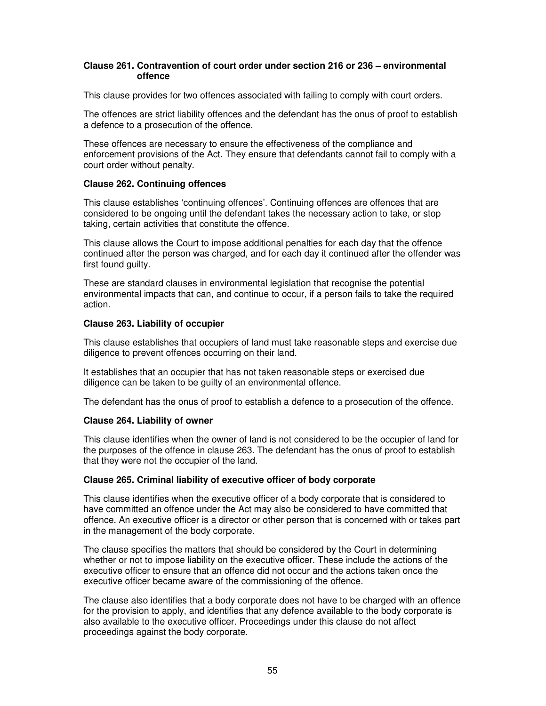### **Clause 261. Contravention of court order under section 216 or 236 – environmental offence**

This clause provides for two offences associated with failing to comply with court orders.

The offences are strict liability offences and the defendant has the onus of proof to establish a defence to a prosecution of the offence.

These offences are necessary to ensure the effectiveness of the compliance and enforcement provisions of the Act. They ensure that defendants cannot fail to comply with a court order without penalty.

# **Clause 262. Continuing offences**

This clause establishes 'continuing offences'. Continuing offences are offences that are considered to be ongoing until the defendant takes the necessary action to take, or stop taking, certain activities that constitute the offence.

This clause allows the Court to impose additional penalties for each day that the offence continued after the person was charged, and for each day it continued after the offender was first found guilty.

These are standard clauses in environmental legislation that recognise the potential environmental impacts that can, and continue to occur, if a person fails to take the required action.

# **Clause 263. Liability of occupier**

This clause establishes that occupiers of land must take reasonable steps and exercise due diligence to prevent offences occurring on their land.

It establishes that an occupier that has not taken reasonable steps or exercised due diligence can be taken to be guilty of an environmental offence.

The defendant has the onus of proof to establish a defence to a prosecution of the offence.

# **Clause 264. Liability of owner**

This clause identifies when the owner of land is not considered to be the occupier of land for the purposes of the offence in clause 263. The defendant has the onus of proof to establish that they were not the occupier of the land.

# **Clause 265. Criminal liability of executive officer of body corporate**

This clause identifies when the executive officer of a body corporate that is considered to have committed an offence under the Act may also be considered to have committed that offence. An executive officer is a director or other person that is concerned with or takes part in the management of the body corporate.

The clause specifies the matters that should be considered by the Court in determining whether or not to impose liability on the executive officer. These include the actions of the executive officer to ensure that an offence did not occur and the actions taken once the executive officer became aware of the commissioning of the offence.

The clause also identifies that a body corporate does not have to be charged with an offence for the provision to apply, and identifies that any defence available to the body corporate is also available to the executive officer. Proceedings under this clause do not affect proceedings against the body corporate.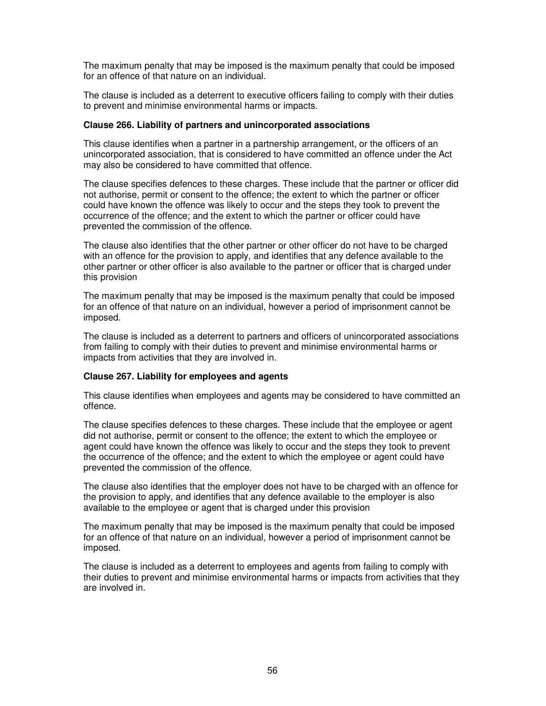The maximum penalty that may be imposed is the maximum penalty that could be imposed for an offence of that nature on an individual.

The clause is included as a deterrent to executive officers failing to comply with their duties to prevent and minimise environmental harms or impacts.

### **Clause 266. Liability of partners and unincorporated associations**

This clause identifies when a partner in a partnership arrangement, or the officers of an unincorporated association, that is considered to have committed an offence under the Act may also be considered to have committed that offence.

The clause specifies defences to these charges. These include that the partner or officer did not authorise, permit or consent to the offence; the extent to which the partner or officer could have known the offence was likely to occur and the steps they took to prevent the occurrence of the offence; and the extent to which the partner or officer could have prevented the commission of the offence.

The clause also identifies that the other partner or other officer do not have to be charged with an offence for the provision to apply, and identifies that any defence available to the other partner or other officer is also available to the partner or officer that is charged under this provision

The maximum penalty that may be imposed is the maximum penalty that could be imposed for an offence of that nature on an individual, however a period of imprisonment cannot be imposed.

The clause is included as a deterrent to partners and officers of unincorporated associations from failing to comply with their duties to prevent and minimise environmental harms or impacts from activities that they are involved in.

#### **Clause 267. Liability for employees and agents**

This clause identifies when employees and agents may be considered to have committed an offence.

The clause specifies defences to these charges. These include that the employee or agent did not authorise, permit or consent to the offence; the extent to which the employee or agent could have known the offence was likely to occur and the steps they took to prevent the occurrence of the offence; and the extent to which the employee or agent could have prevented the commission of the offence.

The clause also identifies that the employer does not have to be charged with an offence for the provision to apply, and identifies that any defence available to the employer is also available to the employee or agent that is charged under this provision

The maximum penalty that may be imposed is the maximum penalty that could be imposed for an offence of that nature on an individual, however a period of imprisonment cannot be imposed.

The clause is included as a deterrent to employees and agents from failing to comply with their duties to prevent and minimise environmental harms or impacts from activities that they are involved in.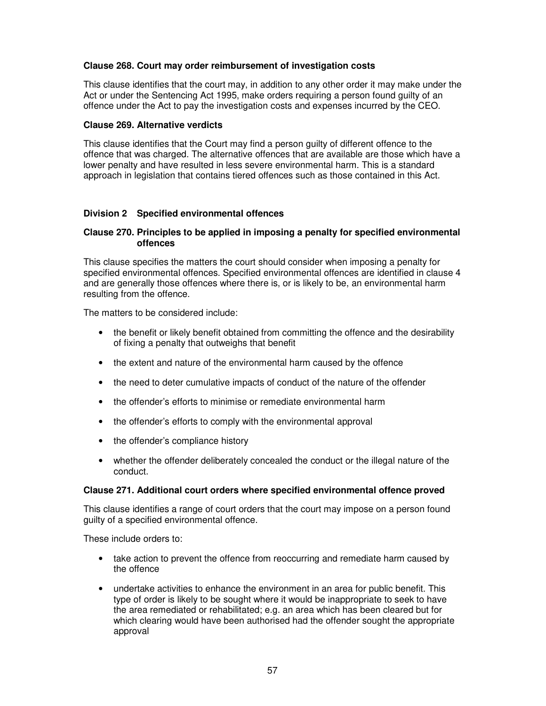# **Clause 268. Court may order reimbursement of investigation costs**

This clause identifies that the court may, in addition to any other order it may make under the Act or under the Sentencing Act 1995, make orders requiring a person found guilty of an offence under the Act to pay the investigation costs and expenses incurred by the CEO.

### **Clause 269. Alternative verdicts**

This clause identifies that the Court may find a person guilty of different offence to the offence that was charged. The alternative offences that are available are those which have a lower penalty and have resulted in less severe environmental harm. This is a standard approach in legislation that contains tiered offences such as those contained in this Act.

# **Division 2 Specified environmental offences**

### **Clause 270. Principles to be applied in imposing a penalty for specified environmental offences**

This clause specifies the matters the court should consider when imposing a penalty for specified environmental offences. Specified environmental offences are identified in clause 4 and are generally those offences where there is, or is likely to be, an environmental harm resulting from the offence.

The matters to be considered include:

- the benefit or likely benefit obtained from committing the offence and the desirability of fixing a penalty that outweighs that benefit
- the extent and nature of the environmental harm caused by the offence
- the need to deter cumulative impacts of conduct of the nature of the offender
- the offender's efforts to minimise or remediate environmental harm
- the offender's efforts to comply with the environmental approval
- the offender's compliance history
- whether the offender deliberately concealed the conduct or the illegal nature of the conduct.

# **Clause 271. Additional court orders where specified environmental offence proved**

This clause identifies a range of court orders that the court may impose on a person found guilty of a specified environmental offence.

These include orders to:

- take action to prevent the offence from reoccurring and remediate harm caused by the offence
- undertake activities to enhance the environment in an area for public benefit. This type of order is likely to be sought where it would be inappropriate to seek to have the area remediated or rehabilitated; e.g. an area which has been cleared but for which clearing would have been authorised had the offender sought the appropriate approval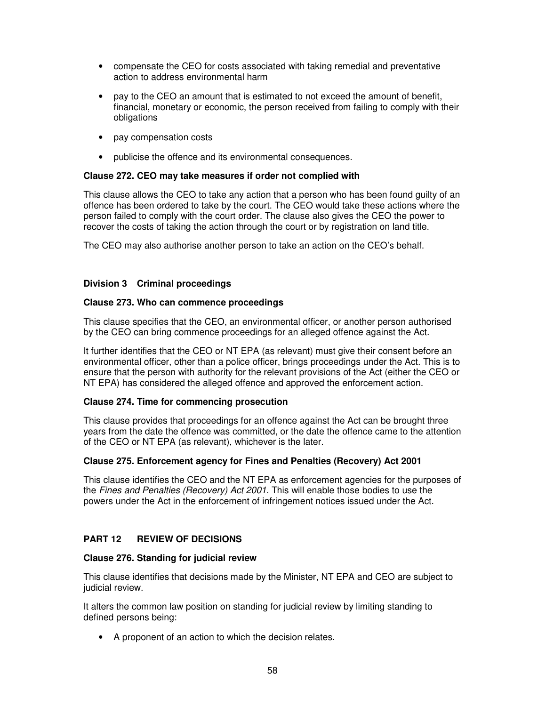- compensate the CEO for costs associated with taking remedial and preventative action to address environmental harm
- pay to the CEO an amount that is estimated to not exceed the amount of benefit, financial, monetary or economic, the person received from failing to comply with their obligations
- pay compensation costs
- publicise the offence and its environmental consequences.

### **Clause 272. CEO may take measures if order not complied with**

This clause allows the CEO to take any action that a person who has been found guilty of an offence has been ordered to take by the court. The CEO would take these actions where the person failed to comply with the court order. The clause also gives the CEO the power to recover the costs of taking the action through the court or by registration on land title.

The CEO may also authorise another person to take an action on the CEO's behalf.

### **Division 3 Criminal proceedings**

#### **Clause 273. Who can commence proceedings**

This clause specifies that the CEO, an environmental officer, or another person authorised by the CEO can bring commence proceedings for an alleged offence against the Act.

It further identifies that the CEO or NT EPA (as relevant) must give their consent before an environmental officer, other than a police officer, brings proceedings under the Act. This is to ensure that the person with authority for the relevant provisions of the Act (either the CEO or NT EPA) has considered the alleged offence and approved the enforcement action.

# **Clause 274. Time for commencing prosecution**

This clause provides that proceedings for an offence against the Act can be brought three years from the date the offence was committed, or the date the offence came to the attention of the CEO or NT EPA (as relevant), whichever is the later.

# **Clause 275. Enforcement agency for Fines and Penalties (Recovery) Act 2001**

This clause identifies the CEO and the NT EPA as enforcement agencies for the purposes of the Fines and Penalties (Recovery) Act 2001. This will enable those bodies to use the powers under the Act in the enforcement of infringement notices issued under the Act.

# **PART 12 REVIEW OF DECISIONS**

#### **Clause 276. Standing for judicial review**

This clause identifies that decisions made by the Minister, NT EPA and CEO are subject to judicial review.

It alters the common law position on standing for judicial review by limiting standing to defined persons being:

• A proponent of an action to which the decision relates.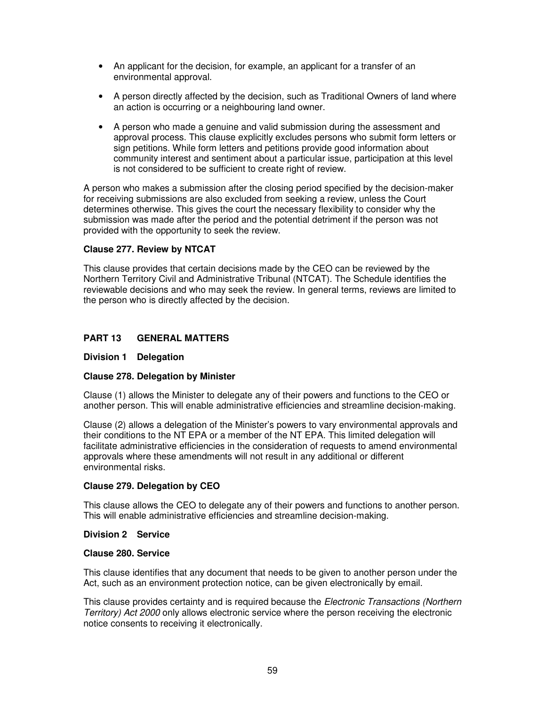- An applicant for the decision, for example, an applicant for a transfer of an environmental approval.
- A person directly affected by the decision, such as Traditional Owners of land where an action is occurring or a neighbouring land owner.
- A person who made a genuine and valid submission during the assessment and approval process. This clause explicitly excludes persons who submit form letters or sign petitions. While form letters and petitions provide good information about community interest and sentiment about a particular issue, participation at this level is not considered to be sufficient to create right of review.

A person who makes a submission after the closing period specified by the decision-maker for receiving submissions are also excluded from seeking a review, unless the Court determines otherwise. This gives the court the necessary flexibility to consider why the submission was made after the period and the potential detriment if the person was not provided with the opportunity to seek the review.

# **Clause 277. Review by NTCAT**

This clause provides that certain decisions made by the CEO can be reviewed by the Northern Territory Civil and Administrative Tribunal (NTCAT). The Schedule identifies the reviewable decisions and who may seek the review. In general terms, reviews are limited to the person who is directly affected by the decision.

# **PART 13 GENERAL MATTERS**

### **Division 1 Delegation**

# **Clause 278. Delegation by Minister**

Clause (1) allows the Minister to delegate any of their powers and functions to the CEO or another person. This will enable administrative efficiencies and streamline decision-making.

Clause (2) allows a delegation of the Minister's powers to vary environmental approvals and their conditions to the NT EPA or a member of the NT EPA. This limited delegation will facilitate administrative efficiencies in the consideration of requests to amend environmental approvals where these amendments will not result in any additional or different environmental risks.

#### **Clause 279. Delegation by CEO**

This clause allows the CEO to delegate any of their powers and functions to another person. This will enable administrative efficiencies and streamline decision-making.

#### **Division 2 Service**

### **Clause 280. Service**

This clause identifies that any document that needs to be given to another person under the Act, such as an environment protection notice, can be given electronically by email.

This clause provides certainty and is required because the *Electronic Transactions (Northern*) Territory) Act 2000 only allows electronic service where the person receiving the electronic notice consents to receiving it electronically.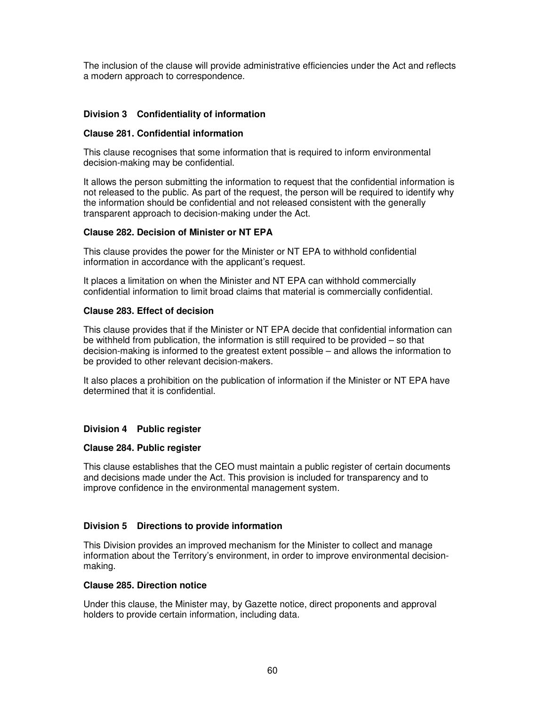The inclusion of the clause will provide administrative efficiencies under the Act and reflects a modern approach to correspondence.

# **Division 3 Confidentiality of information**

### **Clause 281. Confidential information**

This clause recognises that some information that is required to inform environmental decision-making may be confidential.

It allows the person submitting the information to request that the confidential information is not released to the public. As part of the request, the person will be required to identify why the information should be confidential and not released consistent with the generally transparent approach to decision-making under the Act.

# **Clause 282. Decision of Minister or NT EPA**

This clause provides the power for the Minister or NT EPA to withhold confidential information in accordance with the applicant's request.

It places a limitation on when the Minister and NT EPA can withhold commercially confidential information to limit broad claims that material is commercially confidential.

### **Clause 283. Effect of decision**

This clause provides that if the Minister or NT EPA decide that confidential information can be withheld from publication, the information is still required to be provided – so that decision-making is informed to the greatest extent possible – and allows the information to be provided to other relevant decision-makers.

It also places a prohibition on the publication of information if the Minister or NT EPA have determined that it is confidential.

# **Division 4 Public register**

#### **Clause 284. Public register**

This clause establishes that the CEO must maintain a public register of certain documents and decisions made under the Act. This provision is included for transparency and to improve confidence in the environmental management system.

# **Division 5 Directions to provide information**

This Division provides an improved mechanism for the Minister to collect and manage information about the Territory's environment, in order to improve environmental decisionmaking.

### **Clause 285. Direction notice**

Under this clause, the Minister may, by Gazette notice, direct proponents and approval holders to provide certain information, including data.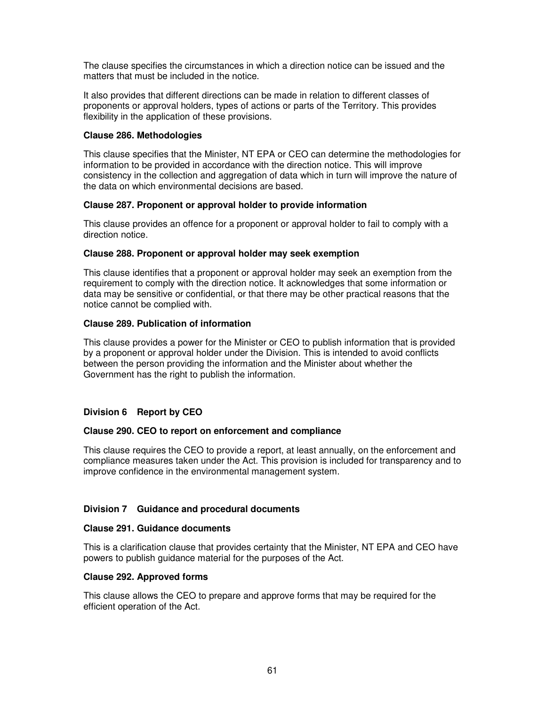The clause specifies the circumstances in which a direction notice can be issued and the matters that must be included in the notice.

It also provides that different directions can be made in relation to different classes of proponents or approval holders, types of actions or parts of the Territory. This provides flexibility in the application of these provisions.

### **Clause 286. Methodologies**

This clause specifies that the Minister, NT EPA or CEO can determine the methodologies for information to be provided in accordance with the direction notice. This will improve consistency in the collection and aggregation of data which in turn will improve the nature of the data on which environmental decisions are based.

### **Clause 287. Proponent or approval holder to provide information**

This clause provides an offence for a proponent or approval holder to fail to comply with a direction notice.

### **Clause 288. Proponent or approval holder may seek exemption**

This clause identifies that a proponent or approval holder may seek an exemption from the requirement to comply with the direction notice. It acknowledges that some information or data may be sensitive or confidential, or that there may be other practical reasons that the notice cannot be complied with.

### **Clause 289. Publication of information**

This clause provides a power for the Minister or CEO to publish information that is provided by a proponent or approval holder under the Division. This is intended to avoid conflicts between the person providing the information and the Minister about whether the Government has the right to publish the information.

# **Division 6 Report by CEO**

# **Clause 290. CEO to report on enforcement and compliance**

This clause requires the CEO to provide a report, at least annually, on the enforcement and compliance measures taken under the Act. This provision is included for transparency and to improve confidence in the environmental management system.

# **Division 7 Guidance and procedural documents**

#### **Clause 291. Guidance documents**

This is a clarification clause that provides certainty that the Minister, NT EPA and CEO have powers to publish guidance material for the purposes of the Act.

#### **Clause 292. Approved forms**

This clause allows the CEO to prepare and approve forms that may be required for the efficient operation of the Act.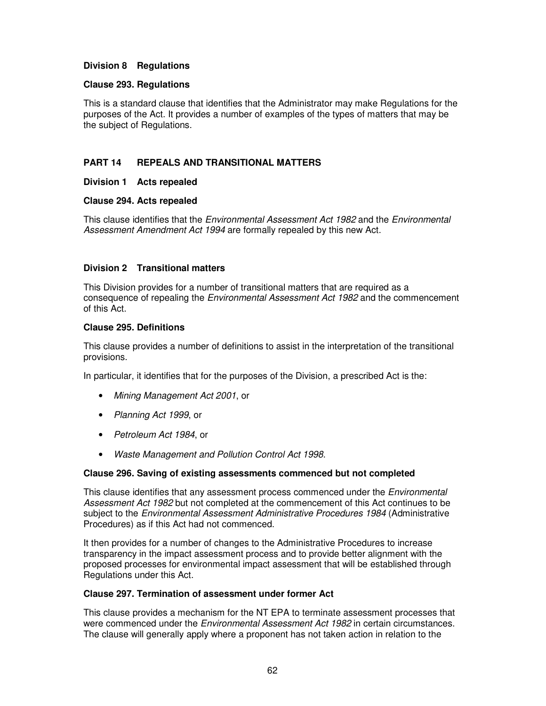# **Division 8 Regulations**

### **Clause 293. Regulations**

This is a standard clause that identifies that the Administrator may make Regulations for the purposes of the Act. It provides a number of examples of the types of matters that may be the subject of Regulations.

# **PART 14 REPEALS AND TRANSITIONAL MATTERS**

# **Division 1 Acts repealed**

### **Clause 294. Acts repealed**

This clause identifies that the *Environmental Assessment Act 1982* and the *Environmental* Assessment Amendment Act 1994 are formally repealed by this new Act.

### **Division 2 Transitional matters**

This Division provides for a number of transitional matters that are required as a consequence of repealing the Environmental Assessment Act 1982 and the commencement of this Act.

#### **Clause 295. Definitions**

This clause provides a number of definitions to assist in the interpretation of the transitional provisions.

In particular, it identifies that for the purposes of the Division, a prescribed Act is the:

- Mining Management Act 2001, or
- Planning Act 1999, or
- Petroleum Act 1984, or
- Waste Management and Pollution Control Act 1998.

#### **Clause 296. Saving of existing assessments commenced but not completed**

This clause identifies that any assessment process commenced under the *Environmental* Assessment Act 1982 but not completed at the commencement of this Act continues to be subject to the *Environmental Assessment Administrative Procedures 1984* (Administrative Procedures) as if this Act had not commenced.

It then provides for a number of changes to the Administrative Procedures to increase transparency in the impact assessment process and to provide better alignment with the proposed processes for environmental impact assessment that will be established through Regulations under this Act.

### **Clause 297. Termination of assessment under former Act**

This clause provides a mechanism for the NT EPA to terminate assessment processes that were commenced under the Environmental Assessment Act 1982 in certain circumstances. The clause will generally apply where a proponent has not taken action in relation to the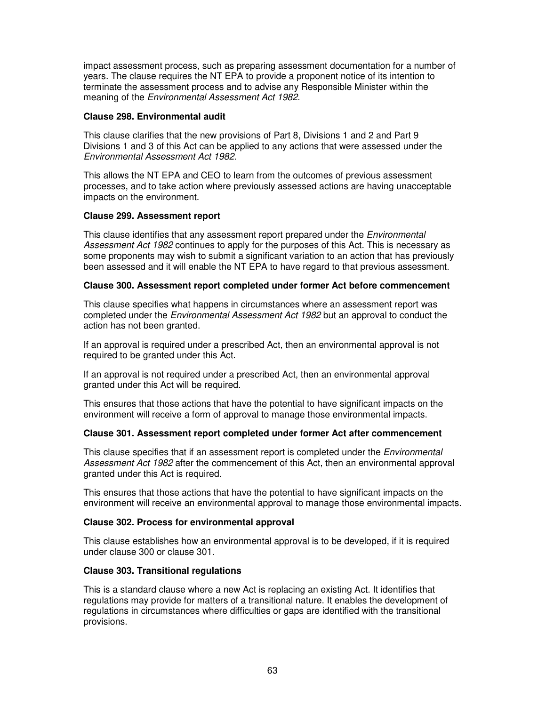impact assessment process, such as preparing assessment documentation for a number of years. The clause requires the NT EPA to provide a proponent notice of its intention to terminate the assessment process and to advise any Responsible Minister within the meaning of the Environmental Assessment Act 1982.

### **Clause 298. Environmental audit**

This clause clarifies that the new provisions of Part 8, Divisions 1 and 2 and Part 9 Divisions 1 and 3 of this Act can be applied to any actions that were assessed under the Environmental Assessment Act 1982.

This allows the NT EPA and CEO to learn from the outcomes of previous assessment processes, and to take action where previously assessed actions are having unacceptable impacts on the environment.

# **Clause 299. Assessment report**

This clause identifies that any assessment report prepared under the *Environmental* Assessment Act 1982 continues to apply for the purposes of this Act. This is necessary as some proponents may wish to submit a significant variation to an action that has previously been assessed and it will enable the NT EPA to have regard to that previous assessment.

### **Clause 300. Assessment report completed under former Act before commencement**

This clause specifies what happens in circumstances where an assessment report was completed under the Environmental Assessment Act 1982 but an approval to conduct the action has not been granted.

If an approval is required under a prescribed Act, then an environmental approval is not required to be granted under this Act.

If an approval is not required under a prescribed Act, then an environmental approval granted under this Act will be required.

This ensures that those actions that have the potential to have significant impacts on the environment will receive a form of approval to manage those environmental impacts.

# **Clause 301. Assessment report completed under former Act after commencement**

This clause specifies that if an assessment report is completed under the *Environmental* Assessment Act 1982 after the commencement of this Act, then an environmental approval granted under this Act is required.

This ensures that those actions that have the potential to have significant impacts on the environment will receive an environmental approval to manage those environmental impacts.

# **Clause 302. Process for environmental approval**

This clause establishes how an environmental approval is to be developed, if it is required under clause 300 or clause 301.

# **Clause 303. Transitional regulations**

This is a standard clause where a new Act is replacing an existing Act. It identifies that regulations may provide for matters of a transitional nature. It enables the development of regulations in circumstances where difficulties or gaps are identified with the transitional provisions.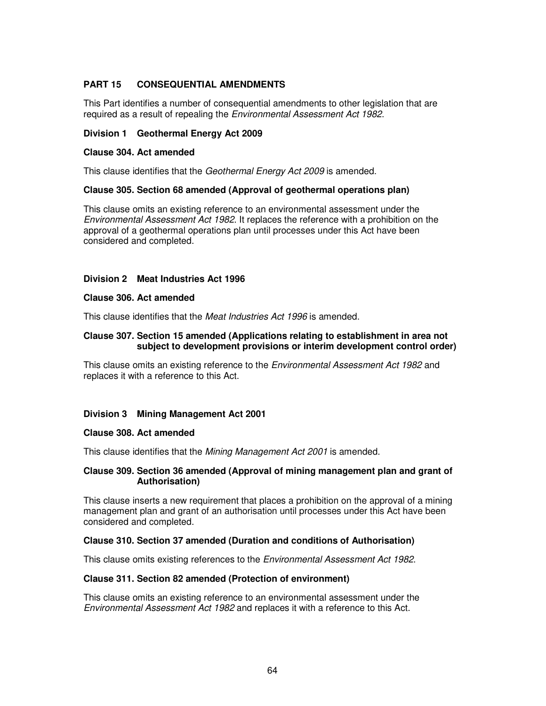# **PART 15 CONSEQUENTIAL AMENDMENTS**

This Part identifies a number of consequential amendments to other legislation that are required as a result of repealing the Environmental Assessment Act 1982.

### **Division 1 Geothermal Energy Act 2009**

### **Clause 304. Act amended**

This clause identifies that the Geothermal Energy Act 2009 is amended.

### **Clause 305. Section 68 amended (Approval of geothermal operations plan)**

This clause omits an existing reference to an environmental assessment under the Environmental Assessment Act 1982. It replaces the reference with a prohibition on the approval of a geothermal operations plan until processes under this Act have been considered and completed.

### **Division 2 Meat Industries Act 1996**

#### **Clause 306. Act amended**

This clause identifies that the Meat Industries Act 1996 is amended.

### **Clause 307. Section 15 amended (Applications relating to establishment in area not subject to development provisions or interim development control order)**

This clause omits an existing reference to the *Environmental Assessment Act 1982* and replaces it with a reference to this Act.

# **Division 3 Mining Management Act 2001**

#### **Clause 308. Act amended**

This clause identifies that the Mining Management Act 2001 is amended.

### **Clause 309. Section 36 amended (Approval of mining management plan and grant of Authorisation)**

This clause inserts a new requirement that places a prohibition on the approval of a mining management plan and grant of an authorisation until processes under this Act have been considered and completed.

# **Clause 310. Section 37 amended (Duration and conditions of Authorisation)**

This clause omits existing references to the Environmental Assessment Act 1982.

#### **Clause 311. Section 82 amended (Protection of environment)**

This clause omits an existing reference to an environmental assessment under the Environmental Assessment Act 1982 and replaces it with a reference to this Act.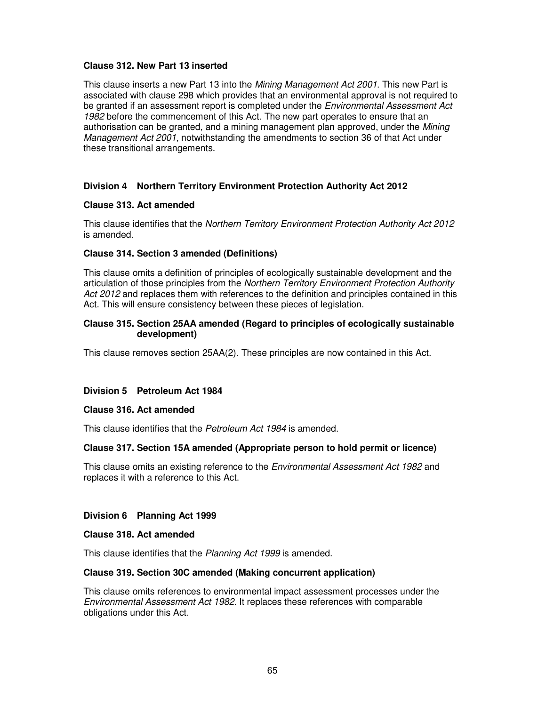### **Clause 312. New Part 13 inserted**

This clause inserts a new Part 13 into the *Mining Management Act 2001*. This new Part is associated with clause 298 which provides that an environmental approval is not required to be granted if an assessment report is completed under the *Environmental Assessment Act* 1982 before the commencement of this Act. The new part operates to ensure that an authorisation can be granted, and a mining management plan approved, under the Mining Management Act 2001, notwithstanding the amendments to section 36 of that Act under these transitional arrangements.

# **Division 4 Northern Territory Environment Protection Authority Act 2012**

### **Clause 313. Act amended**

This clause identifies that the Northern Territory Environment Protection Authority Act 2012 is amended.

# **Clause 314. Section 3 amended (Definitions)**

This clause omits a definition of principles of ecologically sustainable development and the articulation of those principles from the Northern Territory Environment Protection Authority Act 2012 and replaces them with references to the definition and principles contained in this Act. This will ensure consistency between these pieces of legislation.

### **Clause 315. Section 25AA amended (Regard to principles of ecologically sustainable development)**

This clause removes section 25AA(2). These principles are now contained in this Act.

# **Division 5 Petroleum Act 1984**

#### **Clause 316. Act amended**

This clause identifies that the Petroleum Act 1984 is amended.

# **Clause 317. Section 15A amended (Appropriate person to hold permit or licence)**

This clause omits an existing reference to the *Environmental Assessment Act 1982* and replaces it with a reference to this Act.

# **Division 6 Planning Act 1999**

#### **Clause 318. Act amended**

This clause identifies that the Planning Act 1999 is amended.

#### **Clause 319. Section 30C amended (Making concurrent application)**

This clause omits references to environmental impact assessment processes under the Environmental Assessment Act 1982. It replaces these references with comparable obligations under this Act.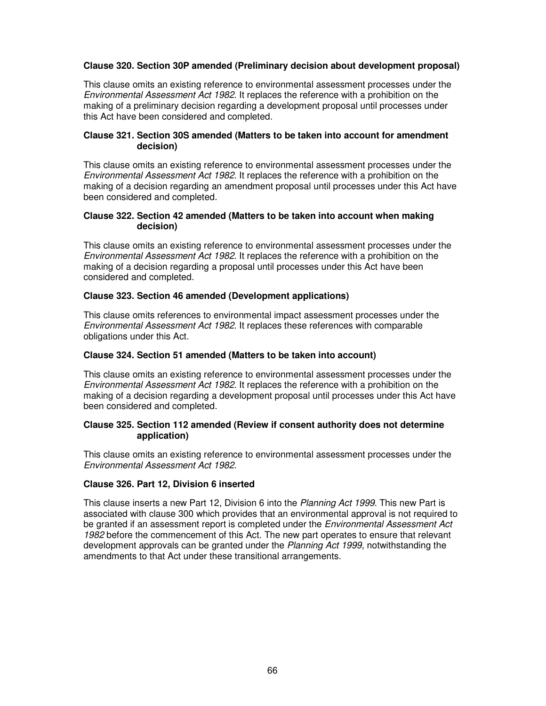# **Clause 320. Section 30P amended (Preliminary decision about development proposal)**

This clause omits an existing reference to environmental assessment processes under the Environmental Assessment Act 1982. It replaces the reference with a prohibition on the making of a preliminary decision regarding a development proposal until processes under this Act have been considered and completed.

### **Clause 321. Section 30S amended (Matters to be taken into account for amendment decision)**

This clause omits an existing reference to environmental assessment processes under the Environmental Assessment Act 1982. It replaces the reference with a prohibition on the making of a decision regarding an amendment proposal until processes under this Act have been considered and completed.

### **Clause 322. Section 42 amended (Matters to be taken into account when making decision)**

This clause omits an existing reference to environmental assessment processes under the Environmental Assessment Act 1982. It replaces the reference with a prohibition on the making of a decision regarding a proposal until processes under this Act have been considered and completed.

# **Clause 323. Section 46 amended (Development applications)**

This clause omits references to environmental impact assessment processes under the Environmental Assessment Act 1982. It replaces these references with comparable obligations under this Act.

### **Clause 324. Section 51 amended (Matters to be taken into account)**

This clause omits an existing reference to environmental assessment processes under the Environmental Assessment Act 1982. It replaces the reference with a prohibition on the making of a decision regarding a development proposal until processes under this Act have been considered and completed.

### **Clause 325. Section 112 amended (Review if consent authority does not determine application)**

This clause omits an existing reference to environmental assessment processes under the Environmental Assessment Act 1982.

# **Clause 326. Part 12, Division 6 inserted**

This clause inserts a new Part 12, Division 6 into the Planning Act 1999. This new Part is associated with clause 300 which provides that an environmental approval is not required to be granted if an assessment report is completed under the *Environmental Assessment Act* 1982 before the commencement of this Act. The new part operates to ensure that relevant development approvals can be granted under the Planning Act 1999, notwithstanding the amendments to that Act under these transitional arrangements.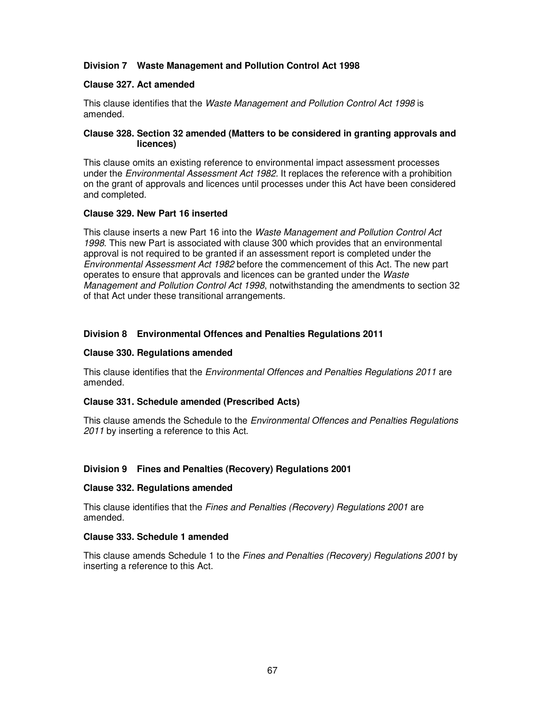# **Division 7 Waste Management and Pollution Control Act 1998**

### **Clause 327. Act amended**

This clause identifies that the Waste Management and Pollution Control Act 1998 is amended.

### **Clause 328. Section 32 amended (Matters to be considered in granting approvals and licences)**

This clause omits an existing reference to environmental impact assessment processes under the *Environmental Assessment Act 1982*. It replaces the reference with a prohibition on the grant of approvals and licences until processes under this Act have been considered and completed.

### **Clause 329. New Part 16 inserted**

This clause inserts a new Part 16 into the Waste Management and Pollution Control Act 1998. This new Part is associated with clause 300 which provides that an environmental approval is not required to be granted if an assessment report is completed under the Environmental Assessment Act 1982 before the commencement of this Act. The new part operates to ensure that approvals and licences can be granted under the Waste Management and Pollution Control Act 1998, notwithstanding the amendments to section 32 of that Act under these transitional arrangements.

# **Division 8 Environmental Offences and Penalties Regulations 2011**

### **Clause 330. Regulations amended**

This clause identifies that the *Environmental Offences and Penalties Regulations 2011* are amended.

#### **Clause 331. Schedule amended (Prescribed Acts)**

This clause amends the Schedule to the *Environmental Offences and Penalties Regulations* 2011 by inserting a reference to this Act.

# **Division 9 Fines and Penalties (Recovery) Regulations 2001**

#### **Clause 332. Regulations amended**

This clause identifies that the Fines and Penalties (Recovery) Regulations 2001 are amended.

#### **Clause 333. Schedule 1 amended**

This clause amends Schedule 1 to the Fines and Penalties (Recovery) Regulations 2001 by inserting a reference to this Act.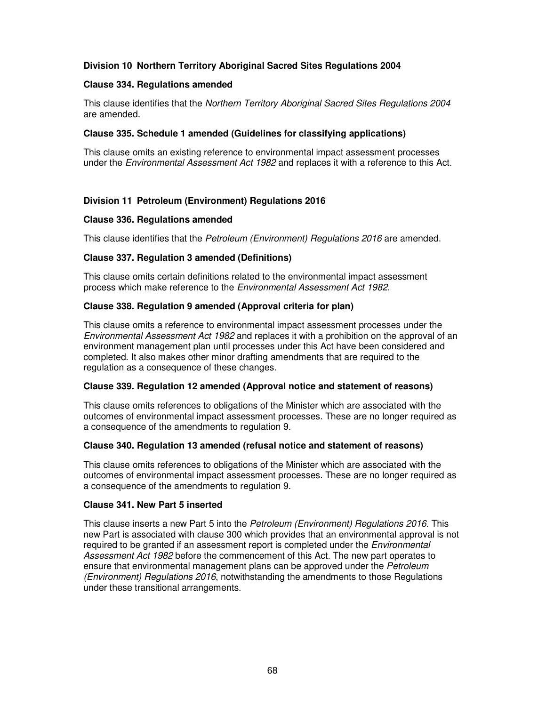# **Division 10 Northern Territory Aboriginal Sacred Sites Regulations 2004**

### **Clause 334. Regulations amended**

This clause identifies that the Northern Territory Aboriginal Sacred Sites Regulations 2004 are amended.

### **Clause 335. Schedule 1 amended (Guidelines for classifying applications)**

This clause omits an existing reference to environmental impact assessment processes under the Environmental Assessment Act 1982 and replaces it with a reference to this Act.

# **Division 11 Petroleum (Environment) Regulations 2016**

### **Clause 336. Regulations amended**

This clause identifies that the Petroleum (Environment) Regulations 2016 are amended.

# **Clause 337. Regulation 3 amended (Definitions)**

This clause omits certain definitions related to the environmental impact assessment process which make reference to the *Environmental Assessment Act 1982*.

### **Clause 338. Regulation 9 amended (Approval criteria for plan)**

This clause omits a reference to environmental impact assessment processes under the Environmental Assessment Act 1982 and replaces it with a prohibition on the approval of an environment management plan until processes under this Act have been considered and completed. It also makes other minor drafting amendments that are required to the regulation as a consequence of these changes.

# **Clause 339. Regulation 12 amended (Approval notice and statement of reasons)**

This clause omits references to obligations of the Minister which are associated with the outcomes of environmental impact assessment processes. These are no longer required as a consequence of the amendments to regulation 9.

#### **Clause 340. Regulation 13 amended (refusal notice and statement of reasons)**

This clause omits references to obligations of the Minister which are associated with the outcomes of environmental impact assessment processes. These are no longer required as a consequence of the amendments to regulation 9.

### **Clause 341. New Part 5 inserted**

This clause inserts a new Part 5 into the Petroleum (Environment) Regulations 2016. This new Part is associated with clause 300 which provides that an environmental approval is not required to be granted if an assessment report is completed under the Environmental Assessment Act 1982 before the commencement of this Act. The new part operates to ensure that environmental management plans can be approved under the Petroleum (Environment) Regulations 2016, notwithstanding the amendments to those Regulations under these transitional arrangements.